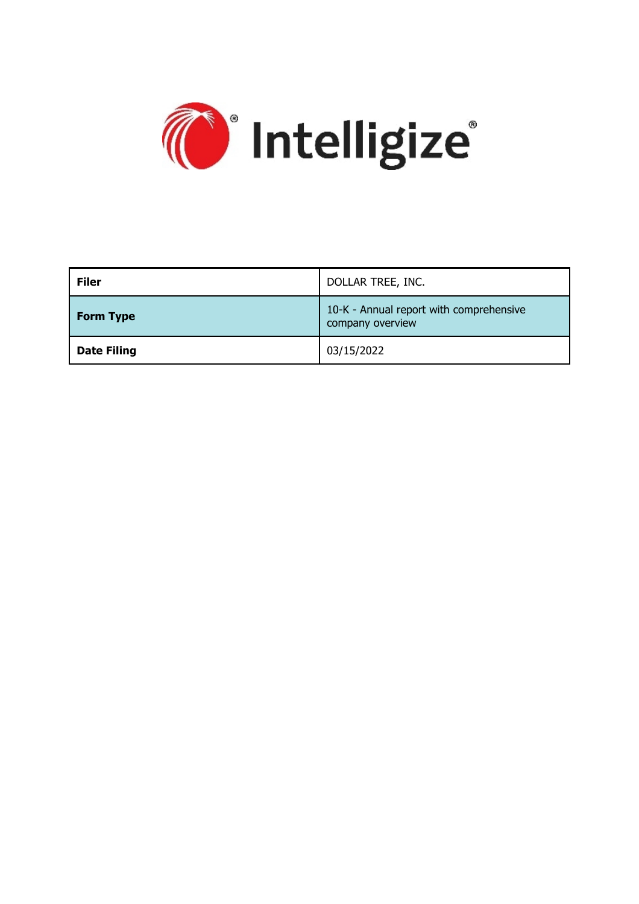

| <b>Filer</b>       | DOLLAR TREE, INC.                                           |
|--------------------|-------------------------------------------------------------|
| <b>Form Type</b>   | 10-K - Annual report with comprehensive<br>company overview |
| <b>Date Filing</b> | 03/15/2022                                                  |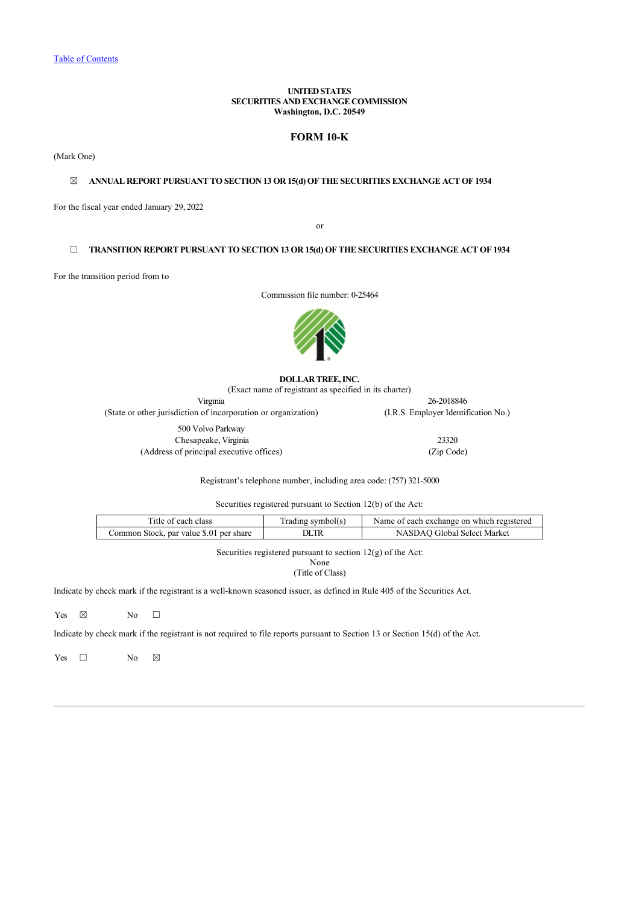# **UNITED STATES SECURITIES AND EXCHANGE COMMISSION Washington, D.C. 20549**

# **FORM 10-K**

(Mark One)

# ☒ **ANNUAL REPORT PURSUANT TO SECTION 13 OR 15(d) OF THE SECURITIES EXCHANGE ACT OF 1934**

For the fiscal year ended January 29, 2022

or

# ☐ **TRANSITION REPORT PURSUANT TO SECTION 13 OR 15(d) OF THE SECURITIES EXCHANGE ACT OF 1934**

For the transition period from to

Commission file number: 0-25464



#### **DOLLAR TREE, INC.**

(Exact name of registrant as specified in its charter) Virginia 26-2018846 (State or other jurisdiction of incorporation or organization) (I.R.S. Employer Identification No.) 500 Volvo Parkway Chesapeake, Virginia 23320 (Address of principal executive offices) (Zip Code)

Registrant's telephone number, including area code: (757) 321-5000

Securities registered pursuant to Section 12(b) of the Act:

| Title of each class                     | [ˈradɪng symbol(s] | Name of each exchange on which registered |
|-----------------------------------------|--------------------|-------------------------------------------|
| Common Stock, par value \$.01 per share |                    | NASDAO Global Select Market               |

Securities registered pursuant to section 12(g) of the Act:

None (Title of Class)

Indicate by check mark if the registrant is a well-known seasoned issuer, as defined in Rule 405 of the Securities Act.

Yes  $\boxtimes$  No  $\Box$ 

Indicate by check mark if the registrant is not required to file reports pursuant to Section 13 or Section 15(d) of the Act.

Yes  $\Box$  No  $\boxtimes$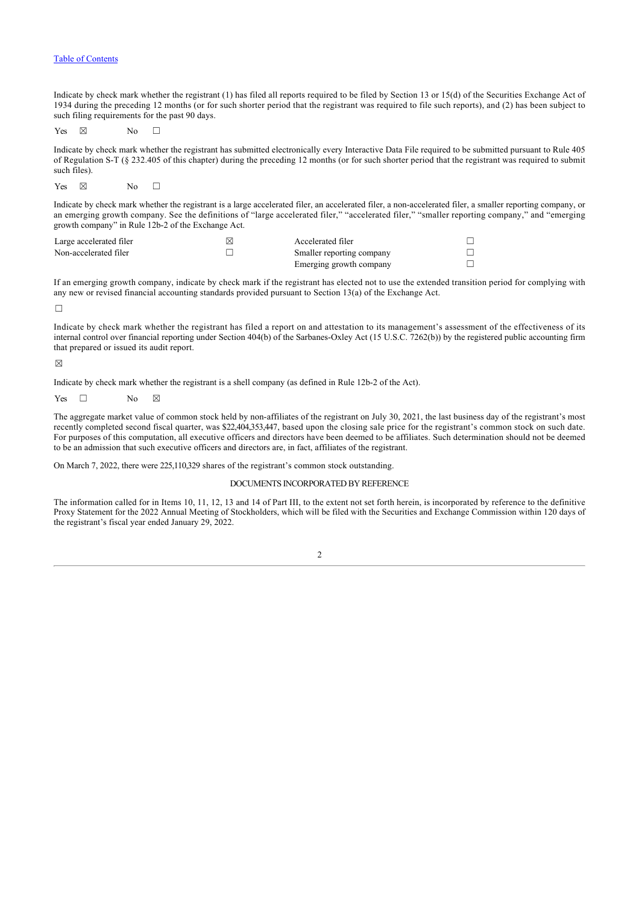Indicate by check mark whether the registrant (1) has filed all reports required to be filed by Section 13 or 15(d) of the Securities Exchange Act of 1934 during the preceding 12 months (or for such shorter period that the registrant was required to file such reports), and (2) has been subject to such filing requirements for the past 90 days.

Yes  $\boxtimes$  No  $\Box$ 

Indicate by check mark whether the registrant has submitted electronically every Interactive Data File required to be submitted pursuant to Rule 405 of Regulation S-T (§ 232.405 of this chapter) during the preceding 12 months (or for such shorter period that the registrant was required to submit such files).

Yes  $\boxtimes$  No  $\Box$ 

Indicate by check mark whether the registrant is a large accelerated filer, an accelerated filer, a non-accelerated filer, a smaller reporting company, or an emerging growth company. See the definitions of "large accelerated filer," "accelerated filer," "smaller reporting company," and "emerging growth company" in Rule 12b-2 of the Exchange Act.

| Large accelerated filer | Accelerated filer         |  |
|-------------------------|---------------------------|--|
| Non-accelerated filer   | Smaller reporting company |  |
|                         | Emerging growth company   |  |

If an emerging growth company, indicate by check mark if the registrant has elected not to use the extended transition period for complying with any new or revised financial accounting standards provided pursuant to Section 13(a) of the Exchange Act.

 $\Box$ 

Indicate by check mark whether the registrant has filed a report on and attestation to its management's assessment of the effectiveness of its internal control over financial reporting under Section 404(b) of the Sarbanes-Oxley Act (15 U.S.C. 7262(b)) by the registered public accounting firm that prepared or issued its audit report.

 $\nabla$ 

Indicate by check mark whether the registrant is a shell company (as defined in Rule 12b-2 of the Act).

Yes  $\Box$  No  $\boxtimes$ 

The aggregate market value of common stock held by non-affiliates of the registrant on July 30, 2021, the last business day of the registrant's most recently completed second fiscal quarter, was \$22,404,353,447, based upon the closing sale price for the registrant's common stock on such date. For purposes of this computation, all executive officers and directors have been deemed to be affiliates. Such determination should not be deemed to be an admission that such executive officers and directors are, in fact, affiliates of the registrant.

On March 7, 2022, there were 225,110,329 shares of the registrant's common stock outstanding.

### DOCUMENTS INCORPORATED BY REFERENCE

<span id="page-2-0"></span>The information called for in Items 10, 11, 12, 13 and 14 of Part III, to the extent not set forth herein, is incorporated by reference to the definitive Proxy Statement for the 2022 Annual Meeting of Stockholders, which will be filed with the Securities and Exchange Commission within 120 days of the registrant's fiscal year ended January 29, 2022.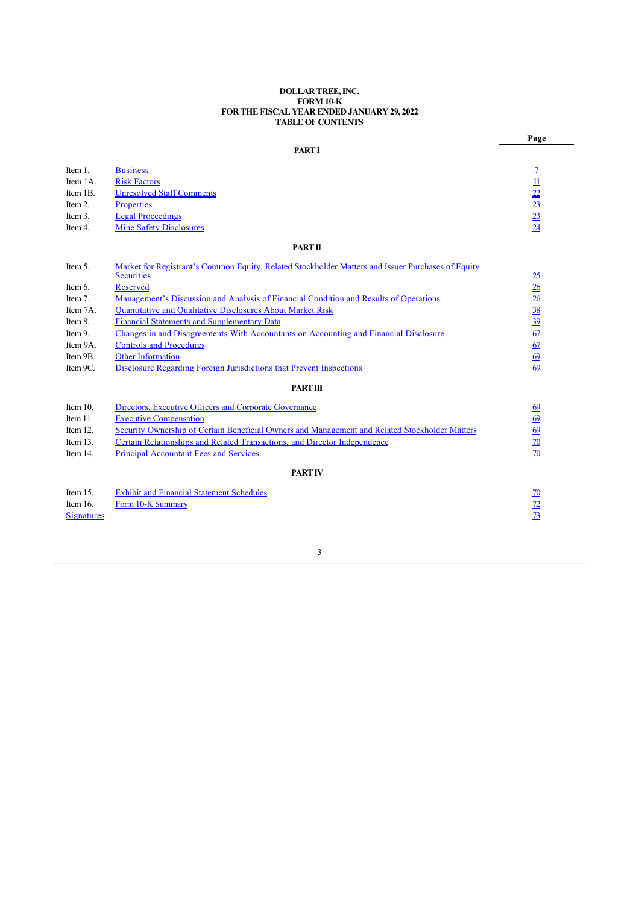# **DOLLAR TREE, INC. FORM 10-K FOR THE FISCAL YEAR ENDED JANUARY 29, 2022 TABLE OF CONTENTS**

**Page**

# **PART I**

| Item 1.           | <b>Business</b>                                                                                   | $\mathcal{I}$                   |
|-------------------|---------------------------------------------------------------------------------------------------|---------------------------------|
| Item 1A.          | <b>Risk Factors</b>                                                                               | $\overline{\mathbf{u}}$         |
| Item 1B.          | <b>Unresolved Staff Comments</b>                                                                  |                                 |
| Item 2.           | Properties                                                                                        | $\frac{22}{23}$ $\frac{23}{24}$ |
| Item 3.           | <b>Legal Proceedings</b>                                                                          |                                 |
| Item 4.           | <b>Mine Safety Disclosures</b>                                                                    |                                 |
|                   | <b>PART II</b>                                                                                    |                                 |
| Item 5.           | Market for Registrant's Common Equity, Related Stockholder Matters and Issuer Purchases of Equity |                                 |
|                   | <b>Securities</b>                                                                                 | <u>25</u>                       |
| Item 6.           | Reserved                                                                                          | $\frac{26}{5}$                  |
| Item 7.           | Management's Discussion and Analysis of Financial Condition and Results of Operations             | $\frac{26}{5}$                  |
| Item 7A.          | <b>Quantitative and Qualitative Disclosures About Market Risk</b>                                 | $\frac{38}{39}$                 |
| Item 8.           | <b>Financial Statements and Supplementary Data</b>                                                |                                 |
| Item 9.           | Changes in and Disagreements With Accountants on Accounting and Financial Disclosure              | 67                              |
| Item 9A.          | <b>Controls and Procedures</b>                                                                    | 67                              |
| Item 9B.          | <b>Other Information</b>                                                                          | 69                              |
| Item 9C.          | Disclosure Regarding Foreign Jurisdictions that Prevent Inspections                               | 69                              |
|                   | <b>PART III</b>                                                                                   |                                 |
| Item $10$ .       | Directors, Executive Officers and Corporate Governance                                            | 69                              |
| Item 11.          | <b>Executive Compensation</b>                                                                     | 69                              |
| Item 12.          | Security Ownership of Certain Beneficial Owners and Management and Related Stockholder Matters    | 69                              |
| Item 13.          | Certain Relationships and Related Transactions, and Director Independence                         | $\overline{20}$                 |
| Item 14.          | <b>Principal Accountant Fees and Services</b>                                                     | 70                              |
|                   | <b>PART IV</b>                                                                                    |                                 |
| Item 15.          | <b>Exhibit and Financial Statement Schedules</b>                                                  | <u>70</u>                       |
| Item 16.          | Form 10-K Summary                                                                                 | <u>72</u>                       |
| <b>Signatures</b> |                                                                                                   | $\overline{13}$                 |
|                   |                                                                                                   |                                 |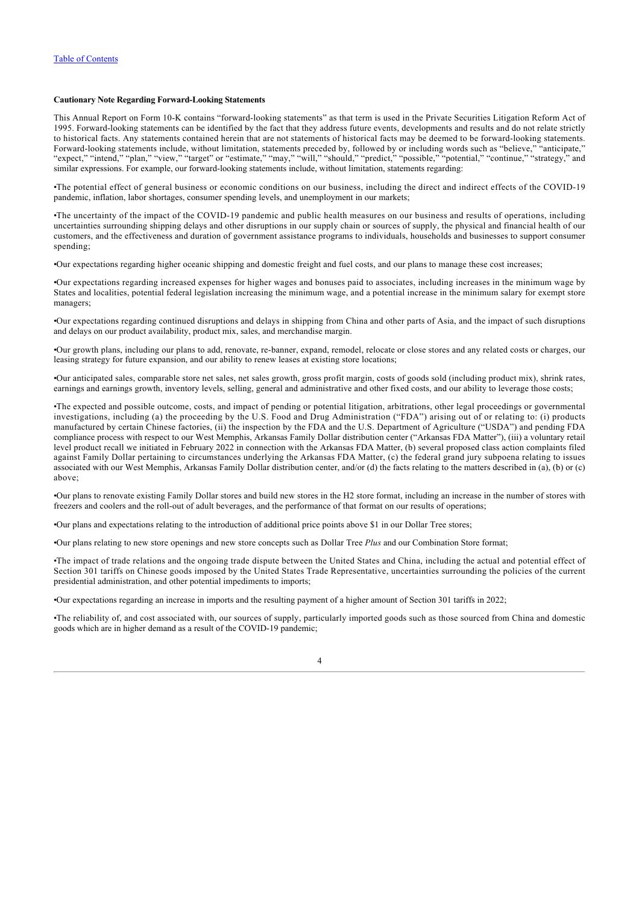# **Cautionary Note Regarding Forward-Looking Statements**

This Annual Report on Form 10-K contains "forward-looking statements" as that term is used in the Private Securities Litigation Reform Act of 1995. Forward-looking statements can be identified by the fact that they address future events, developments and results and do not relate strictly to historical facts. Any statements contained herein that are not statements of historical facts may be deemed to be forward-looking statements. Forward-looking statements include, without limitation, statements preceded by, followed by or including words such as "believe," "anticipate," "expect," "intend," "plan," "view," "target" or "estimate," "may," "will," "should," "predict," "possible," "potential," "continue," "strategy," and similar expressions. For example, our forward-looking statements include, without limitation, statements regarding:

•The potential effect of general business or economic conditions on our business, including the direct and indirect effects of the COVID-19 pandemic, inflation, labor shortages, consumer spending levels, and unemployment in our markets;

•The uncertainty of the impact of the COVID-19 pandemic and public health measures on our business and results of operations, including uncertainties surrounding shipping delays and other disruptions in our supply chain or sources of supply, the physical and financial health of our customers, and the effectiveness and duration of government assistance programs to individuals, households and businesses to support consumer spending;

•Our expectations regarding higher oceanic shipping and domestic freight and fuel costs, and our plans to manage these cost increases;

•Our expectations regarding increased expenses for higher wages and bonuses paid to associates, including increases in the minimum wage by States and localities, potential federal legislation increasing the minimum wage, and a potential increase in the minimum salary for exempt store managers;

•Our expectations regarding continued disruptions and delays in shipping from China and other parts of Asia, and the impact of such disruptions and delays on our product availability, product mix, sales, and merchandise margin.

•Our growth plans, including our plans to add, renovate, re-banner, expand, remodel, relocate or close stores and any related costs or charges, our leasing strategy for future expansion, and our ability to renew leases at existing store locations;

•Our anticipated sales, comparable store net sales, net sales growth, gross profit margin, costs of goods sold (including product mix), shrink rates, earnings and earnings growth, inventory levels, selling, general and administrative and other fixed costs, and our ability to leverage those costs;

•The expected and possible outcome, costs, and impact of pending or potential litigation, arbitrations, other legal proceedings or governmental investigations, including (a) the proceeding by the U.S. Food and Drug Administration ("FDA") arising out of or relating to: (i) products manufactured by certain Chinese factories, (ii) the inspection by the FDA and the U.S. Department of Agriculture ("USDA") and pending FDA compliance process with respect to our West Memphis, Arkansas Family Dollar distribution center ("Arkansas FDA Matter"), (iii) a voluntary retail level product recall we initiated in February 2022 in connection with the Arkansas FDA Matter, (b) several proposed class action complaints filed against Family Dollar pertaining to circumstances underlying the Arkansas FDA Matter, (c) the federal grand jury subpoena relating to issues associated with our West Memphis, Arkansas Family Dollar distribution center, and/or (d) the facts relating to the matters described in (a), (b) or (c) above;

•Our plans to renovate existing Family Dollar stores and build new stores in the H2 store format, including an increase in the number of stores with freezers and coolers and the roll-out of adult beverages, and the performance of that format on our results of operations;

•Our plans and expectations relating to the introduction of additional price points above \$1 in our Dollar Tree stores;

•Our plans relating to new store openings and new store concepts such as Dollar Tree *Plus* and our Combination Store format;

•The impact of trade relations and the ongoing trade dispute between the United States and China, including the actual and potential effect of Section 301 tariffs on Chinese goods imposed by the United States Trade Representative, uncertainties surrounding the policies of the current presidential administration, and other potential impediments to imports;

•Our expectations regarding an increase in imports and the resulting payment of a higher amount of Section 301 tariffs in 2022;

•The reliability of, and cost associated with, our sources of supply, particularly imported goods such as those sourced from China and domestic goods which are in higher demand as a result of the COVID-19 pandemic;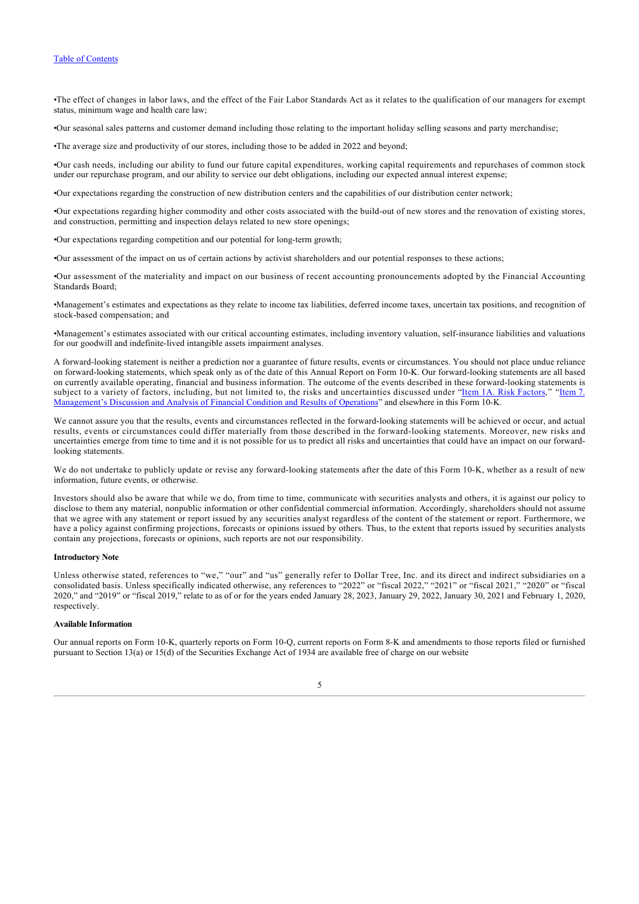•The effect of changes in labor laws, and the effect of the Fair Labor Standards Act as it relates to the qualification of our managers for exempt status, minimum wage and health care law;

•Our seasonal sales patterns and customer demand including those relating to the important holiday selling seasons and party merchandise;

•The average size and productivity of our stores, including those to be added in 2022 and beyond;

•Our cash needs, including our ability to fund our future capital expenditures, working capital requirements and repurchases of common stock under our repurchase program, and our ability to service our debt obligations, including our expected annual interest expense;

•Our expectations regarding the construction of new distribution centers and the capabilities of our distribution center network;

•Our expectations regarding higher commodity and other costs associated with the build-out of new stores and the renovation of existing stores, and construction, permitting and inspection delays related to new store openings;

•Our expectations regarding competition and our potential for long-term growth;

•Our assessment of the impact on us of certain actions by activist shareholders and our potential responses to these actions;

•Our assessment of the materiality and impact on our business of recent accounting pronouncements adopted by the Financial Accounting Standards Board;

•Management's estimates and expectations as they relate to income tax liabilities, deferred income taxes, uncertain tax positions, and recognition of stock-based compensation; and

•Management's estimates associated with our critical accounting estimates, including inventory valuation, self-insurance liabilities and valuations for our goodwill and indefinite-lived intangible assets impairment analyses.

A forward-looking statement is neither a prediction nor a guarantee of future results, events or circumstances. You should not place undue reliance on forward-looking statements, which speak only as of the date of this Annual Report on Form 10-K. Our forward-looking statements are all based on currently available operating, financial and business information. The outcome of the events described in these forward-looking statements is [subject to a variety of factors, including, but not limited to, the risks and uncertainties discussed under "Item 1A. Risk Factors," "Item 7.](#page-26-1) Management's Discussion and Analysis of Financial Condition and Results of Operations" and elsewhere in this Form 10-K.

We cannot assure you that the results, events and circumstances reflected in the forward-looking statements will be achieved or occur, and actual results, events or circumstances could differ materially from those described in the forward-looking statements. Moreover, new risks and uncertainties emerge from time to time and it is not possible for us to predict all risks and uncertainties that could have an impact on our forwardlooking statements.

We do not undertake to publicly update or revise any forward-looking statements after the date of this Form 10-K, whether as a result of new information, future events, or otherwise.

Investors should also be aware that while we do, from time to time, communicate with securities analysts and others, it is against our policy to disclose to them any material, nonpublic information or other confidential commercial information. Accordingly, shareholders should not assume that we agree with any statement or report issued by any securities analyst regardless of the content of the statement or report. Furthermore, we have a policy against confirming projections, forecasts or opinions issued by others. Thus, to the extent that reports issued by securities analysts contain any projections, forecasts or opinions, such reports are not our responsibility.

# **Introductory Note**

Unless otherwise stated, references to "we," "our" and "us" generally refer to Dollar Tree, Inc. and its direct and indirect subsidiaries on a consolidated basis. Unless specifically indicated otherwise, any references to "2022" or "fiscal 2022," "2021" or "fiscal 2021," "2020" or "fiscal 2020," and "2019" or "fiscal 2019," relate to as of or for the years ended January 28, 2023, January 29, 2022, January 30, 2021 and February 1, 2020, respectively.

## **Available Information**

Our annual reports on Form 10-K, quarterly reports on Form 10-Q, current reports on Form 8-K and amendments to those reports filed or furnished pursuant to Section 13(a) or 15(d) of the Securities Exchange Act of 1934 are available free of charge on our website

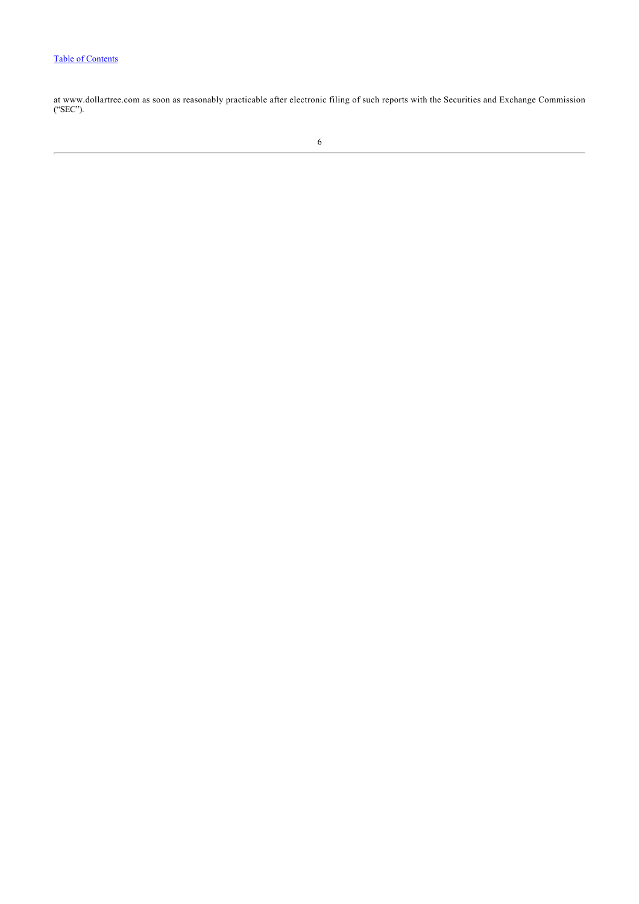at www.dollartree.com as soon as reasonably practicable after electronic filing of such reports with the Securities and Exchange Commission ("SEC").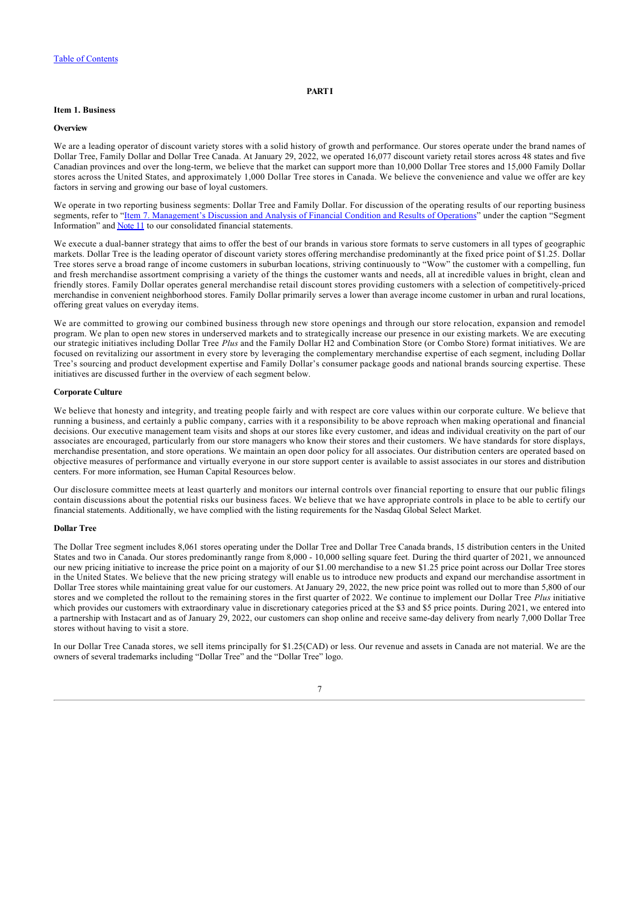# **PART I**

# <span id="page-7-0"></span>**Item 1. Business**

#### **Overview**

We are a leading operator of discount variety stores with a solid history of growth and performance. Our stores operate under the brand names of Dollar Tree, Family Dollar and Dollar Tree Canada. At January 29, 2022, we operated 16,077 discount variety retail stores across 48 states and five Canadian provinces and over the long-term, we believe that the market can support more than 10,000 Dollar Tree stores and 15,000 Family Dollar stores across the United States, and approximately 1,000 Dollar Tree stores in Canada. We believe the convenience and value we offer are key factors in serving and growing our base of loyal customers.

We operate in two reporting business segments: Dollar Tree and Family Dollar. For discussion of the operating results of our reporting business segments, refer to "[Item 7. Management's Discussion and Analysis of Financial Condition and Results of Operations"](#page-26-1) under the caption "Segment Information" and [Note 11](#page-64-0) to our consolidated financial statements.

We execute a dual-banner strategy that aims to offer the best of our brands in various store formats to serve customers in all types of geographic markets. Dollar Tree is the leading operator of discount variety stores offering merchandise predominantly at the fixed price point of \$1.25. Dollar Tree stores serve a broad range of income customers in suburban locations, striving continuously to "Wow" the customer with a compelling, fun and fresh merchandise assortment comprising a variety of the things the customer wants and needs, all at incredible values in bright, clean and friendly stores. Family Dollar operates general merchandise retail discount stores providing customers with a selection of competitively-priced merchandise in convenient neighborhood stores. Family Dollar primarily serves a lower than average income customer in urban and rural locations, offering great values on everyday items.

We are committed to growing our combined business through new store openings and through our store relocation, expansion and remodel program. We plan to open new stores in underserved markets and to strategically increase our presence in our existing markets. We are executing our strategic initiatives including Dollar Tree *Plus* and the Family Dollar H2 and Combination Store (or Combo Store) format initiatives. We are focused on revitalizing our assortment in every store by leveraging the complementary merchandise expertise of each segment, including Dollar Tree's sourcing and product development expertise and Family Dollar's consumer package goods and national brands sourcing expertise. These initiatives are discussed further in the overview of each segment below.

# **Corporate Culture**

We believe that honesty and integrity, and treating people fairly and with respect are core values within our corporate culture. We believe that running a business, and certainly a public company, carries with it a responsibility to be above reproach when making operational and financial decisions. Our executive management team visits and shops at our stores like every customer, and ideas and individual creativity on the part of our associates are encouraged, particularly from our store managers who know their stores and their customers. We have standards for store displays, merchandise presentation, and store operations. We maintain an open door policy for all associates. Our distribution centers are operated based on objective measures of performance and virtually everyone in our store support center is available to assist associates in our stores and distribution centers. For more information, see Human Capital Resources below.

Our disclosure committee meets at least quarterly and monitors our internal controls over financial reporting to ensure that our public filings contain discussions about the potential risks our business faces. We believe that we have appropriate controls in place to be able to certify our financial statements. Additionally, we have complied with the listing requirements for the Nasdaq Global Select Market.

#### **Dollar Tree**

The Dollar Tree segment includes 8,061 stores operating under the Dollar Tree and Dollar Tree Canada brands, 15 distribution centers in the United States and two in Canada. Our stores predominantly range from 8,000 - 10,000 selling square feet. During the third quarter of 2021, we announced our new pricing initiative to increase the price point on a majority of our \$1.00 merchandise to a new \$1.25 price point across our Dollar Tree stores in the United States. We believe that the new pricing strategy will enable us to introduce new products and expand our merchandise assortment in Dollar Tree stores while maintaining great value for our customers. At January 29, 2022, the new price point was rolled out to more than 5,800 of our stores and we completed the rollout to the remaining stores in the first quarter of 2022. We continue to implement our Dollar Tree *Plus* initiative which provides our customers with extraordinary value in discretionary categories priced at the \$3 and \$5 price points. During 2021, we entered into a partnership with Instacart and as of January 29, 2022, our customers can shop online and receive same-day delivery from nearly 7,000 Dollar Tree stores without having to visit a store.

In our Dollar Tree Canada stores, we sell items principally for \$1.25(CAD) or less. Our revenue and assets in Canada are not material. We are the owners of several trademarks including "Dollar Tree" and the "Dollar Tree" logo.

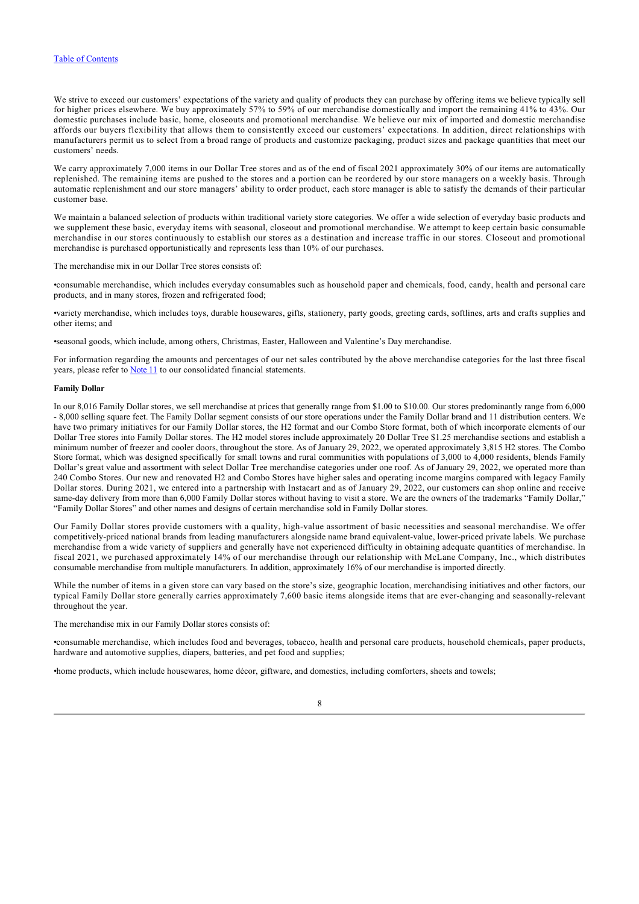We strive to exceed our customers' expectations of the variety and quality of products they can purchase by offering items we believe typically sell for higher prices elsewhere. We buy approximately 57% to 59% of our merchandise domestically and import the remaining 41% to 43%. Our domestic purchases include basic, home, closeouts and promotional merchandise. We believe our mix of imported and domestic merchandise affords our buyers flexibility that allows them to consistently exceed our customers' expectations. In addition, direct relationships with manufacturers permit us to select from a broad range of products and customize packaging, product sizes and package quantities that meet our customers' needs.

We carry approximately 7,000 items in our Dollar Tree stores and as of the end of fiscal 2021 approximately 30% of our items are automatically replenished. The remaining items are pushed to the stores and a portion can be reordered by our store managers on a weekly basis. Through automatic replenishment and our store managers' ability to order product, each store manager is able to satisfy the demands of their particular customer base.

We maintain a balanced selection of products within traditional variety store categories. We offer a wide selection of everyday basic products and we supplement these basic, everyday items with seasonal, closeout and promotional merchandise. We attempt to keep certain basic consumable merchandise in our stores continuously to establish our stores as a destination and increase traffic in our stores. Closeout and promotional merchandise is purchased opportunistically and represents less than 10% of our purchases.

The merchandise mix in our Dollar Tree stores consists of:

•consumable merchandise, which includes everyday consumables such as household paper and chemicals, food, candy, health and personal care products, and in many stores, frozen and refrigerated food;

•variety merchandise, which includes toys, durable housewares, gifts, stationery, party goods, greeting cards, softlines, arts and crafts supplies and other items; and

•seasonal goods, which include, among others, Christmas, Easter, Halloween and Valentine's Day merchandise.

For information regarding the amounts and percentages of our net sales contributed by the above merchandise categories for the last three fiscal years, please refer to **Note 11** to our consolidated financial statements.

#### **Family Dollar**

In our 8,016 Family Dollar stores, we sell merchandise at prices that generally range from \$1.00 to \$10.00. Our stores predominantly range from 6,000 - 8,000 selling square feet. The Family Dollar segment consists of our store operations under the Family Dollar brand and 11 distribution centers. We have two primary initiatives for our Family Dollar stores, the H2 format and our Combo Store format, both of which incorporate elements of our Dollar Tree stores into Family Dollar stores. The H2 model stores include approximately 20 Dollar Tree \$1.25 merchandise sections and establish a minimum number of freezer and cooler doors, throughout the store. As of January 29, 2022, we operated approximately 3,815 H2 stores. The Combo Store format, which was designed specifically for small towns and rural communities with populations of 3,000 to 4,000 residents, blends Family Dollar's great value and assortment with select Dollar Tree merchandise categories under one roof. As of January 29, 2022, we operated more than 240 Combo Stores. Our new and renovated H2 and Combo Stores have higher sales and operating income margins compared with legacy Family Dollar stores. During 2021, we entered into a partnership with Instacart and as of January 29, 2022, our customers can shop online and receive same-day delivery from more than 6,000 Family Dollar stores without having to visit a store. We are the owners of the trademarks "Family Dollar," "Family Dollar Stores" and other names and designs of certain merchandise sold in Family Dollar stores.

Our Family Dollar stores provide customers with a quality, high-value assortment of basic necessities and seasonal merchandise. We offer competitively-priced national brands from leading manufacturers alongside name brand equivalent-value, lower-priced private labels. We purchase merchandise from a wide variety of suppliers and generally have not experienced difficulty in obtaining adequate quantities of merchandise. In fiscal 2021, we purchased approximately 14% of our merchandise through our relationship with McLane Company, Inc., which distributes consumable merchandise from multiple manufacturers. In addition, approximately 16% of our merchandise is imported directly.

While the number of items in a given store can vary based on the store's size, geographic location, merchandising initiatives and other factors, our typical Family Dollar store generally carries approximately 7,600 basic items alongside items that are ever-changing and seasonally-relevant throughout the year.

The merchandise mix in our Family Dollar stores consists of:

•consumable merchandise, which includes food and beverages, tobacco, health and personal care products, household chemicals, paper products, hardware and automotive supplies, diapers, batteries, and pet food and supplies;

•home products, which include housewares, home décor, giftware, and domestics, including comforters, sheets and towels;

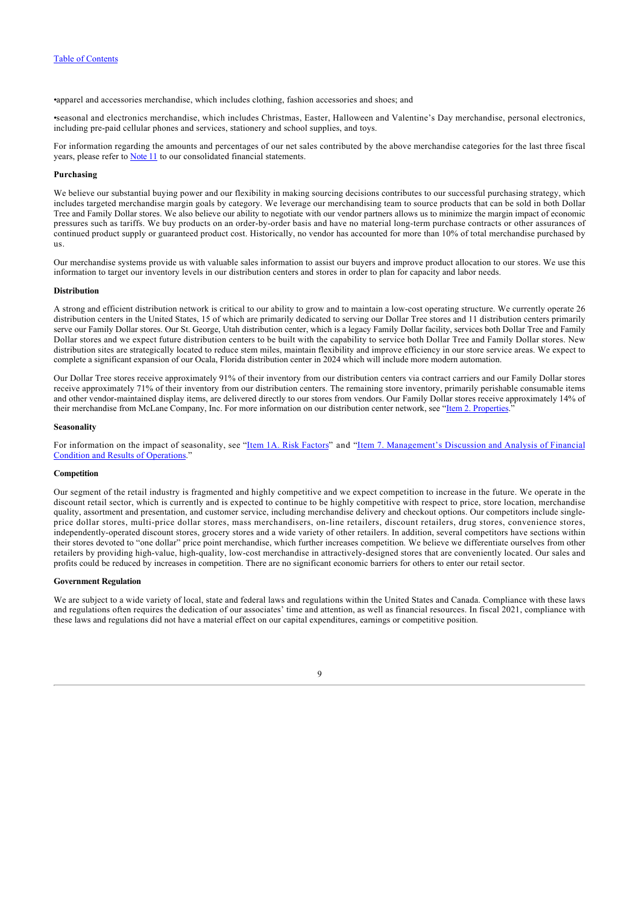•apparel and accessories merchandise, which includes clothing, fashion accessories and shoes; and

•seasonal and electronics merchandise, which includes Christmas, Easter, Halloween and Valentine's Day merchandise, personal electronics, including pre-paid cellular phones and services, stationery and school supplies, and toys.

For information regarding the amounts and percentages of our net sales contributed by the above merchandise categories for the last three fiscal years, please refer to **Note 11** to our consolidated financial statements.

#### **Purchasing**

We believe our substantial buying power and our flexibility in making sourcing decisions contributes to our successful purchasing strategy, which includes targeted merchandise margin goals by category. We leverage our merchandising team to source products that can be sold in both Dollar Tree and Family Dollar stores. We also believe our ability to negotiate with our vendor partners allows us to minimize the margin impact of economic pressures such as tariffs. We buy products on an order-by-order basis and have no material long-term purchase contracts or other assurances of continued product supply or guaranteed product cost. Historically, no vendor has accounted for more than 10% of total merchandise purchased by us.

Our merchandise systems provide us with valuable sales information to assist our buyers and improve product allocation to our stores. We use this information to target our inventory levels in our distribution centers and stores in order to plan for capacity and labor needs.

#### **Distribution**

A strong and efficient distribution network is critical to our ability to grow and to maintain a low-cost operating structure. We currently operate 26 distribution centers in the United States, 15 of which are primarily dedicated to serving our Dollar Tree stores and 11 distribution centers primarily serve our Family Dollar stores. Our St. George, Utah distribution center, which is a legacy Family Dollar facility, services both Dollar Tree and Family Dollar stores and we expect future distribution centers to be built with the capability to service both Dollar Tree and Family Dollar stores. New distribution sites are strategically located to reduce stem miles, maintain flexibility and improve efficiency in our store service areas. We expect to complete a significant expansion of our Ocala, Florida distribution center in 2024 which will include more modern automation.

Our Dollar Tree stores receive approximately 91% of their inventory from our distribution centers via contract carriers and our Family Dollar stores receive approximately 71% of their inventory from our distribution centers. The remaining store inventory, primarily perishable consumable items and other vendor-maintained display items, are delivered directly to our stores from vendors. Our Family Dollar stores receive approximately 14% of their merchandise from McLane Company, Inc. For more information on our distribution center network, see "[Item 2. Properties.](#page-23-0)"

#### **Seasonality**

[For information on the impact of seasonality, see "Item 1A. Risk Factors" and "Item 7. Management's Discussion and Analysis of Financial](#page-26-1) Condition and Results of Operations."

### **Competition**

Our segment of the retail industry is fragmented and highly competitive and we expect competition to increase in the future. We operate in the discount retail sector, which is currently and is expected to continue to be highly competitive with respect to price, store location, merchandise quality, assortment and presentation, and customer service, including merchandise delivery and checkout options. Our competitors include singleprice dollar stores, multi-price dollar stores, mass merchandisers, on-line retailers, discount retailers, drug stores, convenience stores, independently-operated discount stores, grocery stores and a wide variety of other retailers. In addition, several competitors have sections within their stores devoted to "one dollar" price point merchandise, which further increases competition. We believe we differentiate ourselves from other retailers by providing high-value, high-quality, low-cost merchandise in attractively-designed stores that are conveniently located. Our sales and profits could be reduced by increases in competition. There are no significant economic barriers for others to enter our retail sector.

# **Government Regulation**

We are subject to a wide variety of local, state and federal laws and regulations within the United States and Canada. Compliance with these laws and regulations often requires the dedication of our associates' time and attention, as well as financial resources. In fiscal 2021, compliance with these laws and regulations did not have a material effect on our capital expenditures, earnings or competitive position.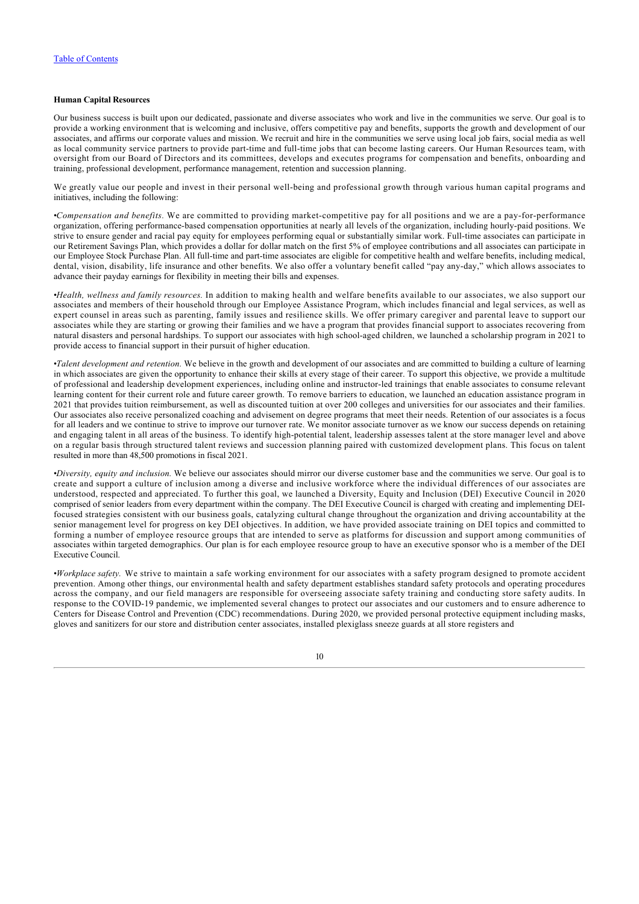# **Human Capital Resources**

Our business success is built upon our dedicated, passionate and diverse associates who work and live in the communities we serve. Our goal is to provide a working environment that is welcoming and inclusive, offers competitive pay and benefits, supports the growth and development of our associates, and affirms our corporate values and mission. We recruit and hire in the communities we serve using local job fairs, social media as well as local community service partners to provide part-time and full-time jobs that can become lasting careers. Our Human Resources team, with oversight from our Board of Directors and its committees, develops and executes programs for compensation and benefits, onboarding and training, professional development, performance management, retention and succession planning.

We greatly value our people and invest in their personal well-being and professional growth through various human capital programs and initiatives, including the following:

•*Compensation and benefits.* We are committed to providing market-competitive pay for all positions and we are a pay-for-performance organization, offering performance-based compensation opportunities at nearly all levels of the organization, including hourly-paid positions. We strive to ensure gender and racial pay equity for employees performing equal or substantially similar work. Full-time associates can participate in our Retirement Savings Plan, which provides a dollar for dollar match on the first 5% of employee contributions and all associates can participate in our Employee Stock Purchase Plan. All full-time and part-time associates are eligible for competitive health and welfare benefits, including medical, dental, vision, disability, life insurance and other benefits. We also offer a voluntary benefit called "pay any-day," which allows associates to advance their payday earnings for flexibility in meeting their bills and expenses.

•*Health, wellness and family resources.* In addition to making health and welfare benefits available to our associates, we also support our associates and members of their household through our Employee Assistance Program, which includes financial and legal services, as well as expert counsel in areas such as parenting, family issues and resilience skills. We offer primary caregiver and parental leave to support our associates while they are starting or growing their families and we have a program that provides financial support to associates recovering from natural disasters and personal hardships. To support our associates with high school-aged children, we launched a scholarship program in 2021 to provide access to financial support in their pursuit of higher education.

•*Talent development and retention.* We believe in the growth and development of our associates and are committed to building a culture of learning in which associates are given the opportunity to enhance their skills at every stage of their career. To support this objective, we provide a multitude of professional and leadership development experiences, including online and instructor-led trainings that enable associates to consume relevant learning content for their current role and future career growth. To remove barriers to education, we launched an education assistance program in 2021 that provides tuition reimbursement, as well as discounted tuition at over 200 colleges and universities for our associates and their families. Our associates also receive personalized coaching and advisement on degree programs that meet their needs. Retention of our associates is a focus for all leaders and we continue to strive to improve our turnover rate. We monitor associate turnover as we know our success depends on retaining and engaging talent in all areas of the business. To identify high-potential talent, leadership assesses talent at the store manager level and above on a regular basis through structured talent reviews and succession planning paired with customized development plans. This focus on talent resulted in more than 48,500 promotions in fiscal 2021.

•*Diversity, equity and inclusion.* We believe our associates should mirror our diverse customer base and the communities we serve. Our goal is to create and support a culture of inclusion among a diverse and inclusive workforce where the individual differences of our associates are understood, respected and appreciated. To further this goal, we launched a Diversity, Equity and Inclusion (DEI) Executive Council in 2020 comprised of senior leaders from every department within the company. The DEI Executive Council is charged with creating and implementing DEIfocused strategies consistent with our business goals, catalyzing cultural change throughout the organization and driving accountability at the senior management level for progress on key DEI objectives. In addition, we have provided associate training on DEI topics and committed to forming a number of employee resource groups that are intended to serve as platforms for discussion and support among communities of associates within targeted demographics. Our plan is for each employee resource group to have an executive sponsor who is a member of the DEI Executive Council.

•*Workplace safety.* We strive to maintain a safe working environment for our associates with a safety program designed to promote accident prevention. Among other things, our environmental health and safety department establishes standard safety protocols and operating procedures across the company, and our field managers are responsible for overseeing associate safety training and conducting store safety audits. In response to the COVID-19 pandemic, we implemented several changes to protect our associates and our customers and to ensure adherence to Centers for Disease Control and Prevention (CDC) recommendations. During 2020, we provided personal protective equipment including masks, gloves and sanitizers for our store and distribution center associates, installed plexiglass sneeze guards at all store registers and

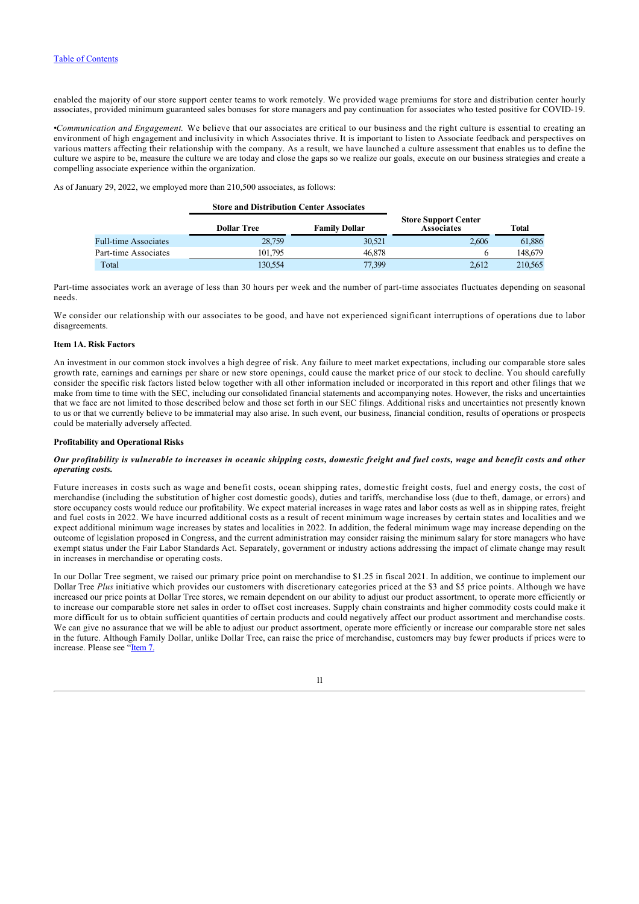enabled the majority of our store support center teams to work remotely. We provided wage premiums for store and distribution center hourly associates, provided minimum guaranteed sales bonuses for store managers and pay continuation for associates who tested positive for COVID-19.

•*Communication and Engagement.* We believe that our associates are critical to our business and the right culture is essential to creating an environment of high engagement and inclusivity in which Associates thrive. It is important to listen to Associate feedback and perspectives on various matters affecting their relationship with the company. As a result, we have launched a culture assessment that enables us to define the culture we aspire to be, measure the culture we are today and close the gaps so we realize our goals, execute on our business strategies and create a compelling associate experience within the organization.

As of January 29, 2022, we employed more than 210,500 associates, as follows:

|                             | <b>Store and Distribution Center Associates</b> |                      |                                                  |              |
|-----------------------------|-------------------------------------------------|----------------------|--------------------------------------------------|--------------|
|                             | <b>Dollar Tree</b>                              | <b>Family Dollar</b> | <b>Store Support Center</b><br><b>Associates</b> | <b>Total</b> |
| <b>Full-time Associates</b> | 28,759                                          | 30,521               | 2.606                                            | 61.886       |
| Part-time Associates        | 101.795                                         | 46,878               |                                                  | 148,679      |
| Total                       | 130.554                                         | 77.399               | 2.612                                            | 210,565      |

Part-time associates work an average of less than 30 hours per week and the number of part-time associates fluctuates depending on seasonal needs.

We consider our relationship with our associates to be good, and have not experienced significant interruptions of operations due to labor disagreements.

### <span id="page-11-0"></span>**Item 1A. Risk Factors**

An investment in our common stock involves a high degree of risk. Any failure to meet market expectations, including our comparable store sales growth rate, earnings and earnings per share or new store openings, could cause the market price of our stock to decline. You should carefully consider the specific risk factors listed below together with all other information included or incorporated in this report and other filings that we make from time to time with the SEC, including our consolidated financial statements and accompanying notes. However, the risks and uncertainties that we face are not limited to those described below and those set forth in our SEC filings. Additional risks and uncertainties not presently known to us or that we currently believe to be immaterial may also arise. In such event, our business, financial condition, results of operations or prospects could be materially adversely affected.

### **Profitability and Operational Risks**

### *Our profitability is vulnerable to increases in oceanic shipping costs, domestic freight and fuel costs, wage and benefit costs and other operating costs.*

Future increases in costs such as wage and benefit costs, ocean shipping rates, domestic freight costs, fuel and energy costs, the cost of merchandise (including the substitution of higher cost domestic goods), duties and tariffs, merchandise loss (due to theft, damage, or errors) and store occupancy costs would reduce our profitability. We expect material increases in wage rates and labor costs as well as in shipping rates, freight and fuel costs in 2022. We have incurred additional costs as a result of recent minimum wage increases by certain states and localities and we expect additional minimum wage increases by states and localities in 2022. In addition, the federal minimum wage may increase depending on the outcome of legislation proposed in Congress, and the current administration may consider raising the minimum salary for store managers who have exempt status under the Fair Labor Standards Act. Separately, government or industry actions addressing the impact of climate change may result in increases in merchandise or operating costs.

In our Dollar Tree segment, we raised our primary price point on merchandise to \$1.25 in fiscal 2021. In addition, we continue to implement our Dollar Tree *Plus* initiative which provides our customers with discretionary categories priced at the \$3 and \$5 price points. Although we have increased our price points at Dollar Tree stores, we remain dependent on our ability to adjust our product assortment, to operate more efficiently or to increase our comparable store net sales in order to offset cost increases. Supply chain constraints and higher commodity costs could make it more difficult for us to obtain sufficient quantities of certain products and could negatively affect our product assortment and merchandise costs. We can give no assurance that we will be able to adjust our product assortment, operate more efficiently or increase our comparable store net sales in the future. Although Family Dollar, unlike Dollar Tree, can raise the price of merchandise, customers may buy fewer products if prices were to increase. Please see ["Item 7.](#page-26-1)

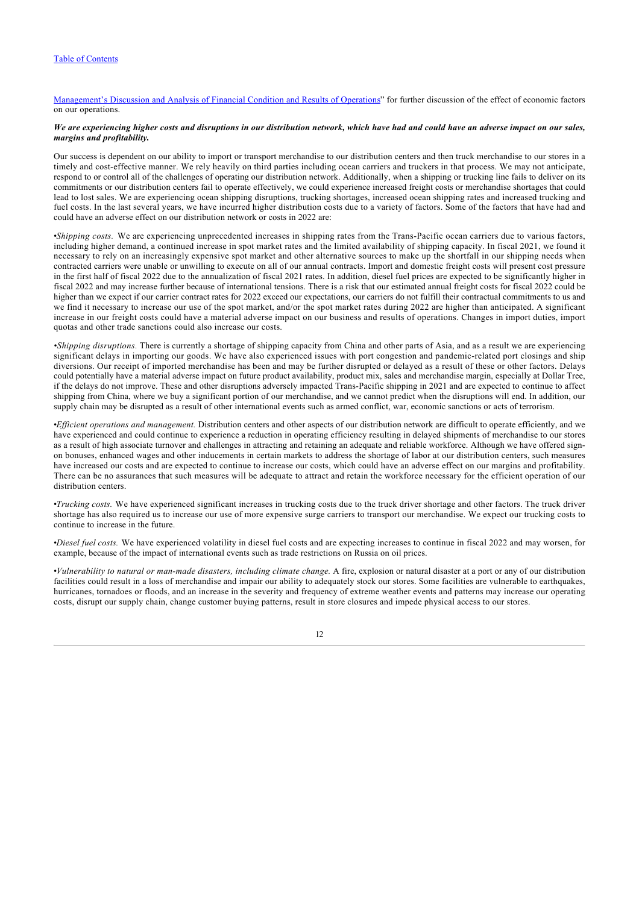[Management's Discussion and Analysis of Financial Condition and Results of Operations](#page-26-1)" for further discussion of the effect of economic factors on our operations.

## *We are experiencing higher costs and disruptions in our distribution network, which have had and could have an adverse impact on our sales, margins and profitability.*

Our success is dependent on our ability to import or transport merchandise to our distribution centers and then truck merchandise to our stores in a timely and cost-effective manner. We rely heavily on third parties including ocean carriers and truckers in that process. We may not anticipate, respond to or control all of the challenges of operating our distribution network. Additionally, when a shipping or trucking line fails to deliver on its commitments or our distribution centers fail to operate effectively, we could experience increased freight costs or merchandise shortages that could lead to lost sales. We are experiencing ocean shipping disruptions, trucking shortages, increased ocean shipping rates and increased trucking and fuel costs. In the last several years, we have incurred higher distribution costs due to a variety of factors. Some of the factors that have had and could have an adverse effect on our distribution network or costs in 2022 are:

•*Shipping costs.* We are experiencing unprecedented increases in shipping rates from the Trans-Pacific ocean carriers due to various factors, including higher demand, a continued increase in spot market rates and the limited availability of shipping capacity. In fiscal 2021, we found it necessary to rely on an increasingly expensive spot market and other alternative sources to make up the shortfall in our shipping needs when contracted carriers were unable or unwilling to execute on all of our annual contracts. Import and domestic freight costs will present cost pressure in the first half of fiscal 2022 due to the annualization of fiscal 2021 rates. In addition, diesel fuel prices are expected to be significantly higher in fiscal 2022 and may increase further because of international tensions. There is a risk that our estimated annual freight costs for fiscal 2022 could be higher than we expect if our carrier contract rates for 2022 exceed our expectations, our carriers do not fulfill their contractual commitments to us and we find it necessary to increase our use of the spot market, and/or the spot market rates during 2022 are higher than anticipated. A significant increase in our freight costs could have a material adverse impact on our business and results of operations. Changes in import duties, import quotas and other trade sanctions could also increase our costs.

*•Shipping disruptions.* There is currently a shortage of shipping capacity from China and other parts of Asia, and as a result we are experiencing significant delays in importing our goods. We have also experienced issues with port congestion and pandemic-related port closings and ship diversions. Our receipt of imported merchandise has been and may be further disrupted or delayed as a result of these or other factors. Delays could potentially have a material adverse impact on future product availability, product mix, sales and merchandise margin, especially at Dollar Tree, if the delays do not improve. These and other disruptions adversely impacted Trans-Pacific shipping in 2021 and are expected to continue to affect shipping from China, where we buy a significant portion of our merchandise, and we cannot predict when the disruptions will end. In addition, our supply chain may be disrupted as a result of other international events such as armed conflict, war, economic sanctions or acts of terrorism.

•*Efficient operations and management.* Distribution centers and other aspects of our distribution network are difficult to operate efficiently, and we have experienced and could continue to experience a reduction in operating efficiency resulting in delayed shipments of merchandise to our stores as a result of high associate turnover and challenges in attracting and retaining an adequate and reliable workforce. Although we have offered signon bonuses, enhanced wages and other inducements in certain markets to address the shortage of labor at our distribution centers, such measures have increased our costs and are expected to continue to increase our costs, which could have an adverse effect on our margins and profitability. There can be no assurances that such measures will be adequate to attract and retain the workforce necessary for the efficient operation of our distribution centers.

•*Trucking costs.* We have experienced significant increases in trucking costs due to the truck driver shortage and other factors. The truck driver shortage has also required us to increase our use of more expensive surge carriers to transport our merchandise. We expect our trucking costs to continue to increase in the future.

•*Diesel fuel costs.* We have experienced volatility in diesel fuel costs and are expecting increases to continue in fiscal 2022 and may worsen, for example, because of the impact of international events such as trade restrictions on Russia on oil prices.

•*Vulnerability to natural or man-made disasters, including climate change.* A fire, explosion or natural disaster at a port or any of our distribution facilities could result in a loss of merchandise and impair our ability to adequately stock our stores. Some facilities are vulnerable to earthquakes, hurricanes, tornadoes or floods, and an increase in the severity and frequency of extreme weather events and patterns may increase our operating costs, disrupt our supply chain, change customer buying patterns, result in store closures and impede physical access to our stores.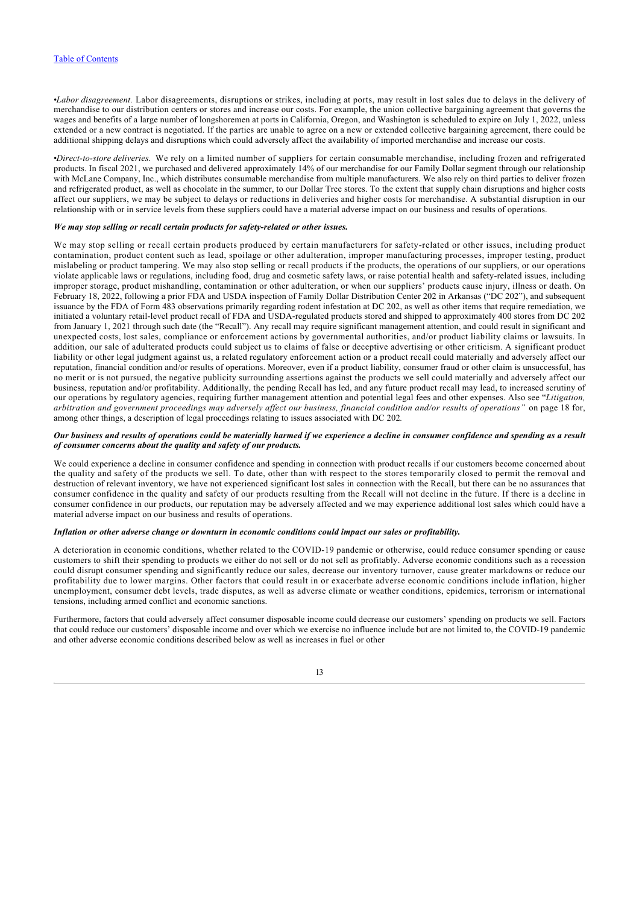•*Labor disagreement.* Labor disagreements, disruptions or strikes, including at ports, may result in lost sales due to delays in the delivery of merchandise to our distribution centers or stores and increase our costs. For example, the union collective bargaining agreement that governs the wages and benefits of a large number of longshoremen at ports in California, Oregon, and Washington is scheduled to expire on July 1, 2022, unless extended or a new contract is negotiated. If the parties are unable to agree on a new or extended collective bargaining agreement, there could be additional shipping delays and disruptions which could adversely affect the availability of imported merchandise and increase our costs.

•*Direct-to-store deliveries.* We rely on a limited number of suppliers for certain consumable merchandise, including frozen and refrigerated products. In fiscal 2021, we purchased and delivered approximately 14% of our merchandise for our Family Dollar segment through our relationship with McLane Company, Inc., which distributes consumable merchandise from multiple manufacturers. We also rely on third parties to deliver frozen and refrigerated product, as well as chocolate in the summer, to our Dollar Tree stores. To the extent that supply chain disruptions and higher costs affect our suppliers, we may be subject to delays or reductions in deliveries and higher costs for merchandise. A substantial disruption in our relationship with or in service levels from these suppliers could have a material adverse impact on our business and results of operations.

# *We may stop selling or recall certain products for safety-related or other issues.*

We may stop selling or recall certain products produced by certain manufacturers for safety-related or other issues, including product contamination, product content such as lead, spoilage or other adulteration, improper manufacturing processes, improper testing, product mislabeling or product tampering. We may also stop selling or recall products if the products, the operations of our suppliers, or our operations violate applicable laws or regulations, including food, drug and cosmetic safety laws, or raise potential health and safety-related issues, including improper storage, product mishandling, contamination or other adulteration, or when our suppliers' products cause injury, illness or death. On February 18, 2022, following a prior FDA and USDA inspection of Family Dollar Distribution Center 202 in Arkansas ("DC 202"), and subsequent issuance by the FDA of Form 483 observations primarily regarding rodent infestation at DC 202, as well as other items that require remediation, we initiated a voluntary retail-level product recall of FDA and USDA-regulated products stored and shipped to approximately 400 stores from DC 202 from January 1, 2021 through such date (the "Recall"). Any recall may require significant management attention, and could result in significant and unexpected costs, lost sales, compliance or enforcement actions by governmental authorities, and/or product liability claims or lawsuits. In addition, our sale of adulterated products could subject us to claims of false or deceptive advertising or other criticism. A significant product liability or other legal judgment against us, a related regulatory enforcement action or a product recall could materially and adversely affect our reputation, financial condition and/or results of operations. Moreover, even if a product liability, consumer fraud or other claim is unsuccessful, has no merit or is not pursued, the negative publicity surrounding assertions against the products we sell could materially and adversely affect our business, reputation and/or profitability. Additionally, the pending Recall has led, and any future product recall may lead, to increased scrutiny of our operations by regulatory agencies, requiring further management attention and potential legal fees and other expenses. Also see "*Litigation, arbitration and government proceedings may adversely affect our business, financial condition and/or results of operations"* on page 18 for, among other things, a description of legal proceedings relating to issues associated with DC 202*.*

#### *Our business and results of operations could be materially harmed if we experience a decline in consumer confidence and spending as a result of consumer concerns about the quality and safety of our products.*

We could experience a decline in consumer confidence and spending in connection with product recalls if our customers become concerned about the quality and safety of the products we sell. To date, other than with respect to the stores temporarily closed to permit the removal and destruction of relevant inventory, we have not experienced significant lost sales in connection with the Recall, but there can be no assurances that consumer confidence in the quality and safety of our products resulting from the Recall will not decline in the future. If there is a decline in consumer confidence in our products, our reputation may be adversely affected and we may experience additional lost sales which could have a material adverse impact on our business and results of operations.

#### *Inflation or other adverse change or downturn in economic conditions could impact our sales or profitability.*

A deterioration in economic conditions, whether related to the COVID-19 pandemic or otherwise, could reduce consumer spending or cause customers to shift their spending to products we either do not sell or do not sell as profitably. Adverse economic conditions such as a recession could disrupt consumer spending and significantly reduce our sales, decrease our inventory turnover, cause greater markdowns or reduce our profitability due to lower margins. Other factors that could result in or exacerbate adverse economic conditions include inflation, higher unemployment, consumer debt levels, trade disputes, as well as adverse climate or weather conditions, epidemics, terrorism or international tensions, including armed conflict and economic sanctions.

Furthermore, factors that could adversely affect consumer disposable income could decrease our customers' spending on products we sell. Factors that could reduce our customers' disposable income and over which we exercise no influence include but are not limited to, the COVID-19 pandemic and other adverse economic conditions described below as well as increases in fuel or other

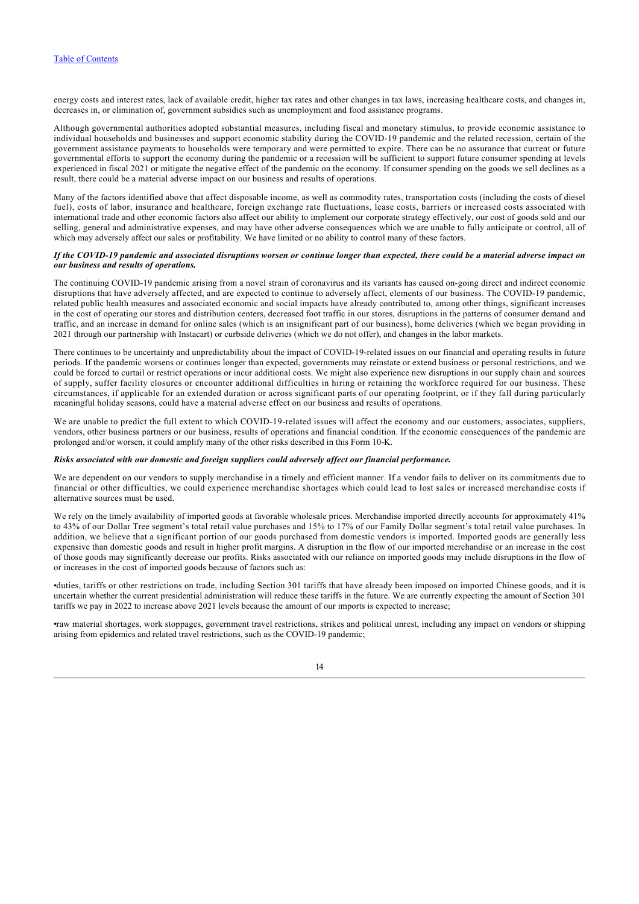energy costs and interest rates, lack of available credit, higher tax rates and other changes in tax laws, increasing healthcare costs, and changes in, decreases in, or elimination of, government subsidies such as unemployment and food assistance programs.

Although governmental authorities adopted substantial measures, including fiscal and monetary stimulus, to provide economic assistance to individual households and businesses and support economic stability during the COVID-19 pandemic and the related recession, certain of the government assistance payments to households were temporary and were permitted to expire. There can be no assurance that current or future governmental efforts to support the economy during the pandemic or a recession will be sufficient to support future consumer spending at levels experienced in fiscal 2021 or mitigate the negative effect of the pandemic on the economy. If consumer spending on the goods we sell declines as a result, there could be a material adverse impact on our business and results of operations.

Many of the factors identified above that affect disposable income, as well as commodity rates, transportation costs (including the costs of diesel fuel), costs of labor, insurance and healthcare, foreign exchange rate fluctuations, lease costs, barriers or increased costs associated with international trade and other economic factors also affect our ability to implement our corporate strategy effectively, our cost of goods sold and our selling, general and administrative expenses, and may have other adverse consequences which we are unable to fully anticipate or control, all of which may adversely affect our sales or profitability. We have limited or no ability to control many of these factors.

### *If the COVID-19 pandemic and associated disruptions worsen or continue longer than expected, there could be a material adverse impact on our business and results of operations.*

The continuing COVID-19 pandemic arising from a novel strain of coronavirus and its variants has caused on-going direct and indirect economic disruptions that have adversely affected, and are expected to continue to adversely affect, elements of our business. The COVID-19 pandemic, related public health measures and associated economic and social impacts have already contributed to, among other things, significant increases in the cost of operating our stores and distribution centers, decreased foot traffic in our stores, disruptions in the patterns of consumer demand and traffic, and an increase in demand for online sales (which is an insignificant part of our business), home deliveries (which we began providing in 2021 through our partnership with Instacart) or curbside deliveries (which we do not offer), and changes in the labor markets.

There continues to be uncertainty and unpredictability about the impact of COVID-19-related issues on our financial and operating results in future periods. If the pandemic worsens or continues longer than expected, governments may reinstate or extend business or personal restrictions, and we could be forced to curtail or restrict operations or incur additional costs. We might also experience new disruptions in our supply chain and sources of supply, suffer facility closures or encounter additional difficulties in hiring or retaining the workforce required for our business. These circumstances, if applicable for an extended duration or across significant parts of our operating footprint, or if they fall during particularly meaningful holiday seasons, could have a material adverse effect on our business and results of operations.

We are unable to predict the full extent to which COVID-19-related issues will affect the economy and our customers, associates, suppliers, vendors, other business partners or our business, results of operations and financial condition. If the economic consequences of the pandemic are prolonged and/or worsen, it could amplify many of the other risks described in this Form 10-K.

#### *Risks associated with our domestic and foreign suppliers could adversely affect our financial performance.*

We are dependent on our vendors to supply merchandise in a timely and efficient manner. If a vendor fails to deliver on its commitments due to financial or other difficulties, we could experience merchandise shortages which could lead to lost sales or increased merchandise costs if alternative sources must be used.

We rely on the timely availability of imported goods at favorable wholesale prices. Merchandise imported directly accounts for approximately 41% to 43% of our Dollar Tree segment's total retail value purchases and 15% to 17% of our Family Dollar segment's total retail value purchases. In addition, we believe that a significant portion of our goods purchased from domestic vendors is imported. Imported goods are generally less expensive than domestic goods and result in higher profit margins. A disruption in the flow of our imported merchandise or an increase in the cost of those goods may significantly decrease our profits. Risks associated with our reliance on imported goods may include disruptions in the flow of or increases in the cost of imported goods because of factors such as:

•duties, tariffs or other restrictions on trade, including Section 301 tariffs that have already been imposed on imported Chinese goods, and it is uncertain whether the current presidential administration will reduce these tariffs in the future. We are currently expecting the amount of Section 301 tariffs we pay in 2022 to increase above 2021 levels because the amount of our imports is expected to increase;

•raw material shortages, work stoppages, government travel restrictions, strikes and political unrest, including any impact on vendors or shipping arising from epidemics and related travel restrictions, such as the COVID-19 pandemic;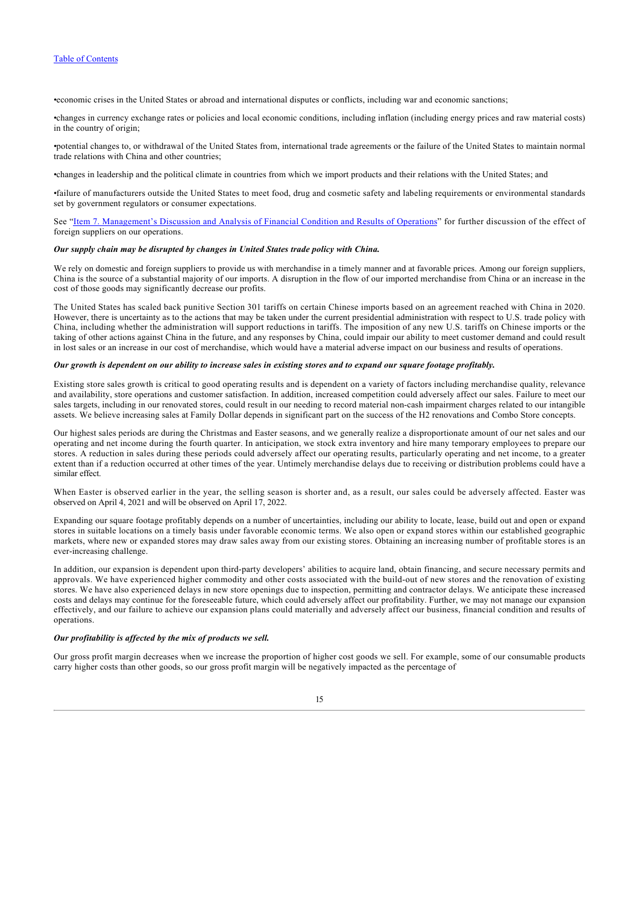•economic crises in the United States or abroad and international disputes or conflicts, including war and economic sanctions;

•changes in currency exchange rates or policies and local economic conditions, including inflation (including energy prices and raw material costs) in the country of origin;

•potential changes to, or withdrawal of the United States from, international trade agreements or the failure of the United States to maintain normal trade relations with China and other countries;

•changes in leadership and the political climate in countries from which we import products and their relations with the United States; and

•failure of manufacturers outside the United States to meet food, drug and cosmetic safety and labeling requirements or environmental standards set by government regulators or consumer expectations.

See ["Item 7. Management's Discussion and Analysis of Financial Condition and Results of Operations](#page-26-1)" for further discussion of the effect of foreign suppliers on our operations.

#### *Our supply chain may be disrupted by changes in United States trade policy with China.*

We rely on domestic and foreign suppliers to provide us with merchandise in a timely manner and at favorable prices. Among our foreign suppliers, China is the source of a substantial majority of our imports. A disruption in the flow of our imported merchandise from China or an increase in the cost of those goods may significantly decrease our profits.

The United States has scaled back punitive Section 301 tariffs on certain Chinese imports based on an agreement reached with China in 2020. However, there is uncertainty as to the actions that may be taken under the current presidential administration with respect to U.S. trade policy with China, including whether the administration will support reductions in tariffs. The imposition of any new U.S. tariffs on Chinese imports or the taking of other actions against China in the future, and any responses by China, could impair our ability to meet customer demand and could result in lost sales or an increase in our cost of merchandise, which would have a material adverse impact on our business and results of operations.

#### *Our growth is dependent on our ability to increase sales in existing stores and to expand our square footage profitably.*

Existing store sales growth is critical to good operating results and is dependent on a variety of factors including merchandise quality, relevance and availability, store operations and customer satisfaction. In addition, increased competition could adversely affect our sales. Failure to meet our sales targets, including in our renovated stores, could result in our needing to record material non-cash impairment charges related to our intangible assets. We believe increasing sales at Family Dollar depends in significant part on the success of the H2 renovations and Combo Store concepts.

Our highest sales periods are during the Christmas and Easter seasons, and we generally realize a disproportionate amount of our net sales and our operating and net income during the fourth quarter. In anticipation, we stock extra inventory and hire many temporary employees to prepare our stores. A reduction in sales during these periods could adversely affect our operating results, particularly operating and net income, to a greater extent than if a reduction occurred at other times of the year. Untimely merchandise delays due to receiving or distribution problems could have a similar effect.

When Easter is observed earlier in the year, the selling season is shorter and, as a result, our sales could be adversely affected. Easter was observed on April 4, 2021 and will be observed on April 17, 2022.

Expanding our square footage profitably depends on a number of uncertainties, including our ability to locate, lease, build out and open or expand stores in suitable locations on a timely basis under favorable economic terms. We also open or expand stores within our established geographic markets, where new or expanded stores may draw sales away from our existing stores. Obtaining an increasing number of profitable stores is an ever-increasing challenge.

In addition, our expansion is dependent upon third-party developers' abilities to acquire land, obtain financing, and secure necessary permits and approvals. We have experienced higher commodity and other costs associated with the build-out of new stores and the renovation of existing stores. We have also experienced delays in new store openings due to inspection, permitting and contractor delays. We anticipate these increased costs and delays may continue for the foreseeable future, which could adversely affect our profitability. Further, we may not manage our expansion effectively, and our failure to achieve our expansion plans could materially and adversely affect our business, financial condition and results of operations.

#### *Our profitability is affected by the mix of products we sell.*

Our gross profit margin decreases when we increase the proportion of higher cost goods we sell. For example, some of our consumable products carry higher costs than other goods, so our gross profit margin will be negatively impacted as the percentage of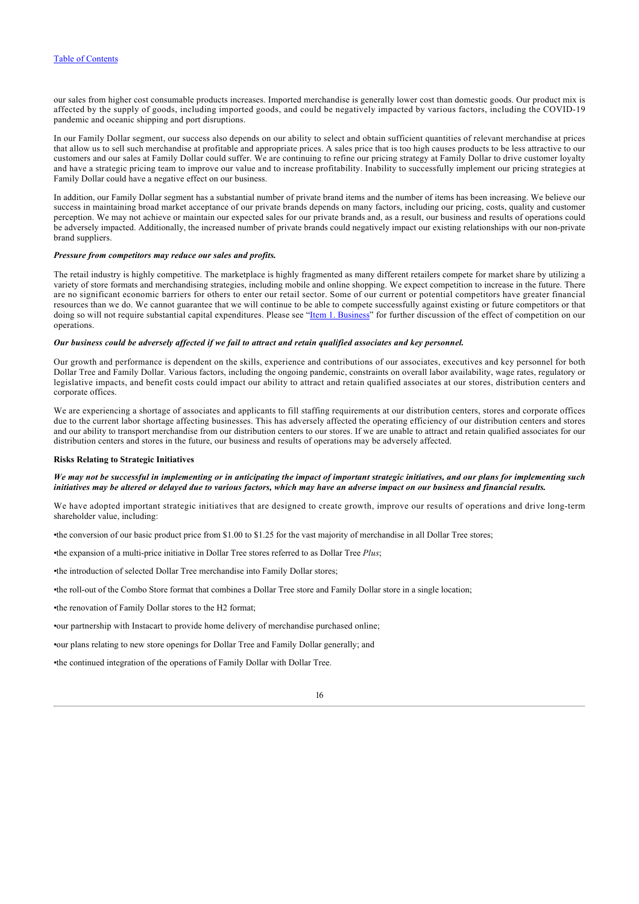our sales from higher cost consumable products increases. Imported merchandise is generally lower cost than domestic goods. Our product mix is affected by the supply of goods, including imported goods, and could be negatively impacted by various factors, including the COVID-19 pandemic and oceanic shipping and port disruptions.

In our Family Dollar segment, our success also depends on our ability to select and obtain sufficient quantities of relevant merchandise at prices that allow us to sell such merchandise at profitable and appropriate prices. A sales price that is too high causes products to be less attractive to our customers and our sales at Family Dollar could suffer. We are continuing to refine our pricing strategy at Family Dollar to drive customer loyalty and have a strategic pricing team to improve our value and to increase profitability. Inability to successfully implement our pricing strategies at Family Dollar could have a negative effect on our business.

In addition, our Family Dollar segment has a substantial number of private brand items and the number of items has been increasing. We believe our success in maintaining broad market acceptance of our private brands depends on many factors, including our pricing, costs, quality and customer perception. We may not achieve or maintain our expected sales for our private brands and, as a result, our business and results of operations could be adversely impacted. Additionally, the increased number of private brands could negatively impact our existing relationships with our non-private brand suppliers.

### *Pressure from competitors may reduce our sales and profits.*

The retail industry is highly competitive. The marketplace is highly fragmented as many different retailers compete for market share by utilizing a variety of store formats and merchandising strategies, including mobile and online shopping. We expect competition to increase in the future. There are no significant economic barriers for others to enter our retail sector. Some of our current or potential competitors have greater financial resources than we do. We cannot guarantee that we will continue to be able to compete successfully against existing or future competitors or that doing so will not require substantial capital expenditures. Please see "[Item 1. Business](#page-7-0)" for further discussion of the effect of competition on our operations.

#### *Our business could be adversely affected if we fail to attract and retain qualified associates and key personnel.*

Our growth and performance is dependent on the skills, experience and contributions of our associates, executives and key personnel for both Dollar Tree and Family Dollar. Various factors, including the ongoing pandemic, constraints on overall labor availability, wage rates, regulatory or legislative impacts, and benefit costs could impact our ability to attract and retain qualified associates at our stores, distribution centers and corporate offices.

We are experiencing a shortage of associates and applicants to fill staffing requirements at our distribution centers, stores and corporate offices due to the current labor shortage affecting businesses. This has adversely affected the operating efficiency of our distribution centers and stores and our ability to transport merchandise from our distribution centers to our stores. If we are unable to attract and retain qualified associates for our distribution centers and stores in the future, our business and results of operations may be adversely affected.

#### **Risks Relating to Strategic Initiatives**

# *We may not be successful in implementing or in anticipating the impact of important strategic initiatives, and our plans for implementing such initiatives may be altered or delayed due to various factors, which may have an adverse impact on our business and financial results.*

We have adopted important strategic initiatives that are designed to create growth, improve our results of operations and drive long-term shareholder value, including:

•the conversion of our basic product price from \$1.00 to \$1.25 for the vast majority of merchandise in all Dollar Tree stores;

•the expansion of a multi-price initiative in Dollar Tree stores referred to as Dollar Tree *Plus*;

•the introduction of selected Dollar Tree merchandise into Family Dollar stores;

•the roll-out of the Combo Store format that combines a Dollar Tree store and Family Dollar store in a single location;

•the renovation of Family Dollar stores to the H2 format;

•our partnership with Instacart to provide home delivery of merchandise purchased online;

•our plans relating to new store openings for Dollar Tree and Family Dollar generally; and

•the continued integration of the operations of Family Dollar with Dollar Tree.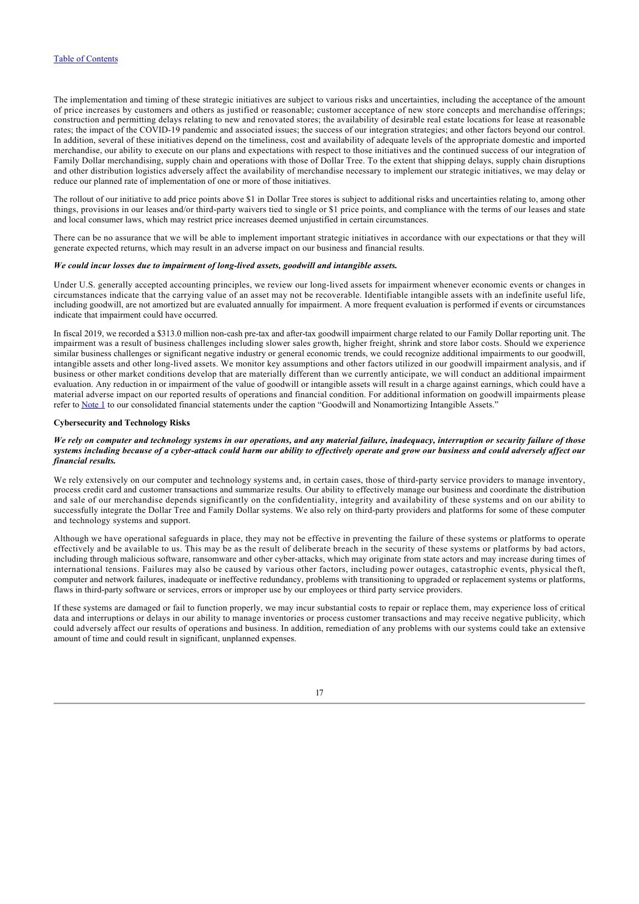The implementation and timing of these strategic initiatives are subject to various risks and uncertainties, including the acceptance of the amount of price increases by customers and others as justified or reasonable; customer acceptance of new store concepts and merchandise offerings; construction and permitting delays relating to new and renovated stores; the availability of desirable real estate locations for lease at reasonable rates; the impact of the COVID-19 pandemic and associated issues; the success of our integration strategies; and other factors beyond our control. In addition, several of these initiatives depend on the timeliness, cost and availability of adequate levels of the appropriate domestic and imported merchandise, our ability to execute on our plans and expectations with respect to those initiatives and the continued success of our integration of Family Dollar merchandising, supply chain and operations with those of Dollar Tree. To the extent that shipping delays, supply chain disruptions and other distribution logistics adversely affect the availability of merchandise necessary to implement our strategic initiatives, we may delay or reduce our planned rate of implementation of one or more of those initiatives.

The rollout of our initiative to add price points above \$1 in Dollar Tree stores is subject to additional risks and uncertainties relating to, among other things, provisions in our leases and/or third-party waivers tied to single or \$1 price points, and compliance with the terms of our leases and state and local consumer laws, which may restrict price increases deemed unjustified in certain circumstances.

There can be no assurance that we will be able to implement important strategic initiatives in accordance with our expectations or that they will generate expected returns, which may result in an adverse impact on our business and financial results.

#### *We could incur losses due to impairment of long-lived assets, goodwill and intangible assets.*

Under U.S. generally accepted accounting principles, we review our long-lived assets for impairment whenever economic events or changes in circumstances indicate that the carrying value of an asset may not be recoverable. Identifiable intangible assets with an indefinite useful life, including goodwill, are not amortized but are evaluated annually for impairment. A more frequent evaluation is performed if events or circumstances indicate that impairment could have occurred.

In fiscal 2019, we recorded a \$313.0 million non-cash pre-tax and after-tax goodwill impairment charge related to our Family Dollar reporting unit. The impairment was a result of business challenges including slower sales growth, higher freight, shrink and store labor costs. Should we experience similar business challenges or significant negative industry or general economic trends, we could recognize additional impairments to our goodwill, intangible assets and other long-lived assets. We monitor key assumptions and other factors utilized in our goodwill impairment analysis, and if business or other market conditions develop that are materially different than we currently anticipate, we will conduct an additional impairment evaluation. Any reduction in or impairment of the value of goodwill or intangible assets will result in a charge against earnings, which could have a material adverse impact on our reported results of operations and financial condition. For additional information on goodwill impairments please refer to [Note 1](#page-47-0) to our consolidated financial statements under the caption "Goodwill and Nonamortizing Intangible Assets."

# **Cybersecurity and Technology Risks**

### *We rely on computer and technology systems in our operations, and any material failure, inadequacy, interruption or security failure of those systems including because of a cyber-attack could harm our ability to effectively operate and grow our business and could adversely affect our financial results.*

We rely extensively on our computer and technology systems and, in certain cases, those of third-party service providers to manage inventory, process credit card and customer transactions and summarize results. Our ability to effectively manage our business and coordinate the distribution and sale of our merchandise depends significantly on the confidentiality, integrity and availability of these systems and on our ability to successfully integrate the Dollar Tree and Family Dollar systems. We also rely on third-party providers and platforms for some of these computer and technology systems and support.

Although we have operational safeguards in place, they may not be effective in preventing the failure of these systems or platforms to operate effectively and be available to us. This may be as the result of deliberate breach in the security of these systems or platforms by bad actors, including through malicious software, ransomware and other cyber-attacks, which may originate from state actors and may increase during times of international tensions. Failures may also be caused by various other factors, including power outages, catastrophic events, physical theft, computer and network failures, inadequate or ineffective redundancy, problems with transitioning to upgraded or replacement systems or platforms, flaws in third-party software or services, errors or improper use by our employees or third party service providers.

If these systems are damaged or fail to function properly, we may incur substantial costs to repair or replace them, may experience loss of critical data and interruptions or delays in our ability to manage inventories or process customer transactions and may receive negative publicity, which could adversely affect our results of operations and business. In addition, remediation of any problems with our systems could take an extensive amount of time and could result in significant, unplanned expenses.

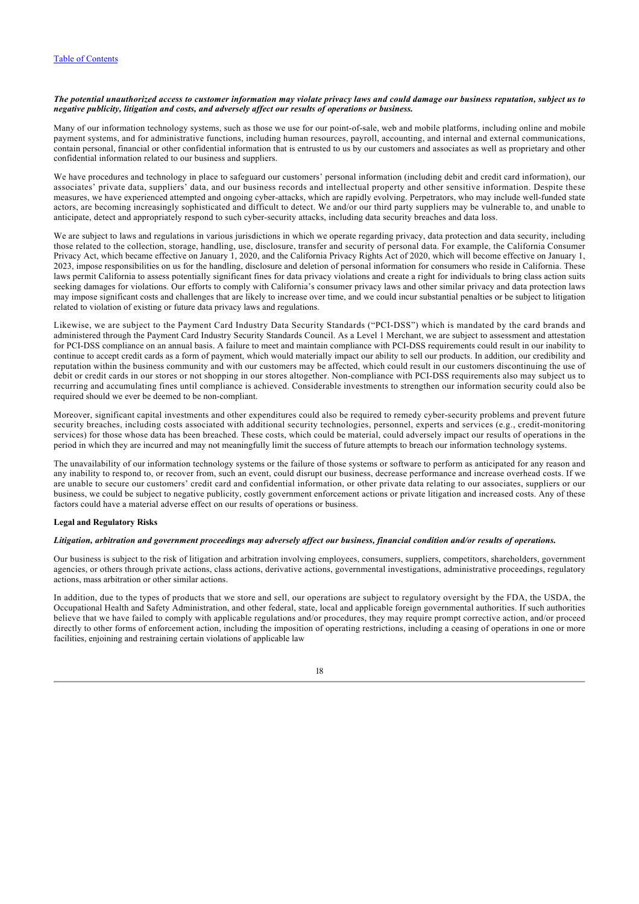## *The potential unauthorized access to customer information may violate privacy laws and could damage our business reputation, subject us to negative publicity, litigation and costs, and adversely affect our results of operations or business.*

Many of our information technology systems, such as those we use for our point-of-sale, web and mobile platforms, including online and mobile payment systems, and for administrative functions, including human resources, payroll, accounting, and internal and external communications, contain personal, financial or other confidential information that is entrusted to us by our customers and associates as well as proprietary and other confidential information related to our business and suppliers.

We have procedures and technology in place to safeguard our customers' personal information (including debit and credit card information), our associates' private data, suppliers' data, and our business records and intellectual property and other sensitive information. Despite these measures, we have experienced attempted and ongoing cyber-attacks, which are rapidly evolving. Perpetrators, who may include well-funded state actors, are becoming increasingly sophisticated and difficult to detect. We and/or our third party suppliers may be vulnerable to, and unable to anticipate, detect and appropriately respond to such cyber-security attacks, including data security breaches and data loss.

We are subject to laws and regulations in various jurisdictions in which we operate regarding privacy, data protection and data security, including those related to the collection, storage, handling, use, disclosure, transfer and security of personal data. For example, the California Consumer Privacy Act, which became effective on January 1, 2020, and the California Privacy Rights Act of 2020, which will become effective on January 1, 2023, impose responsibilities on us for the handling, disclosure and deletion of personal information for consumers who reside in California. These laws permit California to assess potentially significant fines for data privacy violations and create a right for individuals to bring class action suits seeking damages for violations. Our efforts to comply with California's consumer privacy laws and other similar privacy and data protection laws may impose significant costs and challenges that are likely to increase over time, and we could incur substantial penalties or be subject to litigation related to violation of existing or future data privacy laws and regulations.

Likewise, we are subject to the Payment Card Industry Data Security Standards ("PCI-DSS") which is mandated by the card brands and administered through the Payment Card Industry Security Standards Council. As a Level 1 Merchant, we are subject to assessment and attestation for PCI-DSS compliance on an annual basis. A failure to meet and maintain compliance with PCI-DSS requirements could result in our inability to continue to accept credit cards as a form of payment, which would materially impact our ability to sell our products. In addition, our credibility and reputation within the business community and with our customers may be affected, which could result in our customers discontinuing the use of debit or credit cards in our stores or not shopping in our stores altogether. Non-compliance with PCI-DSS requirements also may subject us to recurring and accumulating fines until compliance is achieved. Considerable investments to strengthen our information security could also be required should we ever be deemed to be non-compliant.

Moreover, significant capital investments and other expenditures could also be required to remedy cyber-security problems and prevent future security breaches, including costs associated with additional security technologies, personnel, experts and services (e.g., credit-monitoring services) for those whose data has been breached. These costs, which could be material, could adversely impact our results of operations in the period in which they are incurred and may not meaningfully limit the success of future attempts to breach our information technology systems.

The unavailability of our information technology systems or the failure of those systems or software to perform as anticipated for any reason and any inability to respond to, or recover from, such an event, could disrupt our business, decrease performance and increase overhead costs. If we are unable to secure our customers' credit card and confidential information, or other private data relating to our associates, suppliers or our business, we could be subject to negative publicity, costly government enforcement actions or private litigation and increased costs. Any of these factors could have a material adverse effect on our results of operations or business.

#### **Legal and Regulatory Risks**

### *Litigation, arbitration and government proceedings may adversely affect our business, financial condition and/or results of operations.*

Our business is subject to the risk of litigation and arbitration involving employees, consumers, suppliers, competitors, shareholders, government agencies, or others through private actions, class actions, derivative actions, governmental investigations, administrative proceedings, regulatory actions, mass arbitration or other similar actions.

In addition, due to the types of products that we store and sell, our operations are subject to regulatory oversight by the FDA, the USDA, the Occupational Health and Safety Administration, and other federal, state, local and applicable foreign governmental authorities. If such authorities believe that we have failed to comply with applicable regulations and/or procedures, they may require prompt corrective action, and/or proceed directly to other forms of enforcement action, including the imposition of operating restrictions, including a ceasing of operations in one or more facilities, enjoining and restraining certain violations of applicable law

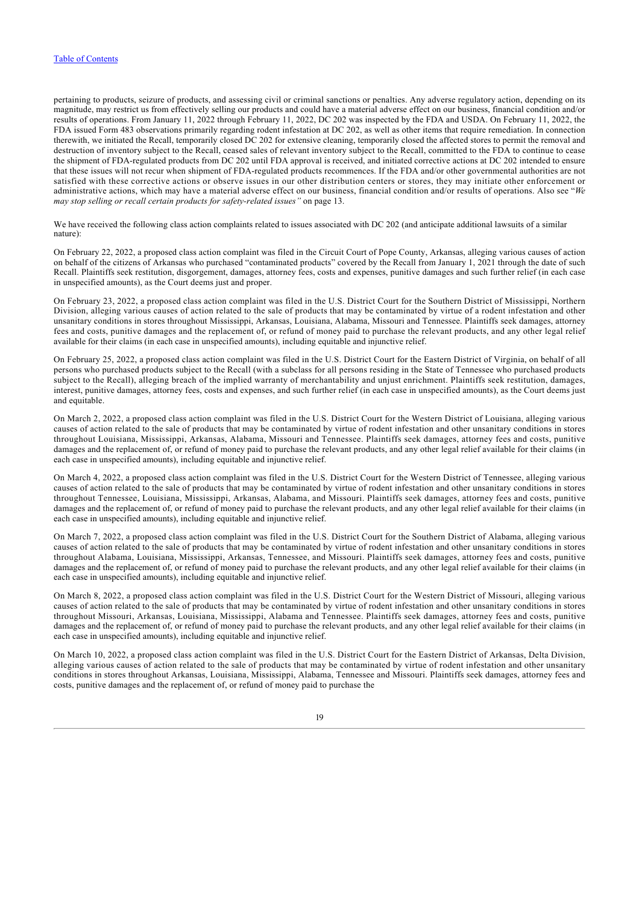pertaining to products, seizure of products, and assessing civil or criminal sanctions or penalties. Any adverse regulatory action, depending on its magnitude, may restrict us from effectively selling our products and could have a material adverse effect on our business, financial condition and/or results of operations. From January 11, 2022 through February 11, 2022, DC 202 was inspected by the FDA and USDA. On February 11, 2022, the FDA issued Form 483 observations primarily regarding rodent infestation at DC 202, as well as other items that require remediation. In connection therewith, we initiated the Recall, temporarily closed DC 202 for extensive cleaning, temporarily closed the affected stores to permit the removal and destruction of inventory subject to the Recall, ceased sales of relevant inventory subject to the Recall, committed to the FDA to continue to cease the shipment of FDA-regulated products from DC 202 until FDA approval is received, and initiated corrective actions at DC 202 intended to ensure that these issues will not recur when shipment of FDA-regulated products recommences. If the FDA and/or other governmental authorities are not satisfied with these corrective actions or observe issues in our other distribution centers or stores, they may initiate other enforcement or administrative actions, which may have a material adverse effect on our business, financial condition and/or results of operations. Also see "*We may stop selling or recall certain products for safety-related issues"* on page 13.

We have received the following class action complaints related to issues associated with DC 202 (and anticipate additional lawsuits of a similar nature):

On February 22, 2022, a proposed class action complaint was filed in the Circuit Court of Pope County, Arkansas, alleging various causes of action on behalf of the citizens of Arkansas who purchased "contaminated products" covered by the Recall from January 1, 2021 through the date of such Recall. Plaintiffs seek restitution, disgorgement, damages, attorney fees, costs and expenses, punitive damages and such further relief (in each case in unspecified amounts), as the Court deems just and proper.

On February 23, 2022, a proposed class action complaint was filed in the U.S. District Court for the Southern District of Mississippi, Northern Division, alleging various causes of action related to the sale of products that may be contaminated by virtue of a rodent infestation and other unsanitary conditions in stores throughout Mississippi, Arkansas, Louisiana, Alabama, Missouri and Tennessee. Plaintiffs seek damages, attorney fees and costs, punitive damages and the replacement of, or refund of money paid to purchase the relevant products, and any other legal relief available for their claims (in each case in unspecified amounts), including equitable and injunctive relief.

On February 25, 2022, a proposed class action complaint was filed in the U.S. District Court for the Eastern District of Virginia, on behalf of all persons who purchased products subject to the Recall (with a subclass for all persons residing in the State of Tennessee who purchased products subject to the Recall), alleging breach of the implied warranty of merchantability and unjust enrichment. Plaintiffs seek restitution, damages, interest, punitive damages, attorney fees, costs and expenses, and such further relief (in each case in unspecified amounts), as the Court deems just and equitable.

On March 2, 2022, a proposed class action complaint was filed in the U.S. District Court for the Western District of Louisiana, alleging various causes of action related to the sale of products that may be contaminated by virtue of rodent infestation and other unsanitary conditions in stores throughout Louisiana, Mississippi, Arkansas, Alabama, Missouri and Tennessee. Plaintiffs seek damages, attorney fees and costs, punitive damages and the replacement of, or refund of money paid to purchase the relevant products, and any other legal relief available for their claims (in each case in unspecified amounts), including equitable and injunctive relief.

On March 4, 2022, a proposed class action complaint was filed in the U.S. District Court for the Western District of Tennessee, alleging various causes of action related to the sale of products that may be contaminated by virtue of rodent infestation and other unsanitary conditions in stores throughout Tennessee, Louisiana, Mississippi, Arkansas, Alabama, and Missouri. Plaintiffs seek damages, attorney fees and costs, punitive damages and the replacement of, or refund of money paid to purchase the relevant products, and any other legal relief available for their claims (in each case in unspecified amounts), including equitable and injunctive relief.

On March 7, 2022, a proposed class action complaint was filed in the U.S. District Court for the Southern District of Alabama, alleging various causes of action related to the sale of products that may be contaminated by virtue of rodent infestation and other unsanitary conditions in stores throughout Alabama, Louisiana, Mississippi, Arkansas, Tennessee, and Missouri. Plaintiffs seek damages, attorney fees and costs, punitive damages and the replacement of, or refund of money paid to purchase the relevant products, and any other legal relief available for their claims (in each case in unspecified amounts), including equitable and injunctive relief.

On March 8, 2022, a proposed class action complaint was filed in the U.S. District Court for the Western District of Missouri, alleging various causes of action related to the sale of products that may be contaminated by virtue of rodent infestation and other unsanitary conditions in stores throughout Missouri, Arkansas, Louisiana, Mississippi, Alabama and Tennessee. Plaintiffs seek damages, attorney fees and costs, punitive damages and the replacement of, or refund of money paid to purchase the relevant products, and any other legal relief available for their claims (in each case in unspecified amounts), including equitable and injunctive relief.

On March 10, 2022, a proposed class action complaint was filed in the U.S. District Court for the Eastern District of Arkansas, Delta Division, alleging various causes of action related to the sale of products that may be contaminated by virtue of rodent infestation and other unsanitary conditions in stores throughout Arkansas, Louisiana, Mississippi, Alabama, Tennessee and Missouri. Plaintiffs seek damages, attorney fees and costs, punitive damages and the replacement of, or refund of money paid to purchase the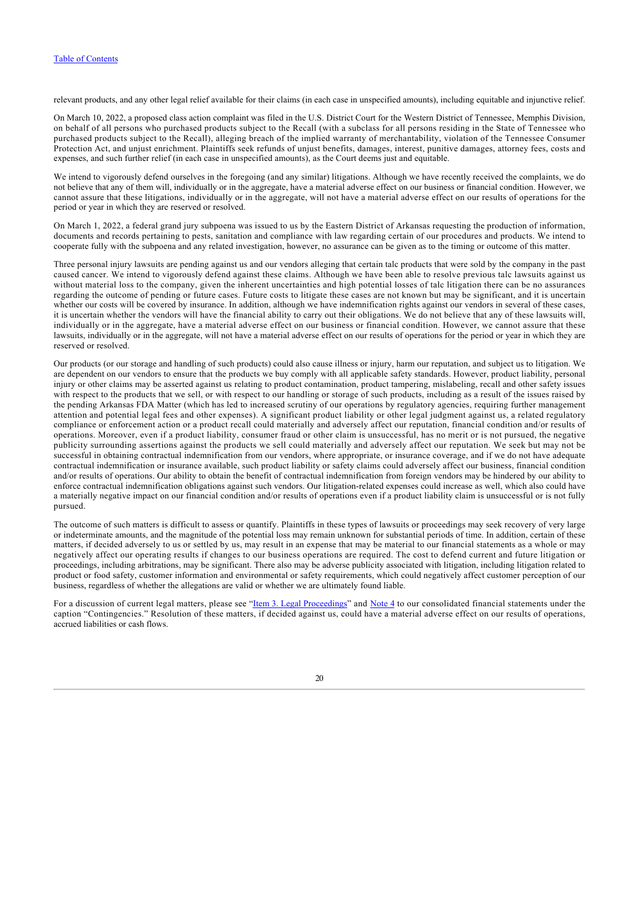relevant products, and any other legal relief available for their claims (in each case in unspecified amounts), including equitable and injunctive relief.

On March 10, 2022, a proposed class action complaint was filed in the U.S. District Court for the Western District of Tennessee, Memphis Division, on behalf of all persons who purchased products subject to the Recall (with a subclass for all persons residing in the State of Tennessee who purchased products subject to the Recall), alleging breach of the implied warranty of merchantability, violation of the Tennessee Consumer Protection Act, and unjust enrichment. Plaintiffs seek refunds of unjust benefits, damages, interest, punitive damages, attorney fees, costs and expenses, and such further relief (in each case in unspecified amounts), as the Court deems just and equitable.

We intend to vigorously defend ourselves in the foregoing (and any similar) litigations. Although we have recently received the complaints, we do not believe that any of them will, individually or in the aggregate, have a material adverse effect on our business or financial condition. However, we cannot assure that these litigations, individually or in the aggregate, will not have a material adverse effect on our results of operations for the period or year in which they are reserved or resolved.

On March 1, 2022, a federal grand jury subpoena was issued to us by the Eastern District of Arkansas requesting the production of information, documents and records pertaining to pests, sanitation and compliance with law regarding certain of our procedures and products. We intend to cooperate fully with the subpoena and any related investigation, however, no assurance can be given as to the timing or outcome of this matter.

Three personal injury lawsuits are pending against us and our vendors alleging that certain talc products that were sold by the company in the past caused cancer. We intend to vigorously defend against these claims. Although we have been able to resolve previous talc lawsuits against us without material loss to the company, given the inherent uncertainties and high potential losses of talc litigation there can be no assurances regarding the outcome of pending or future cases. Future costs to litigate these cases are not known but may be significant, and it is uncertain whether our costs will be covered by insurance. In addition, although we have indemnification rights against our vendors in several of these cases, it is uncertain whether the vendors will have the financial ability to carry out their obligations. We do not believe that any of these lawsuits will, individually or in the aggregate, have a material adverse effect on our business or financial condition. However, we cannot assure that these lawsuits, individually or in the aggregate, will not have a material adverse effect on our results of operations for the period or year in which they are reserved or resolved.

Our products (or our storage and handling of such products) could also cause illness or injury, harm our reputation, and subject us to litigation. We are dependent on our vendors to ensure that the products we buy comply with all applicable safety standards. However, product liability, personal injury or other claims may be asserted against us relating to product contamination, product tampering, mislabeling, recall and other safety issues with respect to the products that we sell, or with respect to our handling or storage of such products, including as a result of the issues raised by the pending Arkansas FDA Matter (which has led to increased scrutiny of our operations by regulatory agencies, requiring further management attention and potential legal fees and other expenses). A significant product liability or other legal judgment against us, a related regulatory compliance or enforcement action or a product recall could materially and adversely affect our reputation, financial condition and/or results of operations. Moreover, even if a product liability, consumer fraud or other claim is unsuccessful, has no merit or is not pursued, the negative publicity surrounding assertions against the products we sell could materially and adversely affect our reputation. We seek but may not be successful in obtaining contractual indemnification from our vendors, where appropriate, or insurance coverage, and if we do not have adequate contractual indemnification or insurance available, such product liability or safety claims could adversely affect our business, financial condition and/or results of operations. Our ability to obtain the benefit of contractual indemnification from foreign vendors may be hindered by our ability to enforce contractual indemnification obligations against such vendors. Our litigation-related expenses could increase as well, which also could have a materially negative impact on our financial condition and/or results of operations even if a product liability claim is unsuccessful or is not fully pursued.

The outcome of such matters is difficult to assess or quantify. Plaintiffs in these types of lawsuits or proceedings may seek recovery of very large or indeterminate amounts, and the magnitude of the potential loss may remain unknown for substantial periods of time. In addition, certain of these matters, if decided adversely to us or settled by us, may result in an expense that may be material to our financial statements as a whole or may negatively affect our operating results if changes to our business operations are required. The cost to defend current and future litigation or proceedings, including arbitrations, may be significant. There also may be adverse publicity associated with litigation, including litigation related to product or food safety, customer information and environmental or safety requirements, which could negatively affect customer perception of our business, regardless of whether the allegations are valid or whether we are ultimately found liable.

For a discussion of current legal matters, please see "[Item 3. Legal Proceedings](#page-23-1)" and [Note 4](#page-54-0) to our consolidated financial statements under the caption "Contingencies." Resolution of these matters, if decided against us, could have a material adverse effect on our results of operations, accrued liabilities or cash flows.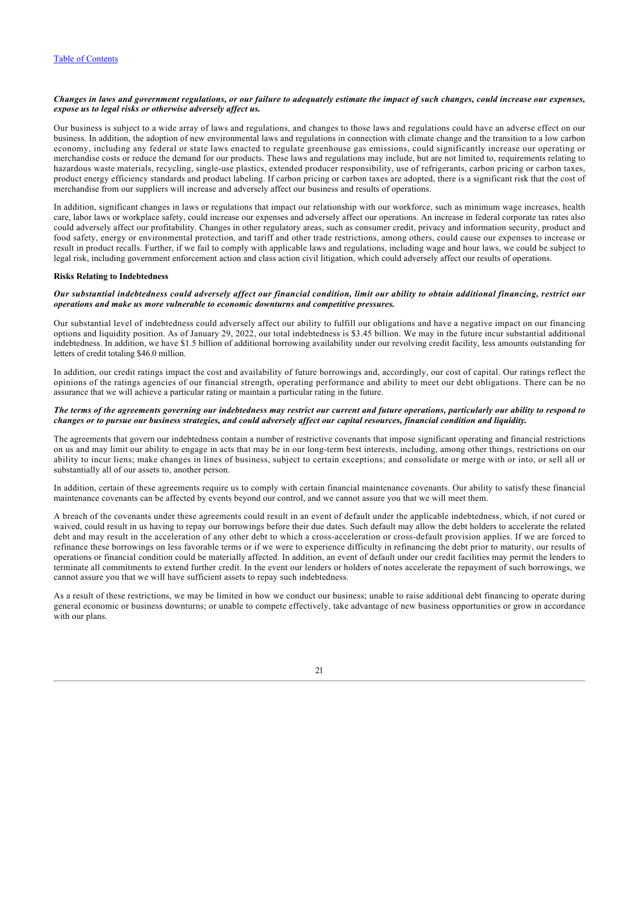# *Changes in laws and government regulations, or our failure to adequately estimate the impact of such changes, could increase our expenses, expose us to legal risks or otherwise adversely affect us.*

Our business is subject to a wide array of laws and regulations, and changes to those laws and regulations could have an adverse effect on our business. In addition, the adoption of new environmental laws and regulations in connection with climate change and the transition to a low carbon economy, including any federal or state laws enacted to regulate greenhouse gas emissions, could significantly increase our operating or merchandise costs or reduce the demand for our products. These laws and regulations may include, but are not limited to, requirements relating to hazardous waste materials, recycling, single-use plastics, extended producer responsibility, use of refrigerants, carbon pricing or carbon taxes, product energy efficiency standards and product labeling. If carbon pricing or carbon taxes are adopted, there is a significant risk that the cost of merchandise from our suppliers will increase and adversely affect our business and results of operations.

In addition, significant changes in laws or regulations that impact our relationship with our workforce, such as minimum wage increases, health care, labor laws or workplace safety, could increase our expenses and adversely affect our operations. An increase in federal corporate tax rates also could adversely affect our profitability. Changes in other regulatory areas, such as consumer credit, privacy and information security, product and food safety, energy or environmental protection, and tariff and other trade restrictions, among others, could cause our expenses to increase or result in product recalls. Further, if we fail to comply with applicable laws and regulations, including wage and hour laws, we could be subject to legal risk, including government enforcement action and class action civil litigation, which could adversely affect our results of operations.

#### **Risks Relating to Indebtedness**

#### *Our substantial indebtedness could adversely affect our financial condition, limit our ability to obtain additional financing, restrict our operations and make us more vulnerable to economic downturns and competitive pressures.*

Our substantial level of indebtedness could adversely affect our ability to fulfill our obligations and have a negative impact on our financing options and liquidity position. As of January 29, 2022, our total indebtedness is \$3.45 billion. We may in the future incur substantial additional indebtedness. In addition, we have \$1.5 billion of additional borrowing availability under our revolving credit facility, less amounts outstanding for letters of credit totaling \$46.0 million.

In addition, our credit ratings impact the cost and availability of future borrowings and, accordingly, our cost of capital. Our ratings reflect the opinions of the ratings agencies of our financial strength, operating performance and ability to meet our debt obligations. There can be no assurance that we will achieve a particular rating or maintain a particular rating in the future.

### *The terms of the agreements governing our indebtedness may restrict our current and future operations, particularly our ability to respond to changes or to pursue our business strategies, and could adversely affect our capital resources, financial condition and liquidity.*

The agreements that govern our indebtedness contain a number of restrictive covenants that impose significant operating and financial restrictions on us and may limit our ability to engage in acts that may be in our long-term best interests, including, among other things, restrictions on our ability to incur liens; make changes in lines of business, subject to certain exceptions; and consolidate or merge with or into, or sell all or substantially all of our assets to, another person.

In addition, certain of these agreements require us to comply with certain financial maintenance covenants. Our ability to satisfy these financial maintenance covenants can be affected by events beyond our control, and we cannot assure you that we will meet them.

A breach of the covenants under these agreements could result in an event of default under the applicable indebtedness, which, if not cured or waived, could result in us having to repay our borrowings before their due dates. Such default may allow the debt holders to accelerate the related debt and may result in the acceleration of any other debt to which a cross-acceleration or cross-default provision applies. If we are forced to refinance these borrowings on less favorable terms or if we were to experience difficulty in refinancing the debt prior to maturity, our results of operations or financial condition could be materially affected. In addition, an event of default under our credit facilities may permit the lenders to terminate all commitments to extend further credit. In the event our lenders or holders of notes accelerate the repayment of such borrowings, we cannot assure you that we will have sufficient assets to repay such indebtedness.

As a result of these restrictions, we may be limited in how we conduct our business; unable to raise additional debt financing to operate during general economic or business downturns; or unable to compete effectively, take advantage of new business opportunities or grow in accordance with our plans.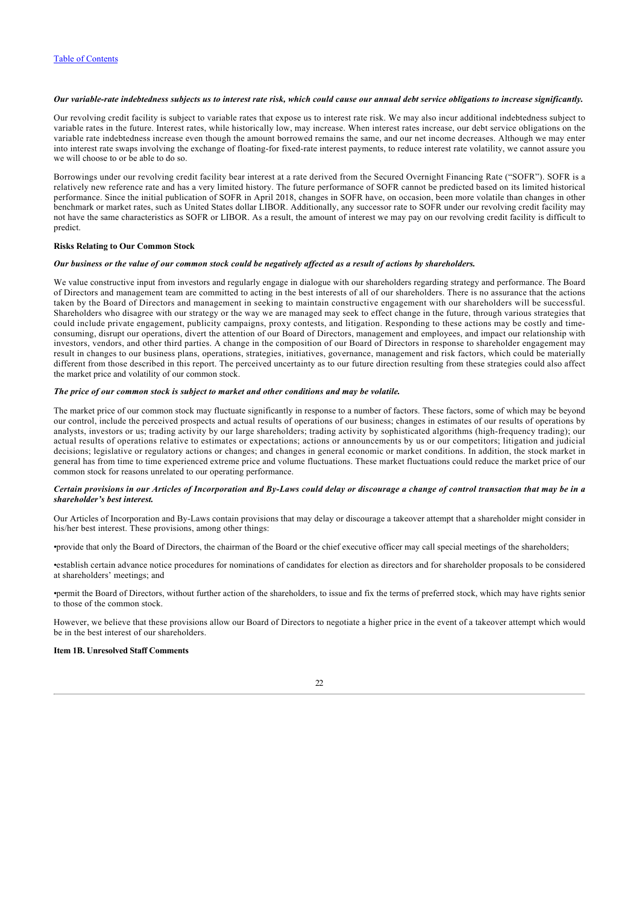# *Our variable-rate indebtedness subjects us to interest rate risk, which could cause our annual debt service obligations to increase significantly.*

Our revolving credit facility is subject to variable rates that expose us to interest rate risk. We may also incur additional indebtedness subject to variable rates in the future. Interest rates, while historically low, may increase. When interest rates increase, our debt service obligations on the variable rate indebtedness increase even though the amount borrowed remains the same, and our net income decreases. Although we may enter into interest rate swaps involving the exchange of floating-for fixed-rate interest payments, to reduce interest rate volatility, we cannot assure you we will choose to or be able to do so.

Borrowings under our revolving credit facility bear interest at a rate derived from the Secured Overnight Financing Rate ("SOFR"). SOFR is a relatively new reference rate and has a very limited history. The future performance of SOFR cannot be predicted based on its limited historical performance. Since the initial publication of SOFR in April 2018, changes in SOFR have, on occasion, been more volatile than changes in other benchmark or market rates, such as United States dollar LIBOR. Additionally, any successor rate to SOFR under our revolving credit facility may not have the same characteristics as SOFR or LIBOR. As a result, the amount of interest we may pay on our revolving credit facility is difficult to predict.

#### **Risks Relating to Our Common Stock**

# *Our business or the value of our common stock could be negatively affected as a result of actions by shareholders.*

We value constructive input from investors and regularly engage in dialogue with our shareholders regarding strategy and performance. The Board of Directors and management team are committed to acting in the best interests of all of our shareholders. There is no assurance that the actions taken by the Board of Directors and management in seeking to maintain constructive engagement with our shareholders will be successful. Shareholders who disagree with our strategy or the way we are managed may seek to effect change in the future, through various strategies that could include private engagement, publicity campaigns, proxy contests, and litigation. Responding to these actions may be costly and timeconsuming, disrupt our operations, divert the attention of our Board of Directors, management and employees, and impact our relationship with investors, vendors, and other third parties. A change in the composition of our Board of Directors in response to shareholder engagement may result in changes to our business plans, operations, strategies, initiatives, governance, management and risk factors, which could be materially different from those described in this report. The perceived uncertainty as to our future direction resulting from these strategies could also affect the market price and volatility of our common stock.

#### *The price of our common stock is subject to market and other conditions and may be volatile.*

The market price of our common stock may fluctuate significantly in response to a number of factors. These factors, some of which may be beyond our control, include the perceived prospects and actual results of operations of our business; changes in estimates of our results of operations by analysts, investors or us; trading activity by our large shareholders; trading activity by sophisticated algorithms (high-frequency trading); our actual results of operations relative to estimates or expectations; actions or announcements by us or our competitors; litigation and judicial decisions; legislative or regulatory actions or changes; and changes in general economic or market conditions. In addition, the stock market in general has from time to time experienced extreme price and volume fluctuations. These market fluctuations could reduce the market price of our common stock for reasons unrelated to our operating performance.

# *Certain provisions in our Articles of Incorporation and By-Laws could delay or discourage a change of control transaction that may be in a shareholder's best interest.*

Our Articles of Incorporation and By-Laws contain provisions that may delay or discourage a takeover attempt that a shareholder might consider in his/her best interest. These provisions, among other things:

•provide that only the Board of Directors, the chairman of the Board or the chief executive officer may call special meetings of the shareholders;

•establish certain advance notice procedures for nominations of candidates for election as directors and for shareholder proposals to be considered at shareholders' meetings; and

•permit the Board of Directors, without further action of the shareholders, to issue and fix the terms of preferred stock, which may have rights senior to those of the common stock.

However, we believe that these provisions allow our Board of Directors to negotiate a higher price in the event of a takeover attempt which would be in the best interest of our shareholders.

# <span id="page-22-0"></span>**Item 1B. Unresolved Staff Comments**

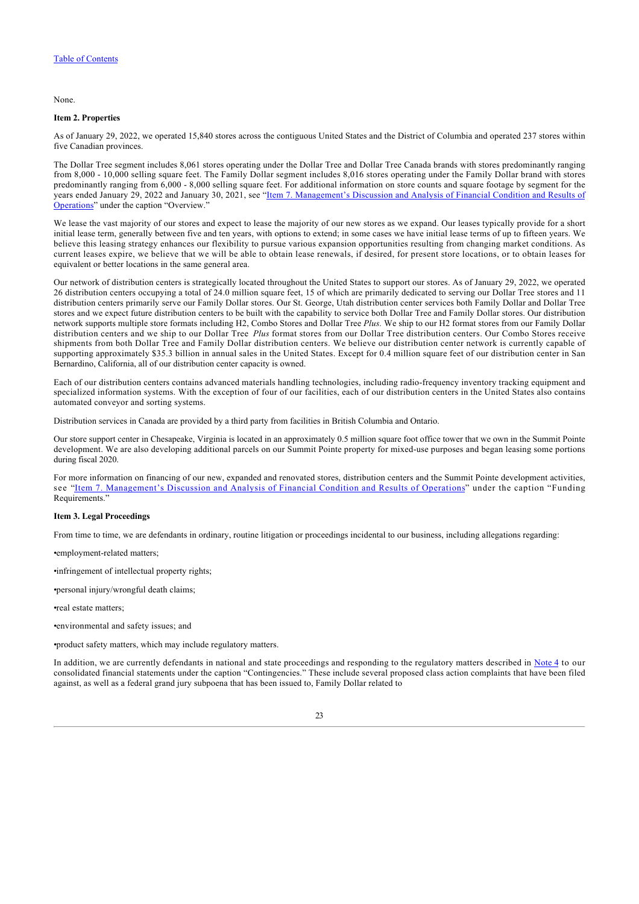None.

#### <span id="page-23-0"></span>**Item 2. Properties**

As of January 29, 2022, we operated 15,840 stores across the contiguous United States and the District of Columbia and operated 237 stores within five Canadian provinces.

The Dollar Tree segment includes 8,061 stores operating under the Dollar Tree and Dollar Tree Canada brands with stores predominantly ranging from 8,000 - 10,000 selling square feet. The Family Dollar segment includes 8,016 stores operating under the Family Dollar brand with stores predominantly ranging from 6,000 - 8,000 selling square feet. For additional information on store counts and square footage by segment for the [years ended January 29, 2022 and January 30, 2021, see "Item 7. Management's Discussion and Analysis of Financial Condition and Results of](#page-26-1) Operations" under the caption "Overview."

We lease the vast majority of our stores and expect to lease the majority of our new stores as we expand. Our leases typically provide for a short initial lease term, generally between five and ten years, with options to extend; in some cases we have initial lease terms of up to fifteen years. We believe this leasing strategy enhances our flexibility to pursue various expansion opportunities resulting from changing market conditions. As current leases expire, we believe that we will be able to obtain lease renewals, if desired, for present store locations, or to obtain leases for equivalent or better locations in the same general area.

Our network of distribution centers is strategically located throughout the United States to support our stores. As of January 29, 2022, we operated 26 distribution centers occupying a total of 24.0 million square feet, 15 of which are primarily dedicated to serving our Dollar Tree stores and 11 distribution centers primarily serve our Family Dollar stores. Our St. George, Utah distribution center services both Family Dollar and Dollar Tree stores and we expect future distribution centers to be built with the capability to service both Dollar Tree and Family Dollar stores. Our distribution network supports multiple store formats including H2, Combo Stores and Dollar Tree *Plus.* We ship to our H2 format stores from our Family Dollar distribution centers and we ship to our Dollar Tree *Plus* format stores from our Dollar Tree distribution centers. Our Combo Stores receive shipments from both Dollar Tree and Family Dollar distribution centers. We believe our distribution center network is currently capable of supporting approximately \$35.3 billion in annual sales in the United States. Except for 0.4 million square feet of our distribution center in San Bernardino, California, all of our distribution center capacity is owned.

Each of our distribution centers contains advanced materials handling technologies, including radio-frequency inventory tracking equipment and specialized information systems. With the exception of four of our facilities, each of our distribution centers in the United States also contains automated conveyor and sorting systems.

Distribution services in Canada are provided by a third party from facilities in British Columbia and Ontario.

Our store support center in Chesapeake, Virginia is located in an approximately 0.5 million square foot office tower that we own in the Summit Pointe development. We are also developing additional parcels on our Summit Pointe property for mixed-use purposes and began leasing some portions during fiscal 2020.

For more information on financing of our new, expanded and renovated stores, distribution centers and the Summit Pointe development activities, see "[Item 7. Management's Discussion and Analysis of Financial Condition and Results of Operations](#page-26-1)" under the caption "Funding Requirements."

# <span id="page-23-1"></span>**Item 3. Legal Proceedings**

From time to time, we are defendants in ordinary, routine litigation or proceedings incidental to our business, including allegations regarding:

•employment-related matters;

•infringement of intellectual property rights;

•personal injury/wrongful death claims;

•real estate matters;

•environmental and safety issues; and

•product safety matters, which may include regulatory matters.

In addition, we are currently defendants in national and state proceedings and responding to the regulatory matters described in [Note 4](#page-54-0) to our consolidated financial statements under the caption "Contingencies." These include several proposed class action complaints that have been filed against, as well as a federal grand jury subpoena that has been issued to, Family Dollar related to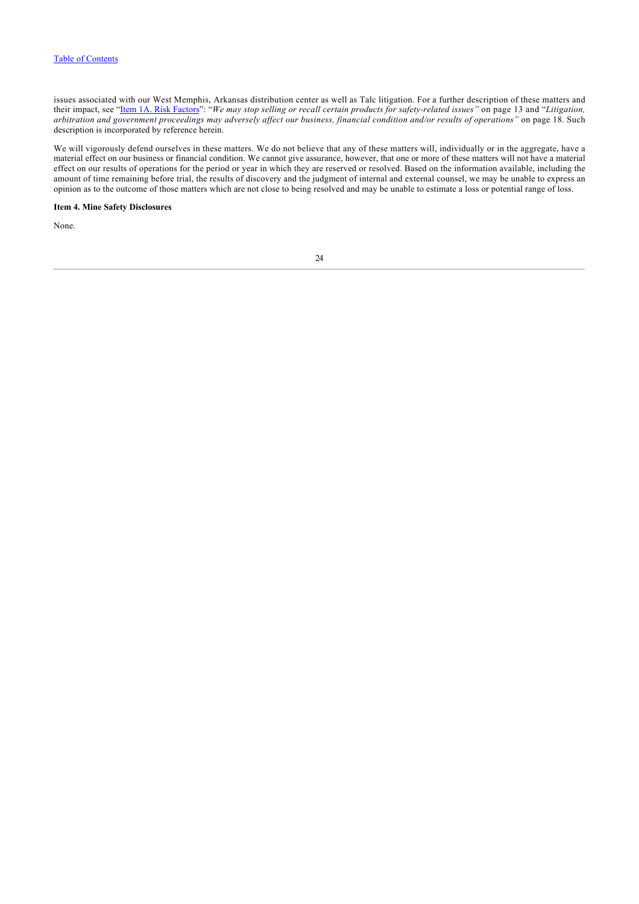issues associated with our West Memphis, Arkansas distribution center as well as Talc litigation. For a further description of these matters and their impact, see "[Item 1A. Risk Factors"](#page-11-0): "*We may stop selling or recall certain products for safety-related issues"* on page 13 and "*Litigation, arbitration and government proceedings may adversely affect our business, financial condition and/or results of operations"* on page 18. Such description is incorporated by reference herein.

We will vigorously defend ourselves in these matters. We do not believe that any of these matters will, individually or in the aggregate, have a material effect on our business or financial condition. We cannot give assurance, however, that one or more of these matters will not have a material effect on our results of operations for the period or year in which they are reserved or resolved. Based on the information available, including the amount of time remaining before trial, the results of discovery and the judgment of internal and external counsel, we may be unable to express an opinion as to the outcome of those matters which are not close to being resolved and may be unable to estimate a loss or potential range of loss.

### <span id="page-24-0"></span>**Item 4. Mine Safety Disclosures**

None.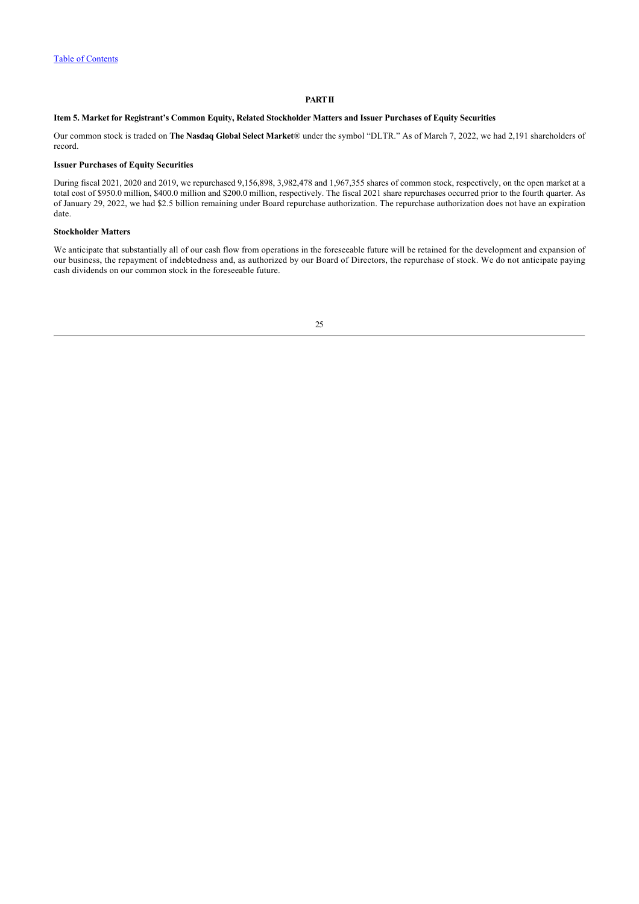# **PART II**

# <span id="page-25-0"></span>**Item 5. Market for Registrant's Common Equity, Related Stockholder Matters and Issuer Purchases of Equity Securities**

Our common stock is traded on **The Nasdaq Global Select Market**® under the symbol "DLTR." As of March 7, 2022, we had 2,191 shareholders of record.

#### **Issuer Purchases of Equity Securities**

During fiscal 2021, 2020 and 2019, we repurchased 9,156,898, 3,982,478 and 1,967,355 shares of common stock, respectively, on the open market at a total cost of \$950.0 million, \$400.0 million and \$200.0 million, respectively. The fiscal 2021 share repurchases occurred prior to the fourth quarter. As of January 29, 2022, we had \$2.5 billion remaining under Board repurchase authorization. The repurchase authorization does not have an expiration date.

# **Stockholder Matters**

We anticipate that substantially all of our cash flow from operations in the foreseeable future will be retained for the development and expansion of our business, the repayment of indebtedness and, as authorized by our Board of Directors, the repurchase of stock. We do not anticipate paying cash dividends on our common stock in the foreseeable future.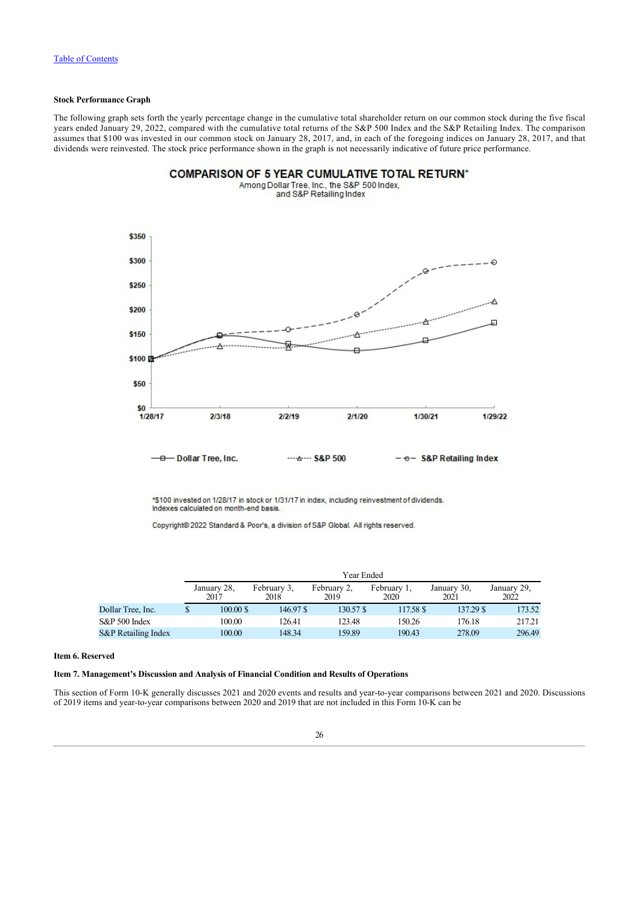# **Stock Performance Graph**

The following graph sets forth the yearly percentage change in the cumulative total shareholder return on our common stock during the five fiscal years ended January 29, 2022, compared with the cumulative total returns of the S&P 500 Index and the S&P Retailing Index. The comparison assumes that \$100 was invested in our common stock on January 28, 2017, and, in each of the foregoing indices on January 28, 2017, and that dividends were reinvested. The stock price performance shown in the graph is not necessarily indicative of future price performance.

**COMPARISON OF 5 YEAR CUMULATIVE TOTAL RETURN\*** 



\*\$100 invested on 1/28/17 in stock or 1/31/17 in index, including reinvestment of dividends. Indexes calculated on month-end basis.

Copyright® 2022 Standard & Poor's, a division of S&P Global. All rights reserved.

|                     | Year Ended          |                     |                     |                     |                     |                     |  |  |  |
|---------------------|---------------------|---------------------|---------------------|---------------------|---------------------|---------------------|--|--|--|
|                     | January 28,<br>2017 | February 3,<br>2018 | February 2,<br>2019 | February 1,<br>2020 | January 30,<br>2021 | January 29,<br>2022 |  |  |  |
| Dollar Tree, Inc.   | $100.00$ \$         | 146.97 \$           | 130.57 \$           | 117.58 \$           | 137.29 \$           | 173.52              |  |  |  |
| S&P 500 Index       | 100.00              | 126.41              | 123.48              | 150.26              | 176.18              | 217.21              |  |  |  |
| S&P Retailing Index | 100.00              | 148.34              | 159.89              | 190.43              | 278.09              | 296.49              |  |  |  |

#### <span id="page-26-0"></span>**Item 6. Reserved**

# <span id="page-26-1"></span>**Item 7. Management's Discussion and Analysis of Financial Condition and Results of Operations**

This section of Form 10-K generally discusses 2021 and 2020 events and results and year-to-year comparisons between 2021 and 2020. Discussions of 2019 items and year-to-year comparisons between 2020 and 2019 that are not included in this Form 10-K can be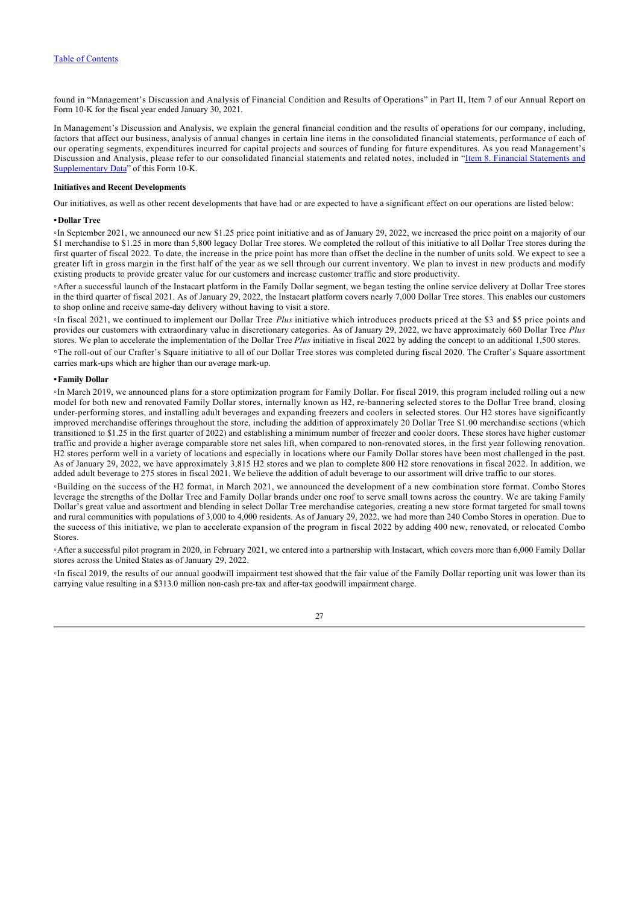found in "Management's Discussion and Analysis of Financial Condition and Results of Operations" in Part II, Item 7 of our Annual Report on Form 10-K for the fiscal year ended January 30, 2021.

In Management's Discussion and Analysis, we explain the general financial condition and the results of operations for our company, including, factors that affect our business, analysis of annual changes in certain line items in the consolidated financial statements, performance of each of our operating segments, expenditures incurred for capital projects and sources of funding for future expenditures. As you read Management's [Discussion and Analysis, please refer to our consolidated financial statements and related notes, included in "Item 8. Financial Statements and](#page-38-1) Supplementary Data" of this Form 10-K.

## **Initiatives and Recent Developments**

Our initiatives, as well as other recent developments that have had or are expected to have a significant effect on our operations are listed below:

#### **•Dollar Tree**

◦In September 2021, we announced our new \$1.25 price point initiative and as of January 29, 2022, we increased the price point on a majority of our \$1 merchandise to \$1.25 in more than 5,800 legacy Dollar Tree stores. We completed the rollout of this initiative to all Dollar Tree stores during the first quarter of fiscal 2022. To date, the increase in the price point has more than offset the decline in the number of units sold. We expect to see a greater lift in gross margin in the first half of the year as we sell through our current inventory. We plan to invest in new products and modify existing products to provide greater value for our customers and increase customer traffic and store productivity.

◦After a successful launch of the Instacart platform in the Family Dollar segment, we began testing the online service delivery at Dollar Tree stores in the third quarter of fiscal 2021. As of January 29, 2022, the Instacart platform covers nearly 7,000 Dollar Tree stores. This enables our customers to shop online and receive same-day delivery without having to visit a store.

◦In fiscal 2021, we continued to implement our Dollar Tree *Plus* initiative which introduces products priced at the \$3 and \$5 price points and provides our customers with extraordinary value in discretionary categories. As of January 29, 2022, we have approximately 660 Dollar Tree *Plus* stores. We plan to accelerate the implementation of the Dollar Tree *Plus* initiative in fiscal 2022 by adding the concept to an additional 1,500 stores.

◦The roll-out of our Crafter's Square initiative to all of our Dollar Tree stores was completed during fiscal 2020. The Crafter's Square assortment carries mark-ups which are higher than our average mark-up.

## **•Family Dollar**

◦In March 2019, we announced plans for a store optimization program for Family Dollar. For fiscal 2019, this program included rolling out a new model for both new and renovated Family Dollar stores, internally known as H2, re-bannering selected stores to the Dollar Tree brand, closing under-performing stores, and installing adult beverages and expanding freezers and coolers in selected stores. Our H2 stores have significantly improved merchandise offerings throughout the store, including the addition of approximately 20 Dollar Tree \$1.00 merchandise sections (which transitioned to \$1.25 in the first quarter of 2022) and establishing a minimum number of freezer and cooler doors. These stores have higher customer traffic and provide a higher average comparable store net sales lift, when compared to non-renovated stores, in the first year following renovation. H2 stores perform well in a variety of locations and especially in locations where our Family Dollar stores have been most challenged in the past. As of January 29, 2022, we have approximately 3,815 H2 stores and we plan to complete 800 H2 store renovations in fiscal 2022. In addition, we added adult beverage to 275 stores in fiscal 2021. We believe the addition of adult beverage to our assortment will drive traffic to our stores.

◦Building on the success of the H2 format, in March 2021, we announced the development of a new combination store format. Combo Stores leverage the strengths of the Dollar Tree and Family Dollar brands under one roof to serve small towns across the country. We are taking Family Dollar's great value and assortment and blending in select Dollar Tree merchandise categories, creating a new store format targeted for small towns and rural communities with populations of 3,000 to 4,000 residents. As of January 29, 2022, we had more than 240 Combo Stores in operation. Due to the success of this initiative, we plan to accelerate expansion of the program in fiscal 2022 by adding 400 new, renovated, or relocated Combo Stores.

◦After a successful pilot program in 2020, in February 2021, we entered into a partnership with Instacart, which covers more than 6,000 Family Dollar stores across the United States as of January 29, 2022.

◦In fiscal 2019, the results of our annual goodwill impairment test showed that the fair value of the Family Dollar reporting unit was lower than its carrying value resulting in a \$313.0 million non-cash pre-tax and after-tax goodwill impairment charge.

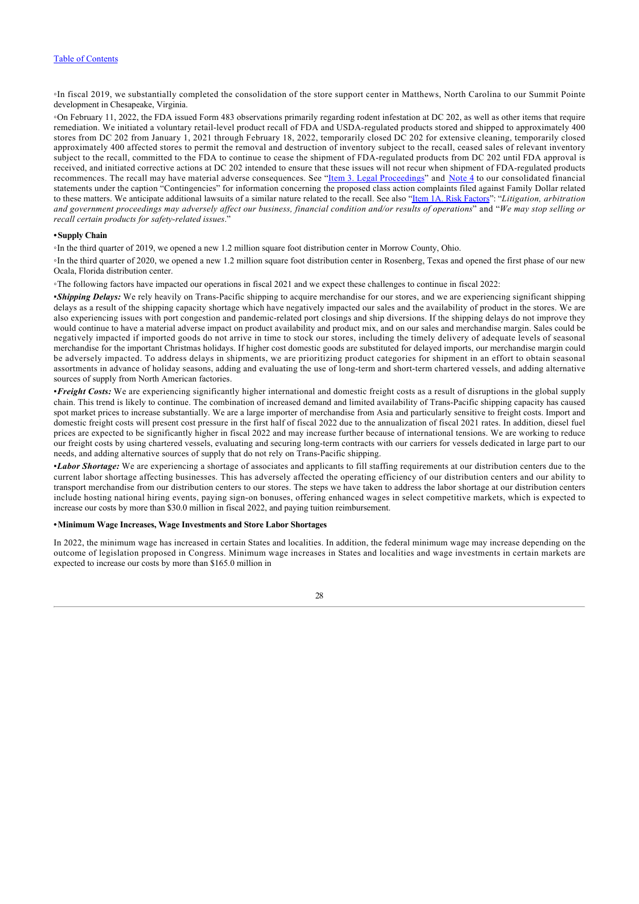◦In fiscal 2019, we substantially completed the consolidation of the store support center in Matthews, North Carolina to our Summit Pointe development in Chesapeake, Virginia.

◦On February 11, 2022, the FDA issued Form 483 observations primarily regarding rodent infestation at DC 202, as well as other items that require remediation. We initiated a voluntary retail-level product recall of FDA and USDA-regulated products stored and shipped to approximately 400 stores from DC 202 from January 1, 2021 through February 18, 2022, temporarily closed DC 202 for extensive cleaning, temporarily closed approximately 400 affected stores to permit the removal and destruction of inventory subject to the recall, ceased sales of relevant inventory subject to the recall, committed to the FDA to continue to cease the shipment of FDA-regulated products from DC 202 until FDA approval is received, and initiated corrective actions at DC 202 intended to ensure that these issues will not recur when shipment of FDA-regulated products recommences. The recall may have material adverse consequences. See "[Item 3. Legal Proceedings](#page-23-1)" and [Note 4](#page-54-0) to our consolidated financial statements under the caption "Contingencies" for information concerning the proposed class action complaints filed against Family Dollar related to these matters. We anticipate additional lawsuits of a similar nature related to the recall. See also "[Item 1A. Risk Factors"](#page-11-0): "*Litigation, arbitration and government proceedings may adversely affect our business, financial condition and/or results of operations*" and "*We may stop selling or recall certain products for safety-related issues*."

#### **•Supply Chain**

◦In the third quarter of 2019, we opened a new 1.2 million square foot distribution center in Morrow County, Ohio.

◦In the third quarter of 2020, we opened a new 1.2 million square foot distribution center in Rosenberg, Texas and opened the first phase of our new Ocala, Florida distribution center.

◦The following factors have impacted our operations in fiscal 2021 and we expect these challenges to continue in fiscal 2022:

▪*Shipping Delays:* We rely heavily on Trans-Pacific shipping to acquire merchandise for our stores, and we are experiencing significant shipping delays as a result of the shipping capacity shortage which have negatively impacted our sales and the availability of product in the stores. We are also experiencing issues with port congestion and pandemic-related port closings and ship diversions. If the shipping delays do not improve they would continue to have a material adverse impact on product availability and product mix, and on our sales and merchandise margin. Sales could be negatively impacted if imported goods do not arrive in time to stock our stores, including the timely delivery of adequate levels of seasonal merchandise for the important Christmas holidays. If higher cost domestic goods are substituted for delayed imports, our merchandise margin could be adversely impacted. To address delays in shipments, we are prioritizing product categories for shipment in an effort to obtain seasonal assortments in advance of holiday seasons, adding and evaluating the use of long-term and short-term chartered vessels, and adding alternative sources of supply from North American factories.

▪*Freight Costs:* We are experiencing significantly higher international and domestic freight costs as a result of disruptions in the global supply chain. This trend is likely to continue. The combination of increased demand and limited availability of Trans-Pacific shipping capacity has caused spot market prices to increase substantially. We are a large importer of merchandise from Asia and particularly sensitive to freight costs. Import and domestic freight costs will present cost pressure in the first half of fiscal 2022 due to the annualization of fiscal 2021 rates. In addition, diesel fuel prices are expected to be significantly higher in fiscal 2022 and may increase further because of international tensions. We are working to reduce our freight costs by using chartered vessels, evaluating and securing long-term contracts with our carriers for vessels dedicated in large part to our needs, and adding alternative sources of supply that do not rely on Trans-Pacific shipping.

▪*Labor Shortage:* We are experiencing a shortage of associates and applicants to fill staffing requirements at our distribution centers due to the current labor shortage affecting businesses. This has adversely affected the operating efficiency of our distribution centers and our ability to transport merchandise from our distribution centers to our stores. The steps we have taken to address the labor shortage at our distribution centers include hosting national hiring events, paying sign-on bonuses, offering enhanced wages in select competitive markets, which is expected to increase our costs by more than \$30.0 million in fiscal 2022, and paying tuition reimbursement.

#### **•Minimum Wage Increases, Wage Investments and Store Labor Shortages**

In 2022, the minimum wage has increased in certain States and localities. In addition, the federal minimum wage may increase depending on the outcome of legislation proposed in Congress. Minimum wage increases in States and localities and wage investments in certain markets are expected to increase our costs by more than \$165.0 million in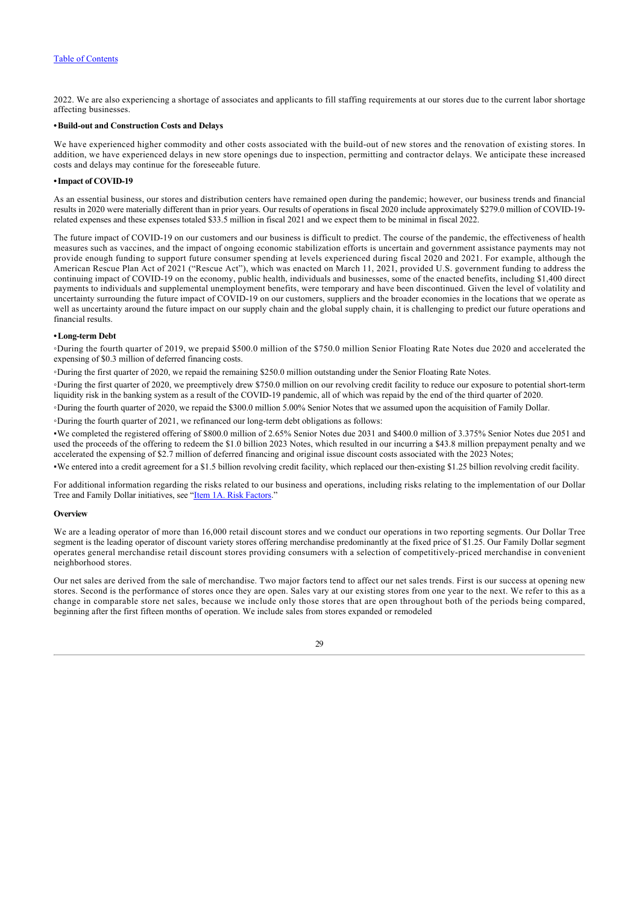2022. We are also experiencing a shortage of associates and applicants to fill staffing requirements at our stores due to the current labor shortage affecting businesses.

#### **•Build-out and Construction Costs and Delays**

We have experienced higher commodity and other costs associated with the build-out of new stores and the renovation of existing stores. In addition, we have experienced delays in new store openings due to inspection, permitting and contractor delays. We anticipate these increased costs and delays may continue for the foreseeable future.

# **•Impact of COVID-19**

As an essential business, our stores and distribution centers have remained open during the pandemic; however, our business trends and financial results in 2020 were materially different than in prior years. Our results of operations in fiscal 2020 include approximately \$279.0 million of COVID-19 related expenses and these expenses totaled \$33.5 million in fiscal 2021 and we expect them to be minimal in fiscal 2022.

The future impact of COVID-19 on our customers and our business is difficult to predict. The course of the pandemic, the effectiveness of health measures such as vaccines, and the impact of ongoing economic stabilization efforts is uncertain and government assistance payments may not provide enough funding to support future consumer spending at levels experienced during fiscal 2020 and 2021. For example, although the American Rescue Plan Act of 2021 ("Rescue Act"), which was enacted on March 11, 2021, provided U.S. government funding to address the continuing impact of COVID-19 on the economy, public health, individuals and businesses, some of the enacted benefits, including \$1,400 direct payments to individuals and supplemental unemployment benefits, were temporary and have been discontinued. Given the level of volatility and uncertainty surrounding the future impact of COVID-19 on our customers, suppliers and the broader economies in the locations that we operate as well as uncertainty around the future impact on our supply chain and the global supply chain, it is challenging to predict our future operations and financial results.

#### **•Long-term Debt**

◦During the fourth quarter of 2019, we prepaid \$500.0 million of the \$750.0 million Senior Floating Rate Notes due 2020 and accelerated the expensing of \$0.3 million of deferred financing costs.

◦During the first quarter of 2020, we repaid the remaining \$250.0 million outstanding under the Senior Floating Rate Notes.

◦During the first quarter of 2020, we preemptively drew \$750.0 million on our revolving credit facility to reduce our exposure to potential short-term liquidity risk in the banking system as a result of the COVID-19 pandemic, all of which was repaid by the end of the third quarter of 2020.

◦During the fourth quarter of 2020, we repaid the \$300.0 million 5.00% Senior Notes that we assumed upon the acquisition of Family Dollar.

◦During the fourth quarter of 2021, we refinanced our long-term debt obligations as follows:

▪We completed the registered offering of \$800.0 million of 2.65% Senior Notes due 2031 and \$400.0 million of 3.375% Senior Notes due 2051 and used the proceeds of the offering to redeem the \$1.0 billion 2023 Notes, which resulted in our incurring a \$43.8 million prepayment penalty and we accelerated the expensing of \$2.7 million of deferred financing and original issue discount costs associated with the 2023 Notes;

▪We entered into a credit agreement for a \$1.5 billion revolving credit facility, which replaced our then-existing \$1.25 billion revolving credit facility.

For additional information regarding the risks related to our business and operations, including risks relating to the implementation of our Dollar Tree and Family Dollar initiatives, see "[Item 1A. Risk Factors.](#page-11-0)"

#### **Overview**

We are a leading operator of more than 16,000 retail discount stores and we conduct our operations in two reporting segments. Our Dollar Tree segment is the leading operator of discount variety stores offering merchandise predominantly at the fixed price of \$1.25. Our Family Dollar segment operates general merchandise retail discount stores providing consumers with a selection of competitively-priced merchandise in convenient neighborhood stores.

Our net sales are derived from the sale of merchandise. Two major factors tend to affect our net sales trends. First is our success at opening new stores. Second is the performance of stores once they are open. Sales vary at our existing stores from one year to the next. We refer to this as a change in comparable store net sales, because we include only those stores that are open throughout both of the periods being compared, beginning after the first fifteen months of operation. We include sales from stores expanded or remodeled

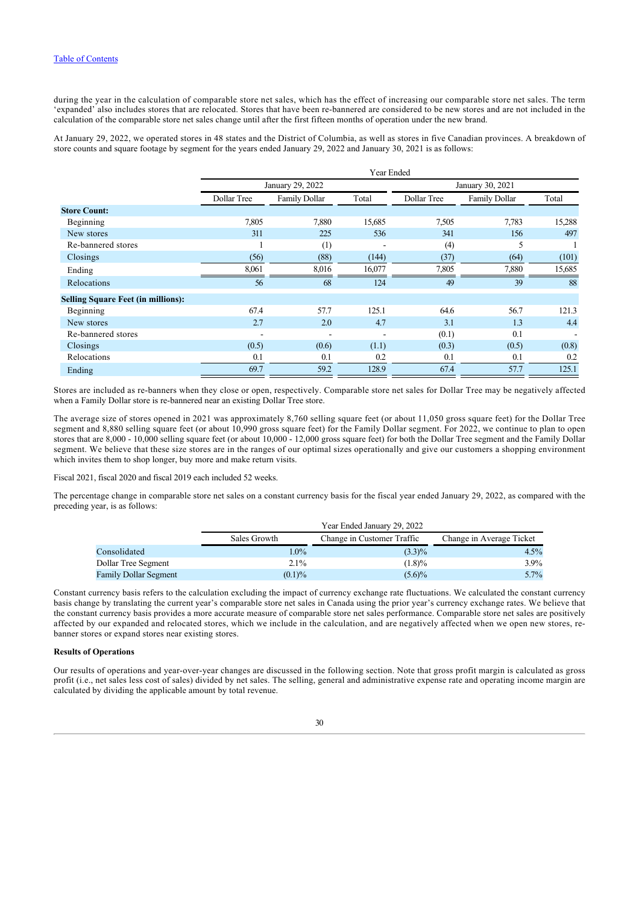during the year in the calculation of comparable store net sales, which has the effect of increasing our comparable store net sales. The term 'expanded' also includes stores that are relocated. Stores that have been re-bannered are considered to be new stores and are not included in the calculation of the comparable store net sales change until after the first fifteen months of operation under the new brand.

At January 29, 2022, we operated stores in 48 states and the District of Columbia, as well as stores in five Canadian provinces. A breakdown of store counts and square footage by segment for the years ended January 29, 2022 and January 30, 2021 is as follows:

|                                           | Year Ended  |                  |        |             |                      |        |  |  |  |
|-------------------------------------------|-------------|------------------|--------|-------------|----------------------|--------|--|--|--|
|                                           |             | January 29, 2022 |        |             | January 30, 2021     |        |  |  |  |
|                                           | Dollar Tree | Family Dollar    | Total  | Dollar Tree | <b>Family Dollar</b> | Total  |  |  |  |
| <b>Store Count:</b>                       |             |                  |        |             |                      |        |  |  |  |
| Beginning                                 | 7,805       | 7,880            | 15,685 | 7,505       | 7,783                | 15,288 |  |  |  |
| New stores                                | 311         | 225              | 536    | 341         | 156                  | 497    |  |  |  |
| Re-bannered stores                        |             | (1)              |        | (4)         | 5                    |        |  |  |  |
| Closings                                  | (56)        | (88)             | (144)  | (37)        | (64)                 | (101)  |  |  |  |
| Ending                                    | 8,061       | 8,016            | 16,077 | 7,805       | 7,880                | 15,685 |  |  |  |
| Relocations                               | 56          | 68               | 124    | 49          | 39                   | 88     |  |  |  |
| <b>Selling Square Feet (in millions):</b> |             |                  |        |             |                      |        |  |  |  |
| Beginning                                 | 67.4        | 57.7             | 125.1  | 64.6        | 56.7                 | 121.3  |  |  |  |
| New stores                                | 2.7         | 2.0              | 4.7    | 3.1         | 1.3                  | 4.4    |  |  |  |
| Re-bannered stores                        |             | ۰                |        | (0.1)       | 0.1                  |        |  |  |  |
| Closings                                  | (0.5)       | (0.6)            | (1.1)  | (0.3)       | (0.5)                | (0.8)  |  |  |  |
| Relocations                               | 0.1         | 0.1              | 0.2    | 0.1         | 0.1                  | 0.2    |  |  |  |
| Ending                                    | 69.7        | 59.2             | 128.9  | 67.4        | 57.7                 | 125.1  |  |  |  |

Stores are included as re-banners when they close or open, respectively. Comparable store net sales for Dollar Tree may be negatively affected when a Family Dollar store is re-bannered near an existing Dollar Tree store.

The average size of stores opened in 2021 was approximately 8,760 selling square feet (or about 11,050 gross square feet) for the Dollar Tree segment and 8,880 selling square feet (or about 10,990 gross square feet) for the Family Dollar segment. For 2022, we continue to plan to open stores that are 8,000 - 10,000 selling square feet (or about 10,000 - 12,000 gross square feet) for both the Dollar Tree segment and the Family Dollar segment. We believe that these size stores are in the ranges of our optimal sizes operationally and give our customers a shopping environment which invites them to shop longer, buy more and make return visits.

Fiscal 2021, fiscal 2020 and fiscal 2019 each included 52 weeks.

The percentage change in comparable store net sales on a constant currency basis for the fiscal year ended January 29, 2022, as compared with the preceding year, is as follows:

|                       | Sales Growth | Change in Customer Traffic | Change in Average Ticket |
|-----------------------|--------------|----------------------------|--------------------------|
| Consolidated          | $1.0\%$      | $(3.3)\%$                  | $4.5\%$                  |
| Dollar Tree Segment   | $2.1\%$      | (1.8)%                     | 3.9%                     |
| Family Dollar Segment | (0.1)%       | $(5.6)\%$                  | 5.7%                     |

Constant currency basis refers to the calculation excluding the impact of currency exchange rate fluctuations. We calculated the constant currency basis change by translating the current year's comparable store net sales in Canada using the prior year's currency exchange rates. We believe that the constant currency basis provides a more accurate measure of comparable store net sales performance. Comparable store net sales are positively affected by our expanded and relocated stores, which we include in the calculation, and are negatively affected when we open new stores, rebanner stores or expand stores near existing stores.

# **Results of Operations**

Our results of operations and year-over-year changes are discussed in the following section. Note that gross profit margin is calculated as gross profit (i.e., net sales less cost of sales) divided by net sales. The selling, general and administrative expense rate and operating income margin are calculated by dividing the applicable amount by total revenue.

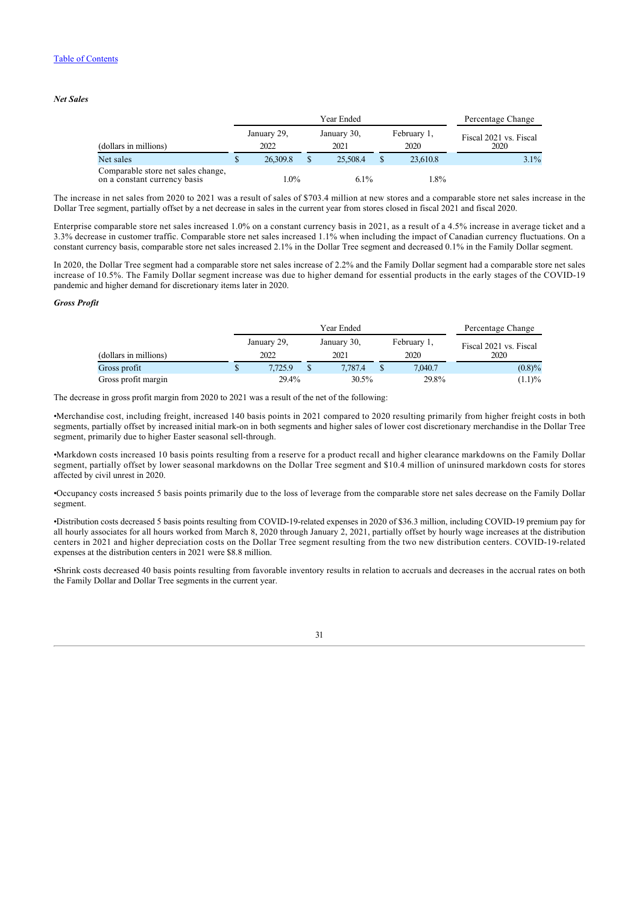# *Net Sales*

|                                                                    | Year Ended          |  |                     |  |                     | Percentage Change              |  |
|--------------------------------------------------------------------|---------------------|--|---------------------|--|---------------------|--------------------------------|--|
| (dollars in millions)                                              | January 29,<br>2022 |  | January 30,<br>2021 |  | February 1,<br>2020 | Fiscal 2021 vs. Fiscal<br>2020 |  |
| Net sales                                                          | 26,309.8            |  | 25,508.4            |  | 23,610.8            | $3.1\%$                        |  |
| Comparable store net sales change,<br>on a constant currency basis | 1.0%                |  | $6.1\%$             |  | 1.8%                |                                |  |

The increase in net sales from 2020 to 2021 was a result of sales of \$703.4 million at new stores and a comparable store net sales increase in the Dollar Tree segment, partially offset by a net decrease in sales in the current year from stores closed in fiscal 2021 and fiscal 2020.

Enterprise comparable store net sales increased 1.0% on a constant currency basis in 2021, as a result of a 4.5% increase in average ticket and a 3.3% decrease in customer traffic. Comparable store net sales increased 1.1% when including the impact of Canadian currency fluctuations. On a constant currency basis, comparable store net sales increased 2.1% in the Dollar Tree segment and decreased 0.1% in the Family Dollar segment.

In 2020, the Dollar Tree segment had a comparable store net sales increase of 2.2% and the Family Dollar segment had a comparable store net sales increase of 10.5%. The Family Dollar segment increase was due to higher demand for essential products in the early stages of the COVID-19 pandemic and higher demand for discretionary items later in 2020.

# *Gross Profit*

|                       |                     | Percentage Change   |                     |                                |
|-----------------------|---------------------|---------------------|---------------------|--------------------------------|
| (dollars in millions) | January 29,<br>2022 | January 30,<br>2021 | February 1,<br>2020 | Fiscal 2021 vs. Fiscal<br>2020 |
| Gross profit          | 7.725.9             | 7.787.4             | 7,040.7             | $(0.8)\%$                      |
| Gross profit margin   | 29.4%               | 30.5%               | 29.8%               | $(1.1)\%$                      |

The decrease in gross profit margin from 2020 to 2021 was a result of the net of the following:

•Merchandise cost, including freight, increased 140 basis points in 2021 compared to 2020 resulting primarily from higher freight costs in both segments, partially offset by increased initial mark-on in both segments and higher sales of lower cost discretionary merchandise in the Dollar Tree segment, primarily due to higher Easter seasonal sell-through.

•Markdown costs increased 10 basis points resulting from a reserve for a product recall and higher clearance markdowns on the Family Dollar segment, partially offset by lower seasonal markdowns on the Dollar Tree segment and \$10.4 million of uninsured markdown costs for stores affected by civil unrest in 2020.

•Occupancy costs increased 5 basis points primarily due to the loss of leverage from the comparable store net sales decrease on the Family Dollar segment.

•Distribution costs decreased 5 basis points resulting from COVID-19-related expenses in 2020 of \$36.3 million, including COVID-19 premium pay for all hourly associates for all hours worked from March 8, 2020 through January 2, 2021, partially offset by hourly wage increases at the distribution centers in 2021 and higher depreciation costs on the Dollar Tree segment resulting from the two new distribution centers. COVID-19-related expenses at the distribution centers in 2021 were \$8.8 million.

•Shrink costs decreased 40 basis points resulting from favorable inventory results in relation to accruals and decreases in the accrual rates on both the Family Dollar and Dollar Tree segments in the current year.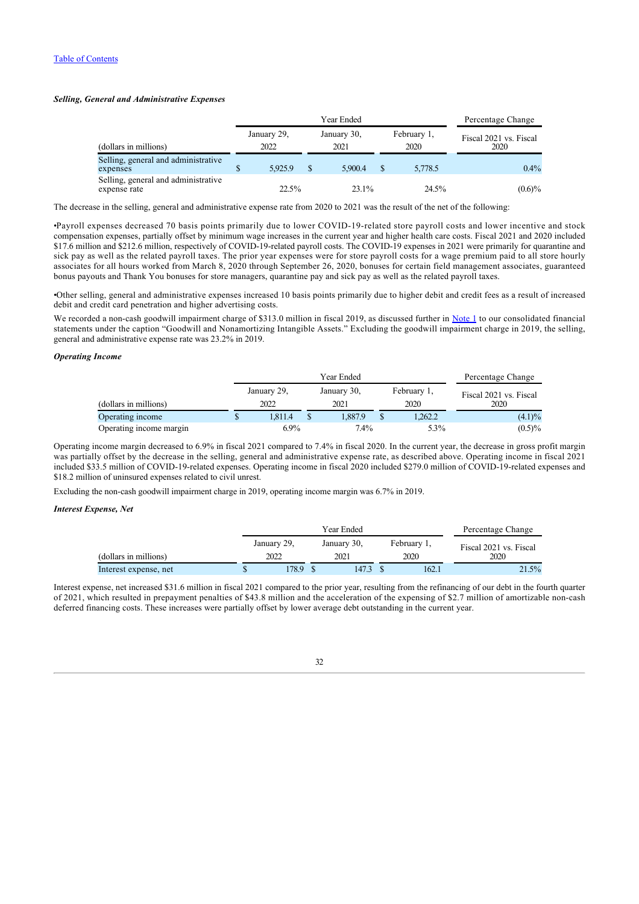# *Selling, General and Administrative Expenses*

|                                                     |    |                     | Percentage Change |                     |               |                     |                                |
|-----------------------------------------------------|----|---------------------|-------------------|---------------------|---------------|---------------------|--------------------------------|
| (dollars in millions)                               |    | January 29,<br>2022 |                   | January 30,<br>2021 |               | February 1,<br>2020 | Fiscal 2021 vs. Fiscal<br>2020 |
| Selling, general and administrative<br>expenses     | ۰D | 5.925.9             | S                 | 5,900.4             | <sup>\$</sup> | 5,778.5             | $0.4\%$                        |
| Selling, general and administrative<br>expense rate |    | 22.5%               |                   | 23.1%               |               | 24.5%               | $(0.6)\%$                      |

The decrease in the selling, general and administrative expense rate from 2020 to 2021 was the result of the net of the following:

•Payroll expenses decreased 70 basis points primarily due to lower COVID-19-related store payroll costs and lower incentive and stock compensation expenses, partially offset by minimum wage increases in the current year and higher health care costs. Fiscal 2021 and 2020 included \$17.6 million and \$212.6 million, respectively of COVID-19-related payroll costs. The COVID-19 expenses in 2021 were primarily for quarantine and sick pay as well as the related payroll taxes. The prior year expenses were for store payroll costs for a wage premium paid to all store hourly associates for all hours worked from March 8, 2020 through September 26, 2020, bonuses for certain field management associates, guaranteed bonus payouts and Thank You bonuses for store managers, quarantine pay and sick pay as well as the related payroll taxes.

•Other selling, general and administrative expenses increased 10 basis points primarily due to higher debit and credit fees as a result of increased debit and credit card penetration and higher advertising costs.

We recorded a non-cash goodwill impairment charge of \$313.0 million in fiscal 2019, as discussed further in [Note 1](#page-47-0) to our consolidated financial statements under the caption "Goodwill and Nonamortizing Intangible Assets." Excluding the goodwill impairment charge in 2019, the selling, general and administrative expense rate was 23.2% in 2019.

# *Operating Income*

|                         |                     |                     | Percentage Change |                     |                                |
|-------------------------|---------------------|---------------------|-------------------|---------------------|--------------------------------|
| (dollars in millions)   | January 29,<br>2022 | January 30,<br>2021 |                   | February 1,<br>2020 | Fiscal 2021 vs. Fiscal<br>2020 |
| Operating income        | 1.811.4             | 1.887.9             |                   | 1,262.2             | $(4.1)\%$                      |
| Operating income margin | $6.9\%$             | $7.4\%$             |                   | 5.3%                | $(0.5)\%$                      |

Operating income margin decreased to 6.9% in fiscal 2021 compared to 7.4% in fiscal 2020. In the current year, the decrease in gross profit margin was partially offset by the decrease in the selling, general and administrative expense rate, as described above. Operating income in fiscal 2021 included \$33.5 million of COVID-19-related expenses. Operating income in fiscal 2020 included \$279.0 million of COVID-19-related expenses and \$18.2 million of uninsured expenses related to civil unrest.

Excluding the non-cash goodwill impairment charge in 2019, operating income margin was 6.7% in 2019.

# *Interest Expense, Net*

|                       |             | Percentage Change |             |  |             |                        |  |  |
|-----------------------|-------------|-------------------|-------------|--|-------------|------------------------|--|--|
|                       | January 29, |                   | January 30, |  | February 1, | Fiscal 2021 vs. Fiscal |  |  |
| (dollars in millions) | 2022        |                   | 2021        |  | 2020        | 2020                   |  |  |
| Interest expense, net | 78.9        |                   | 147.3       |  | 162.1       | 21.5%                  |  |  |

Interest expense, net increased \$31.6 million in fiscal 2021 compared to the prior year, resulting from the refinancing of our debt in the fourth quarter of 2021, which resulted in prepayment penalties of \$43.8 million and the acceleration of the expensing of \$2.7 million of amortizable non-cash deferred financing costs. These increases were partially offset by lower average debt outstanding in the current year.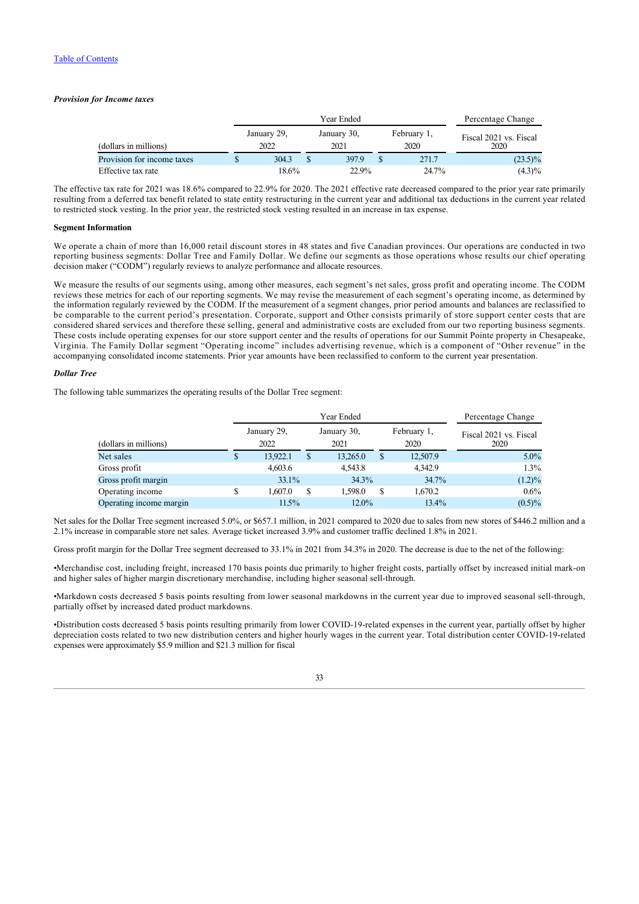# *Provision for Income taxes*

| (dollars in millions)      |  |                     | Percentage Change |                     |  |                     |                                |
|----------------------------|--|---------------------|-------------------|---------------------|--|---------------------|--------------------------------|
|                            |  | January 29,<br>2022 |                   | January 30,<br>2021 |  | February 1,<br>2020 | Fiscal 2021 vs. Fiscal<br>2020 |
| Provision for income taxes |  | 304.3               |                   | 397.9               |  | 271.7               | $(23.5)\%$                     |
| Effective tax rate         |  | 18.6%               |                   | 22.9%               |  | 24.7%               | $(4.3)\%$                      |

The effective tax rate for 2021 was 18.6% compared to 22.9% for 2020. The 2021 effective rate decreased compared to the prior year rate primarily resulting from a deferred tax benefit related to state entity restructuring in the current year and additional tax deductions in the current year related to restricted stock vesting. In the prior year, the restricted stock vesting resulted in an increase in tax expense.

# **Segment Information**

We operate a chain of more than 16,000 retail discount stores in 48 states and five Canadian provinces. Our operations are conducted in two reporting business segments: Dollar Tree and Family Dollar. We define our segments as those operations whose results our chief operating decision maker ("CODM") regularly reviews to analyze performance and allocate resources.

We measure the results of our segments using, among other measures, each segment's net sales, gross profit and operating income. The CODM reviews these metrics for each of our reporting segments. We may revise the measurement of each segment's operating income, as determined by the information regularly reviewed by the CODM. If the measurement of a segment changes, prior period amounts and balances are reclassified to be comparable to the current period's presentation. Corporate, support and Other consists primarily of store support center costs that are considered shared services and therefore these selling, general and administrative costs are excluded from our two reporting business segments. These costs include operating expenses for our store support center and the results of operations for our Summit Pointe property in Chesapeake, Virginia. The Family Dollar segment "Operating income" includes advertising revenue, which is a component of "Other revenue" in the accompanying consolidated income statements. Prior year amounts have been reclassified to conform to the current year presentation.

# *Dollar Tree*

The following table summarizes the operating results of the Dollar Tree segment:

|                         |   |                     | Percentage Change |                     |    |                     |                                |
|-------------------------|---|---------------------|-------------------|---------------------|----|---------------------|--------------------------------|
| (dollars in millions)   |   | January 29,<br>2022 |                   | January 30,<br>2021 |    | February 1,<br>2020 | Fiscal 2021 vs. Fiscal<br>2020 |
| Net sales               | D | 13.922.1            |                   | 13,265.0            | \$ | 12,507.9            | $5.0\%$                        |
| Gross profit            |   | 4,603.6             |                   | 4,543.8             |    | 4.342.9             | 1.3%                           |
| Gross profit margin     |   | $33.1\%$            |                   | 34.3%               |    | 34.7%               | $(1.2)\%$                      |
| Operating income        |   | 1.607.0             | S                 | 1.598.0             | S  | 1,670.2             | $0.6\%$                        |
| Operating income margin |   | $11.5\%$            |                   | $12.0\%$            |    | 13.4%               | $(0.5)\%$                      |

Net sales for the Dollar Tree segment increased 5.0%, or \$657.1 million, in 2021 compared to 2020 due to sales from new stores of \$446.2 million and a 2.1% increase in comparable store net sales. Average ticket increased 3.9% and customer traffic declined 1.8% in 2021.

Gross profit margin for the Dollar Tree segment decreased to  $33.1\%$  in 2021 from 34.3% in 2020. The decrease is due to the net of the following:

•Merchandise cost, including freight, increased 170 basis points due primarily to higher freight costs, partially offset by increased initial mark-on and higher sales of higher margin discretionary merchandise, including higher seasonal sell-through.

•Markdown costs decreased 5 basis points resulting from lower seasonal markdowns in the current year due to improved seasonal sell-through, partially offset by increased dated product markdowns.

•Distribution costs decreased 5 basis points resulting primarily from lower COVID-19-related expenses in the current year, partially offset by higher depreciation costs related to two new distribution centers and higher hourly wages in the current year. Total distribution center COVID-19-related expenses were approximately \$5.9 million and \$21.3 million for fiscal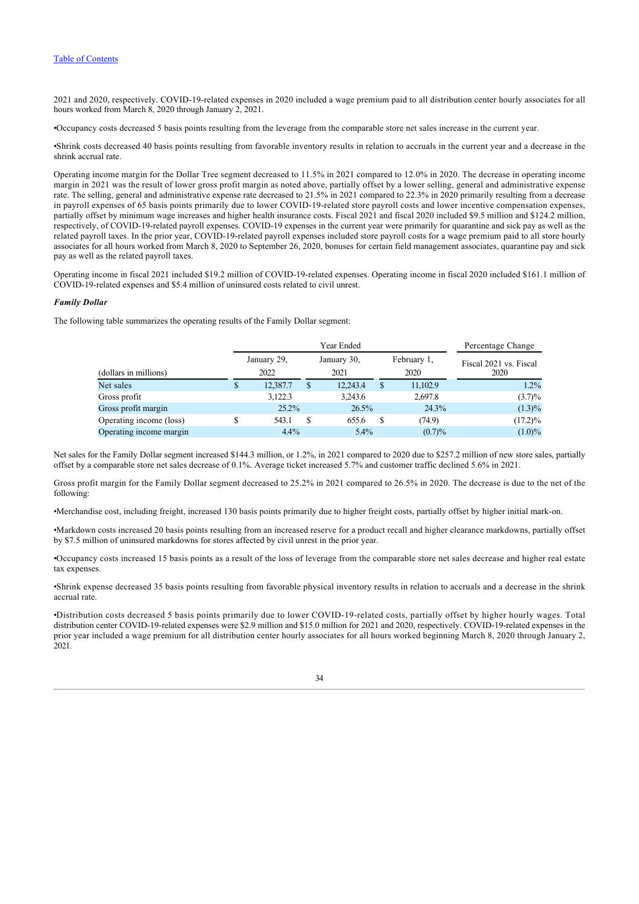2021 and 2020, respectively. COVID-19-related expenses in 2020 included a wage premium paid to all distribution center hourly associates for all hours worked from March 8, 2020 through January 2, 2021.

•Occupancy costs decreased 5 basis points resulting from the leverage from the comparable store net sales increase in the current year.

•Shrink costs decreased 40 basis points resulting from favorable inventory results in relation to accruals in the current year and a decrease in the shrink accrual rate.

Operating income margin for the Dollar Tree segment decreased to 11.5% in 2021 compared to 12.0% in 2020. The decrease in operating income margin in 2021 was the result of lower gross profit margin as noted above, partially offset by a lower selling, general and administrative expense rate. The selling, general and administrative expense rate decreased to 21.5% in 2021 compared to 22.3% in 2020 primarily resulting from a decrease in payroll expenses of 65 basis points primarily due to lower COVID-19-related store payroll costs and lower incentive compensation expenses, partially offset by minimum wage increases and higher health insurance costs. Fiscal 2021 and fiscal 2020 included \$9.5 million and \$124.2 million, respectively, of COVID-19-related payroll expenses. COVID-19 expenses in the current year were primarily for quarantine and sick pay as well as the related payroll taxes. In the prior year, COVID-19-related payroll expenses included store payroll costs for a wage premium paid to all store hourly associates for all hours worked from March 8, 2020 to September 26, 2020, bonuses for certain field management associates, quarantine pay and sick pay as well as the related payroll taxes.

Operating income in fiscal 2021 included \$19.2 million of COVID-19-related expenses. Operating income in fiscal 2020 included \$161.1 million of COVID-19-related expenses and \$5.4 million of uninsured costs related to civil unrest.

# *Family Dollar*

The following table summarizes the operating results of the Family Dollar segment:

|                         |                     | Percentage Change |                     |   |                     |                                |
|-------------------------|---------------------|-------------------|---------------------|---|---------------------|--------------------------------|
| (dollars in millions)   | January 29,<br>2022 |                   | January 30,<br>2021 |   | February 1,<br>2020 | Fiscal 2021 vs. Fiscal<br>2020 |
| Net sales               | 12,387.7            | S                 | 12,243.4            | S | 11,102.9            | $1.2\%$                        |
| Gross profit            | 3.122.3             |                   | 3,243.6             |   | 2,697.8             | $(3.7)\%$                      |
| Gross profit margin     | $25.2\%$            |                   | 26.5%               |   | 24.3%               | $(1.3)\%$                      |
| Operating income (loss) | 543.1               |                   | 655.6               |   | (74.9)              | $(17.2)\%$                     |
| Operating income margin | 4.4%                |                   | $5.4\%$             |   | (0.7)%              | $(1.0)\%$                      |

Net sales for the Family Dollar segment increased \$144.3 million, or 1.2%, in 2021 compared to 2020 due to \$257.2 million of new store sales, partially offset by a comparable store net sales decrease of 0.1%. Average ticket increased 5.7% and customer traffic declined 5.6% in 2021.

Gross profit margin for the Family Dollar segment decreased to 25.2% in 2021 compared to 26.5% in 2020. The decrease is due to the net of the following:

•Merchandise cost, including freight, increased 130 basis points primarily due to higher freight costs, partially offset by higher initial mark-on.

•Markdown costs increased 20 basis points resulting from an increased reserve for a product recall and higher clearance markdowns, partially offset by \$7.5 million of uninsured markdowns for stores affected by civil unrest in the prior year.

•Occupancy costs increased 15 basis points as a result of the loss of leverage from the comparable store net sales decrease and higher real estate tax expenses.

•Shrink expense decreased 35 basis points resulting from favorable physical inventory results in relation to accruals and a decrease in the shrink accrual rate.

•Distribution costs decreased 5 basis points primarily due to lower COVID-19-related costs, partially offset by higher hourly wages. Total distribution center COVID-19-related expenses were \$2.9 million and \$15.0 million for 2021 and 2020, respectively. COVID-19-related expenses in the prior year included a wage premium for all distribution center hourly associates for all hours worked beginning March 8, 2020 through January 2, 2021.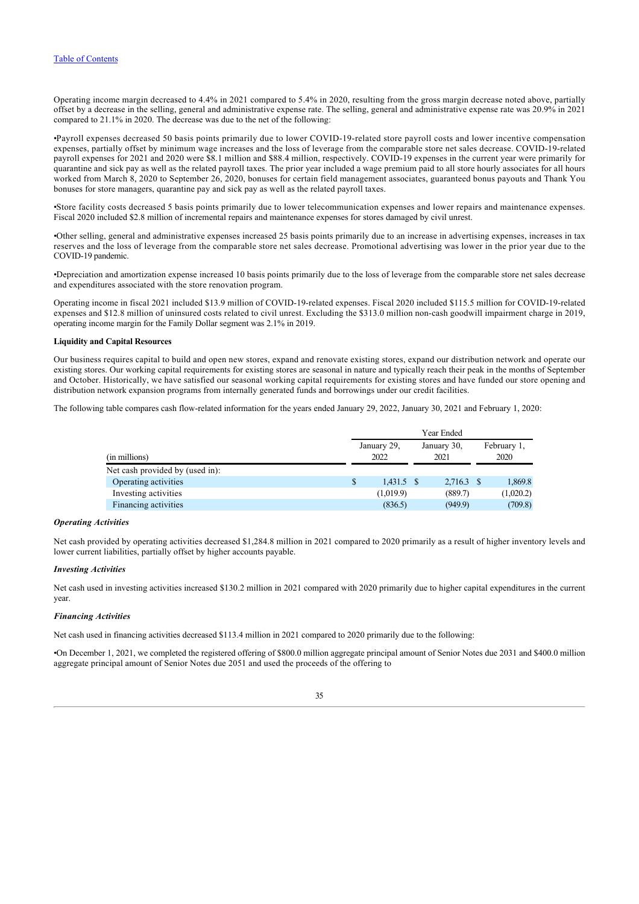Operating income margin decreased to 4.4% in 2021 compared to 5.4% in 2020, resulting from the gross margin decrease noted above, partially offset by a decrease in the selling, general and administrative expense rate. The selling, general and administrative expense rate was 20.9% in 2021 compared to 21.1% in 2020. The decrease was due to the net of the following:

•Payroll expenses decreased 50 basis points primarily due to lower COVID-19-related store payroll costs and lower incentive compensation expenses, partially offset by minimum wage increases and the loss of leverage from the comparable store net sales decrease. COVID-19-related payroll expenses for 2021 and 2020 were \$8.1 million and \$88.4 million, respectively. COVID-19 expenses in the current year were primarily for quarantine and sick pay as well as the related payroll taxes. The prior year included a wage premium paid to all store hourly associates for all hours worked from March 8, 2020 to September 26, 2020, bonuses for certain field management associates, guaranteed bonus payouts and Thank You bonuses for store managers, quarantine pay and sick pay as well as the related payroll taxes.

•Store facility costs decreased 5 basis points primarily due to lower telecommunication expenses and lower repairs and maintenance expenses. Fiscal 2020 included \$2.8 million of incremental repairs and maintenance expenses for stores damaged by civil unrest.

•Other selling, general and administrative expenses increased 25 basis points primarily due to an increase in advertising expenses, increases in tax reserves and the loss of leverage from the comparable store net sales decrease. Promotional advertising was lower in the prior year due to the COVID-19 pandemic.

•Depreciation and amortization expense increased 10 basis points primarily due to the loss of leverage from the comparable store net sales decrease and expenditures associated with the store renovation program.

Operating income in fiscal 2021 included \$13.9 million of COVID-19-related expenses. Fiscal 2020 included \$115.5 million for COVID-19-related expenses and \$12.8 million of uninsured costs related to civil unrest. Excluding the \$313.0 million non-cash goodwill impairment charge in 2019, operating income margin for the Family Dollar segment was 2.1% in 2019.

#### **Liquidity and Capital Resources**

Our business requires capital to build and open new stores, expand and renovate existing stores, expand our distribution network and operate our existing stores. Our working capital requirements for existing stores are seasonal in nature and typically reach their peak in the months of September and October. Historically, we have satisfied our seasonal working capital requirements for existing stores and have funded our store opening and distribution network expansion programs from internally generated funds and borrowings under our credit facilities.

The following table compares cash flow-related information for the years ended January 29, 2022, January 30, 2021 and February 1, 2020:

|                                 | Year Ended          |              |  |                     |  |                     |  |  |  |  |
|---------------------------------|---------------------|--------------|--|---------------------|--|---------------------|--|--|--|--|
| (in millions)                   | January 29,<br>2022 |              |  | January 30,<br>2021 |  | February 1,<br>2020 |  |  |  |  |
| Net cash provided by (used in): |                     |              |  |                     |  |                     |  |  |  |  |
| Operating activities            | \$                  | $1,431.5$ \$ |  | $2,716.3$ \$        |  | 1,869.8             |  |  |  |  |
| Investing activities            |                     | (1,019.9)    |  | (889.7)             |  | (1,020.2)           |  |  |  |  |
| Financing activities            |                     | (836.5)      |  | (949.9)             |  | (709.8)             |  |  |  |  |

# *Operating Activities*

Net cash provided by operating activities decreased \$1,284.8 million in 2021 compared to 2020 primarily as a result of higher inventory levels and lower current liabilities, partially offset by higher accounts payable.

## *Investing Activities*

Net cash used in investing activities increased \$130.2 million in 2021 compared with 2020 primarily due to higher capital expenditures in the current year.

#### *Financing Activities*

Net cash used in financing activities decreased \$113.4 million in 2021 compared to 2020 primarily due to the following:

•On December 1, 2021, we completed the registered offering of \$800.0 million aggregate principal amount of Senior Notes due 2031 and \$400.0 million aggregate principal amount of Senior Notes due 2051 and used the proceeds of the offering to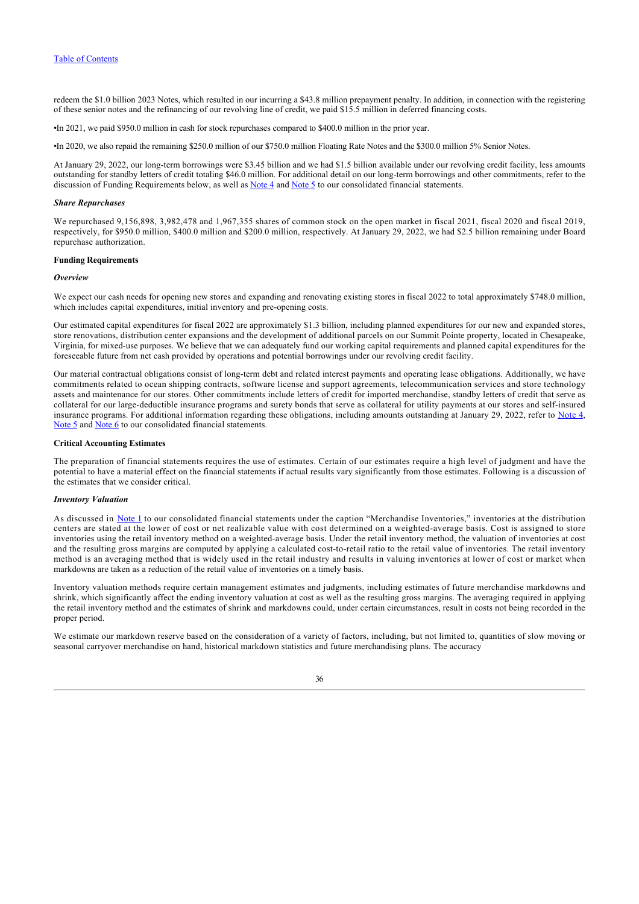redeem the \$1.0 billion 2023 Notes, which resulted in our incurring a \$43.8 million prepayment penalty. In addition, in connection with the registering of these senior notes and the refinancing of our revolving line of credit, we paid \$15.5 million in deferred financing costs.

•In 2021, we paid \$950.0 million in cash for stock repurchases compared to \$400.0 million in the prior year.

•In 2020, we also repaid the remaining \$250.0 million of our \$750.0 million Floating Rate Notes and the \$300.0 million 5% Senior Notes.

At January 29, 2022, our long-term borrowings were \$3.45 billion and we had \$1.5 billion available under our revolving credit facility, less amounts outstanding for standby letters of credit totaling \$46.0 million. For additional detail on our long-term borrowings and other commitments, refer to the discussion of Funding Requirements below, as well as [Note 4](#page-54-0) and [Note 5](#page-56-0) to our consolidated financial statements.

### *Share Repurchases*

We repurchased 9,156,898, 3,982,478 and 1,967,355 shares of common stock on the open market in fiscal 2021, fiscal 2020 and fiscal 2019, respectively, for \$950.0 million, \$400.0 million and \$200.0 million, respectively. At January 29, 2022, we had \$2.5 billion remaining under Board repurchase authorization.

#### **Funding Requirements**

## *Overview*

We expect our cash needs for opening new stores and expanding and renovating existing stores in fiscal 2022 to total approximately \$748.0 million, which includes capital expenditures, initial inventory and pre-opening costs.

Our estimated capital expenditures for fiscal 2022 are approximately \$1.3 billion, including planned expenditures for our new and expanded stores, store renovations, distribution center expansions and the development of additional parcels on our Summit Pointe property, located in Chesapeake, Virginia, for mixed-use purposes. We believe that we can adequately fund our working capital requirements and planned capital expenditures for the foreseeable future from net cash provided by operations and potential borrowings under our revolving credit facility.

Our material contractual obligations consist of long-term debt and related interest payments and operating lease obligations. Additionally, we have commitments related to ocean shipping contracts, software license and support agreements, telecommunication services and store technology assets and maintenance for our stores. Other commitments include letters of credit for imported merchandise, standby letters of credit that serve as collateral for our large-deductible insurance programs and surety bonds that serve as collateral for utility payments at our stores and self-insured insurance programs. For additional information regarding these obligations, including amounts outstanding at January 29, 2022, refer to [Note 4](#page-54-0), [Note 5](#page-56-0) and [Note 6](#page-59-0) to our consolidated financial statements.

### **Critical Accounting Estimates**

The preparation of financial statements requires the use of estimates. Certain of our estimates require a high level of judgment and have the potential to have a material effect on the financial statements if actual results vary significantly from those estimates. Following is a discussion of the estimates that we consider critical.

## *Inventory Valuation*

As discussed in [Note 1](#page-47-0) to our consolidated financial statements under the caption "Merchandise Inventories," inventories at the distribution centers are stated at the lower of cost or net realizable value with cost determined on a weighted-average basis. Cost is assigned to store inventories using the retail inventory method on a weighted-average basis. Under the retail inventory method, the valuation of inventories at cost and the resulting gross margins are computed by applying a calculated cost-to-retail ratio to the retail value of inventories. The retail inventory method is an averaging method that is widely used in the retail industry and results in valuing inventories at lower of cost or market when markdowns are taken as a reduction of the retail value of inventories on a timely basis.

Inventory valuation methods require certain management estimates and judgments, including estimates of future merchandise markdowns and shrink, which significantly affect the ending inventory valuation at cost as well as the resulting gross margins. The averaging required in applying the retail inventory method and the estimates of shrink and markdowns could, under certain circumstances, result in costs not being recorded in the proper period.

We estimate our markdown reserve based on the consideration of a variety of factors, including, but not limited to, quantities of slow moving or seasonal carryover merchandise on hand, historical markdown statistics and future merchandising plans. The accuracy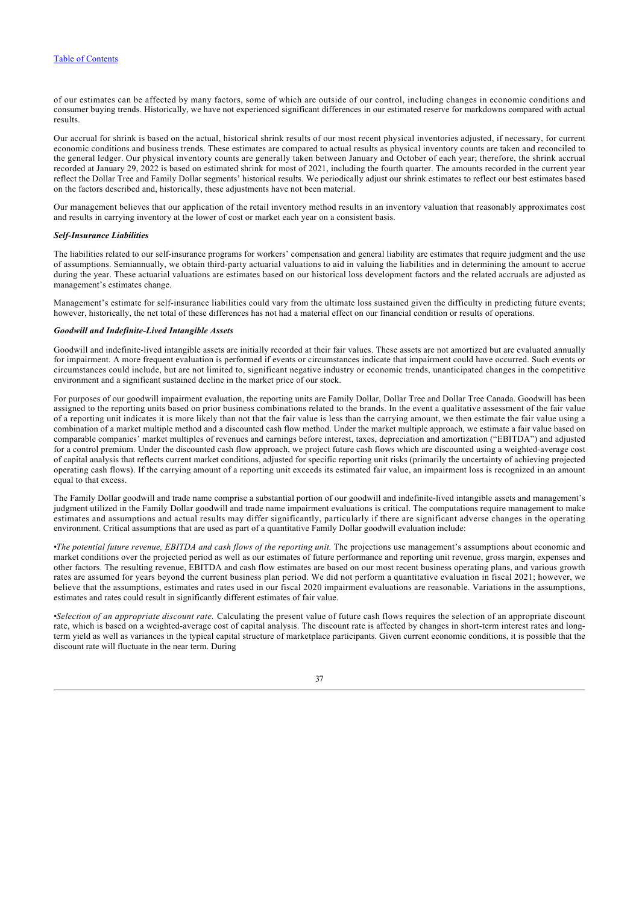of our estimates can be affected by many factors, some of which are outside of our control, including changes in economic conditions and consumer buying trends. Historically, we have not experienced significant differences in our estimated reserve for markdowns compared with actual results.

Our accrual for shrink is based on the actual, historical shrink results of our most recent physical inventories adjusted, if necessary, for current economic conditions and business trends. These estimates are compared to actual results as physical inventory counts are taken and reconciled to the general ledger. Our physical inventory counts are generally taken between January and October of each year; therefore, the shrink accrual recorded at January 29, 2022 is based on estimated shrink for most of 2021, including the fourth quarter. The amounts recorded in the current year reflect the Dollar Tree and Family Dollar segments' historical results. We periodically adjust our shrink estimates to reflect our best estimates based on the factors described and, historically, these adjustments have not been material.

Our management believes that our application of the retail inventory method results in an inventory valuation that reasonably approximates cost and results in carrying inventory at the lower of cost or market each year on a consistent basis.

### *Self-Insurance Liabilities*

The liabilities related to our self-insurance programs for workers' compensation and general liability are estimates that require judgment and the use of assumptions. Semiannually, we obtain third-party actuarial valuations to aid in valuing the liabilities and in determining the amount to accrue during the year. These actuarial valuations are estimates based on our historical loss development factors and the related accruals are adjusted as management's estimates change.

Management's estimate for self-insurance liabilities could vary from the ultimate loss sustained given the difficulty in predicting future events; however, historically, the net total of these differences has not had a material effect on our financial condition or results of operations.

#### *Goodwill and Indefinite-Lived Intangible Assets*

Goodwill and indefinite-lived intangible assets are initially recorded at their fair values. These assets are not amortized but are evaluated annually for impairment. A more frequent evaluation is performed if events or circumstances indicate that impairment could have occurred. Such events or circumstances could include, but are not limited to, significant negative industry or economic trends, unanticipated changes in the competitive environment and a significant sustained decline in the market price of our stock.

For purposes of our goodwill impairment evaluation, the reporting units are Family Dollar, Dollar Tree and Dollar Tree Canada. Goodwill has been assigned to the reporting units based on prior business combinations related to the brands. In the event a qualitative assessment of the fair value of a reporting unit indicates it is more likely than not that the fair value is less than the carrying amount, we then estimate the fair value using a combination of a market multiple method and a discounted cash flow method. Under the market multiple approach, we estimate a fair value based on comparable companies' market multiples of revenues and earnings before interest, taxes, depreciation and amortization ("EBITDA") and adjusted for a control premium. Under the discounted cash flow approach, we project future cash flows which are discounted using a weighted-average cost of capital analysis that reflects current market conditions, adjusted for specific reporting unit risks (primarily the uncertainty of achieving projected operating cash flows). If the carrying amount of a reporting unit exceeds its estimated fair value, an impairment loss is recognized in an amount equal to that excess.

The Family Dollar goodwill and trade name comprise a substantial portion of our goodwill and indefinite-lived intangible assets and management's judgment utilized in the Family Dollar goodwill and trade name impairment evaluations is critical. The computations require management to make estimates and assumptions and actual results may differ significantly, particularly if there are significant adverse changes in the operating environment. Critical assumptions that are used as part of a quantitative Family Dollar goodwill evaluation include:

•*The potential future revenue, EBITDA and cash flows of the reporting unit.* The projections use management's assumptions about economic and market conditions over the projected period as well as our estimates of future performance and reporting unit revenue, gross margin, expenses and other factors. The resulting revenue, EBITDA and cash flow estimates are based on our most recent business operating plans, and various growth rates are assumed for years beyond the current business plan period. We did not perform a quantitative evaluation in fiscal 2021; however, we believe that the assumptions, estimates and rates used in our fiscal 2020 impairment evaluations are reasonable. Variations in the assumptions, estimates and rates could result in significantly different estimates of fair value.

•*Selection of an appropriate discount rate.* Calculating the present value of future cash flows requires the selection of an appropriate discount rate, which is based on a weighted-average cost of capital analysis. The discount rate is affected by changes in short-term interest rates and longterm yield as well as variances in the typical capital structure of marketplace participants. Given current economic conditions, it is possible that the discount rate will fluctuate in the near term. During

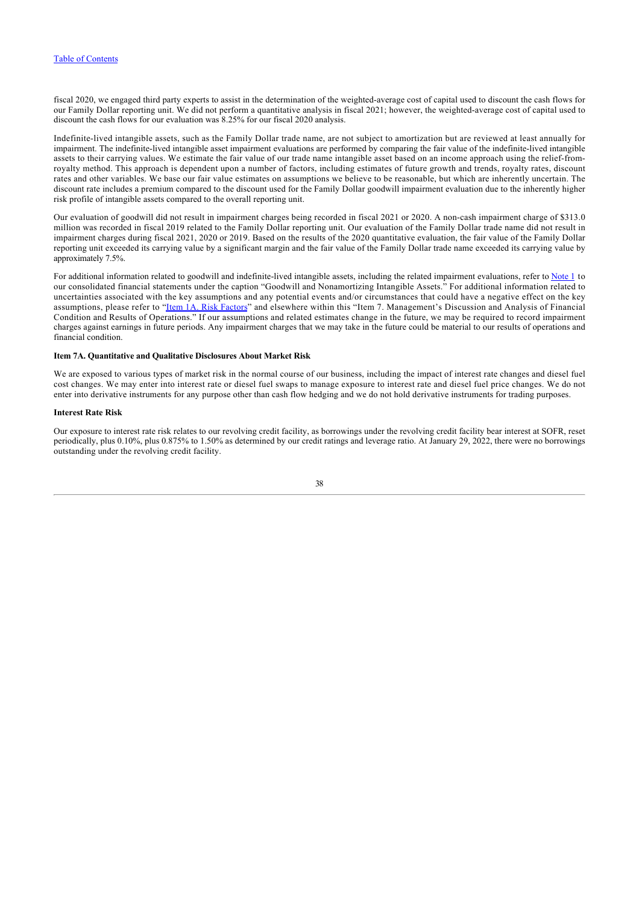fiscal 2020, we engaged third party experts to assist in the determination of the weighted-average cost of capital used to discount the cash flows for our Family Dollar reporting unit. We did not perform a quantitative analysis in fiscal 2021; however, the weighted-average cost of capital used to discount the cash flows for our evaluation was 8.25% for our fiscal 2020 analysis.

Indefinite-lived intangible assets, such as the Family Dollar trade name, are not subject to amortization but are reviewed at least annually for impairment. The indefinite-lived intangible asset impairment evaluations are performed by comparing the fair value of the indefinite-lived intangible assets to their carrying values. We estimate the fair value of our trade name intangible asset based on an income approach using the relief-fromroyalty method. This approach is dependent upon a number of factors, including estimates of future growth and trends, royalty rates, discount rates and other variables. We base our fair value estimates on assumptions we believe to be reasonable, but which are inherently uncertain. The discount rate includes a premium compared to the discount used for the Family Dollar goodwill impairment evaluation due to the inherently higher risk profile of intangible assets compared to the overall reporting unit.

Our evaluation of goodwill did not result in impairment charges being recorded in fiscal 2021 or 2020. A non-cash impairment charge of \$313.0 million was recorded in fiscal 2019 related to the Family Dollar reporting unit. Our evaluation of the Family Dollar trade name did not result in impairment charges during fiscal 2021, 2020 or 2019. Based on the results of the 2020 quantitative evaluation, the fair value of the Family Dollar reporting unit exceeded its carrying value by a significant margin and the fair value of the Family Dollar trade name exceeded its carrying value by approximately 7.5%.

For additional information related to goodwill and indefinite-lived intangible assets, including the related impairment evaluations, refer to [Note 1](#page-47-0) to our consolidated financial statements under the caption "Goodwill and Nonamortizing Intangible Assets." For additional information related to uncertainties associated with the key assumptions and any potential events and/or circumstances that could have a negative effect on the key assumptions, please refer to "[Item 1A. Risk Factors"](#page-11-0) and elsewhere within this "Item 7. Management's Discussion and Analysis of Financial Condition and Results of Operations." If our assumptions and related estimates change in the future, we may be required to record impairment charges against earnings in future periods. Any impairment charges that we may take in the future could be material to our results of operations and financial condition.

### **Item 7A. Quantitative and Qualitative Disclosures About Market Risk**

We are exposed to various types of market risk in the normal course of our business, including the impact of interest rate changes and diesel fuel cost changes. We may enter into interest rate or diesel fuel swaps to manage exposure to interest rate and diesel fuel price changes. We do not enter into derivative instruments for any purpose other than cash flow hedging and we do not hold derivative instruments for trading purposes.

### **Interest Rate Risk**

<span id="page-38-0"></span>Our exposure to interest rate risk relates to our revolving credit facility, as borrowings under the revolving credit facility bear interest at SOFR, reset periodically, plus 0.10%, plus 0.875% to 1.50% as determined by our credit ratings and leverage ratio. At January 29, 2022, there were no borrowings outstanding under the revolving credit facility.

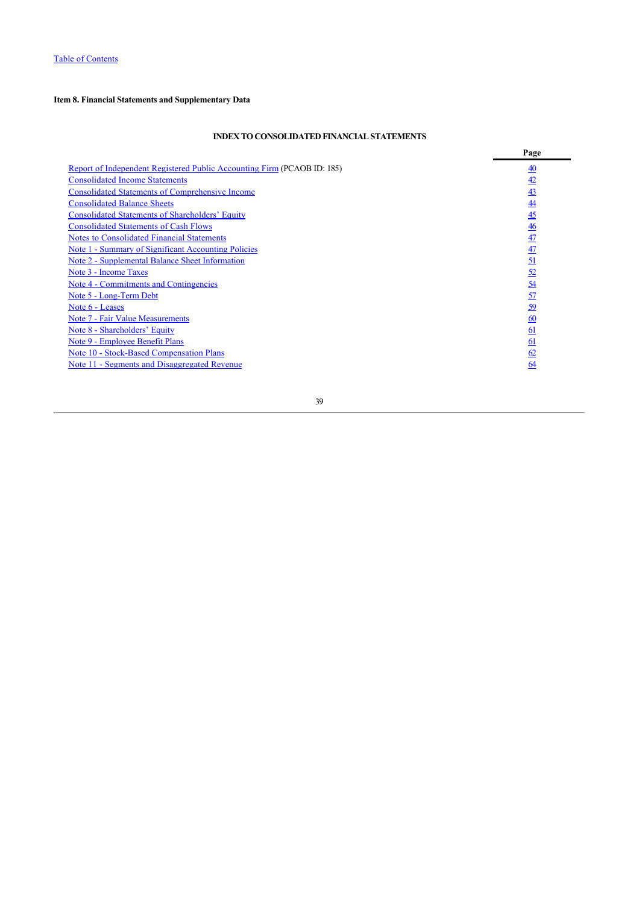# **Item 8. Financial Statements and Supplementary Data**

# **INDEX TO CONSOLIDATED FINANCIAL STATEMENTS**

<span id="page-39-0"></span>

|                                                                         | Page             |
|-------------------------------------------------------------------------|------------------|
| Report of Independent Registered Public Accounting Firm (PCAOB ID: 185) | $\underline{40}$ |
| <b>Consolidated Income Statements</b>                                   | 42               |
| <b>Consolidated Statements of Comprehensive Income</b>                  | 43               |
| <b>Consolidated Balance Sheets</b>                                      | $\underline{44}$ |
| <b>Consolidated Statements of Shareholders' Equity</b>                  | $\overline{45}$  |
| <b>Consolidated Statements of Cash Flows</b>                            | $\overline{46}$  |
| <b>Notes to Consolidated Financial Statements</b>                       | $\overline{47}$  |
| Note 1 - Summary of Significant Accounting Policies                     | $\frac{47}{1}$   |
| Note 2 - Supplemental Balance Sheet Information                         | <u>51</u>        |
| Note 3 - Income Taxes                                                   | $\frac{52}{5}$   |
| Note 4 - Commitments and Contingencies                                  | <u>54</u>        |
| Note 5 - Long-Term Debt                                                 | 57               |
| Note 6 - Leases                                                         | 59               |
| Note 7 - Fair Value Measurements                                        | 60               |
| Note 8 - Shareholders' Equity                                           | <u>61</u>        |
| Note 9 - Employee Benefit Plans                                         | 61               |
| Note 10 - Stock-Based Compensation Plans                                | 62               |
| Note 11 - Segments and Disaggregated Revenue                            | 64               |
|                                                                         |                  |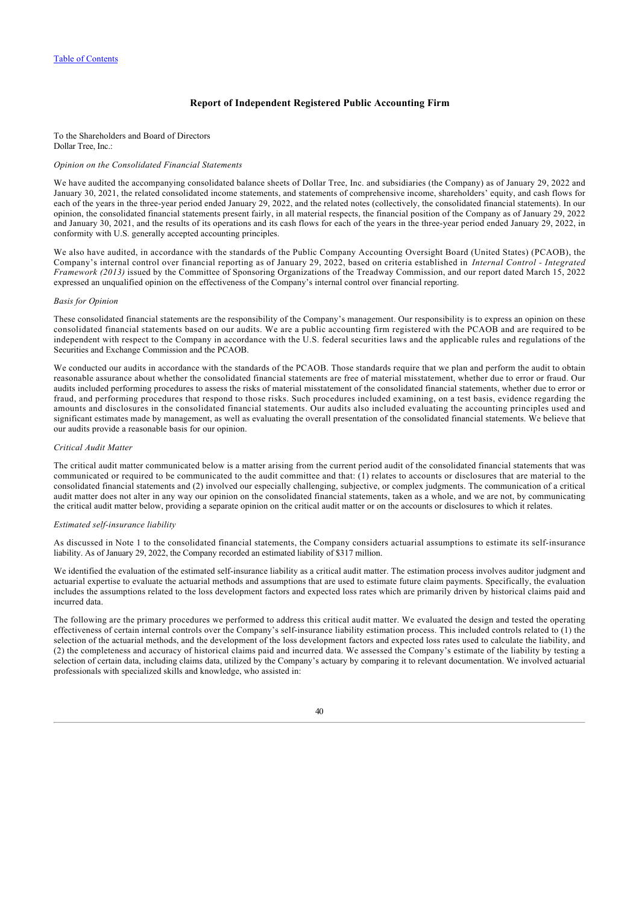## **Report of Independent Registered Public Accounting Firm**

To the Shareholders and Board of Directors Dollar Tree, Inc.:

### *Opinion on the Consolidated Financial Statements*

We have audited the accompanying consolidated balance sheets of Dollar Tree, Inc. and subsidiaries (the Company) as of January 29, 2022 and January 30, 2021, the related consolidated income statements, and statements of comprehensive income, shareholders' equity, and cash flows for each of the years in the three-year period ended January 29, 2022, and the related notes (collectively, the consolidated financial statements). In our opinion, the consolidated financial statements present fairly, in all material respects, the financial position of the Company as of January 29, 2022 and January 30, 2021, and the results of its operations and its cash flows for each of the years in the three‑year period ended January 29, 2022, in conformity with U.S. generally accepted accounting principles.

We also have audited, in accordance with the standards of the Public Company Accounting Oversight Board (United States) (PCAOB), the Company's internal control over financial reporting as of January 29, 2022, based on criteria established in *Internal Control - Integrated Framework (2013)* issued by the Committee of Sponsoring Organizations of the Treadway Commission, and our report dated March 15, 2022 expressed an unqualified opinion on the effectiveness of the Company's internal control over financial reporting.

## *Basis for Opinion*

These consolidated financial statements are the responsibility of the Company's management. Our responsibility is to express an opinion on these consolidated financial statements based on our audits. We are a public accounting firm registered with the PCAOB and are required to be independent with respect to the Company in accordance with the U.S. federal securities laws and the applicable rules and regulations of the Securities and Exchange Commission and the PCAOB.

We conducted our audits in accordance with the standards of the PCAOB. Those standards require that we plan and perform the audit to obtain reasonable assurance about whether the consolidated financial statements are free of material misstatement, whether due to error or fraud. Our audits included performing procedures to assess the risks of material misstatement of the consolidated financial statements, whether due to error or fraud, and performing procedures that respond to those risks. Such procedures included examining, on a test basis, evidence regarding the amounts and disclosures in the consolidated financial statements. Our audits also included evaluating the accounting principles used and significant estimates made by management, as well as evaluating the overall presentation of the consolidated financial statements. We believe that our audits provide a reasonable basis for our opinion.

### *Critical Audit Matter*

The critical audit matter communicated below is a matter arising from the current period audit of the consolidated financial statements that was communicated or required to be communicated to the audit committee and that: (1) relates to accounts or disclosures that are material to the consolidated financial statements and (2) involved our especially challenging, subjective, or complex judgments. The communication of a critical audit matter does not alter in any way our opinion on the consolidated financial statements, taken as a whole, and we are not, by communicating the critical audit matter below, providing a separate opinion on the critical audit matter or on the accounts or disclosures to which it relates.

#### *Estimated self‑insurance liability*

As discussed in Note 1 to the consolidated financial statements, the Company considers actuarial assumptions to estimate its self-insurance liability. As of January 29, 2022, the Company recorded an estimated liability of \$317 million.

We identified the evaluation of the estimated self-insurance liability as a critical audit matter. The estimation process involves auditor judgment and actuarial expertise to evaluate the actuarial methods and assumptions that are used to estimate future claim payments. Specifically, the evaluation includes the assumptions related to the loss development factors and expected loss rates which are primarily driven by historical claims paid and incurred data.

The following are the primary procedures we performed to address this critical audit matter. We evaluated the design and tested the operating effectiveness of certain internal controls over the Company's self‑insurance liability estimation process. This included controls related to (1) the selection of the actuarial methods, and the development of the loss development factors and expected loss rates used to calculate the liability, and (2) the completeness and accuracy of historical claims paid and incurred data. We assessed the Company's estimate of the liability by testing a selection of certain data, including claims data, utilized by the Company's actuary by comparing it to relevant documentation. We involved actuarial professionals with specialized skills and knowledge, who assisted in: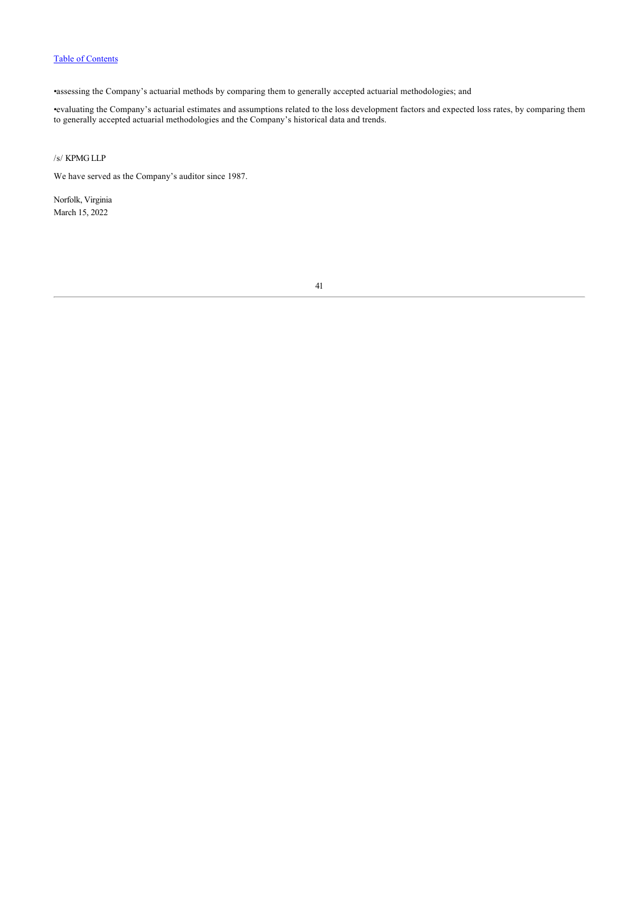•assessing the Company's actuarial methods by comparing them to generally accepted actuarial methodologies; and

•evaluating the Company's actuarial estimates and assumptions related to the loss development factors and expected loss rates, by comparing them to generally accepted actuarial methodologies and the Company's historical data and trends.

# /s/ KPMG LLP

We have served as the Company's auditor since 1987.

<span id="page-41-0"></span>Norfolk, Virginia March 15, 2022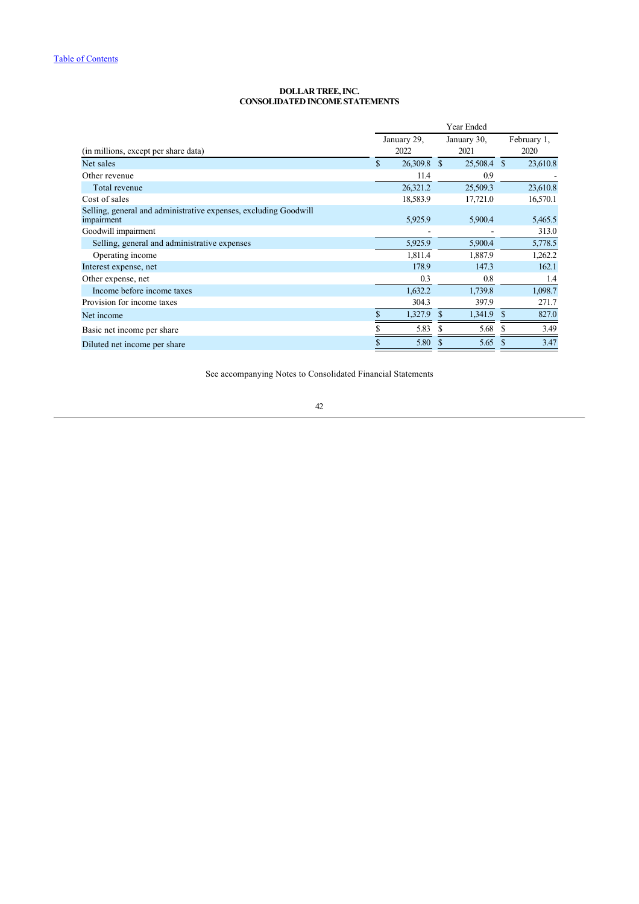### **DOLLAR TREE, INC. CONSOLIDATED INCOME STATEMENTS**

|                                                                                | Year Ended          |                     |             |                     |          |
|--------------------------------------------------------------------------------|---------------------|---------------------|-------------|---------------------|----------|
| (in millions, except per share data)                                           | January 29,<br>2022 | January 30,<br>2021 |             | February 1,<br>2020 |          |
| Net sales                                                                      | \$<br>26,309.8 \$   |                     | 25,508.4 \$ |                     | 23,610.8 |
| Other revenue                                                                  | 11.4                |                     | 0.9         |                     |          |
| Total revenue                                                                  | 26,321.2            |                     | 25,509.3    |                     | 23,610.8 |
| Cost of sales                                                                  | 18,583.9            |                     | 17,721.0    |                     | 16,570.1 |
| Selling, general and administrative expenses, excluding Goodwill<br>impairment | 5,925.9             |                     | 5,900.4     |                     | 5,465.5  |
| Goodwill impairment                                                            |                     |                     |             |                     | 313.0    |
| Selling, general and administrative expenses                                   | 5,925.9             |                     | 5,900.4     |                     | 5,778.5  |
| Operating income                                                               | 1,811.4             |                     | 1,887.9     |                     | 1,262.2  |
| Interest expense, net                                                          | 178.9               |                     | 147.3       |                     | 162.1    |
| Other expense, net                                                             | 0.3                 |                     | 0.8         |                     | 1.4      |
| Income before income taxes                                                     | 1,632.2             |                     | 1,739.8     |                     | 1,098.7  |
| Provision for income taxes                                                     | 304.3               |                     | 397.9       |                     | 271.7    |
| Net income                                                                     | \$<br>1,327.9       | S                   | 1,341.9     | \$                  | 827.0    |
| Basic net income per share                                                     | 5.83                | S                   | 5.68        |                     | 3.49     |
| Diluted net income per share                                                   | 5.80                | S                   | 5.65        | S                   | 3.47     |

<span id="page-42-0"></span>See accompanying Notes to Consolidated Financial Statements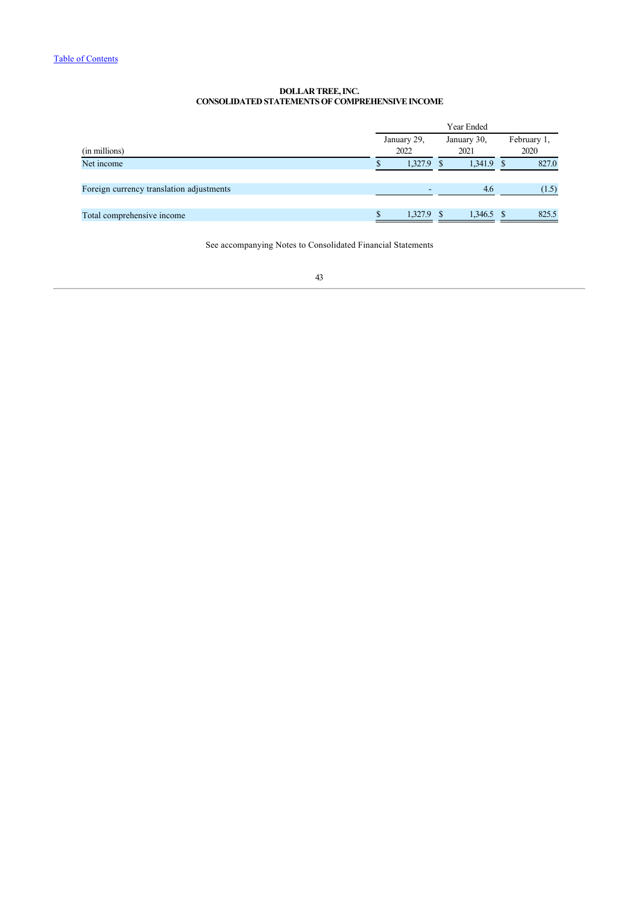## **DOLLAR TREE, INC. CONSOLIDATED STATEMENTS OF COMPREHENSIVE INCOME**

|                                          | Year Ended  |         |  |              |  |             |  |  |  |      |
|------------------------------------------|-------------|---------|--|--------------|--|-------------|--|--|--|------|
|                                          | January 29, |         |  | January 30,  |  | February 1, |  |  |  |      |
| (in millions)                            |             | 2022    |  | 2021         |  |             |  |  |  | 2020 |
| Net income                               |             | 1,327.9 |  | $1,341.9$ \$ |  | 827.0       |  |  |  |      |
|                                          |             |         |  |              |  |             |  |  |  |      |
| Foreign currency translation adjustments |             |         |  | 4.6          |  | (1.5)       |  |  |  |      |
|                                          |             |         |  |              |  |             |  |  |  |      |
| Total comprehensive income               |             | 1.327.9 |  | $1.346.5$ \$ |  | 825.5       |  |  |  |      |
|                                          |             |         |  |              |  |             |  |  |  |      |

<span id="page-43-0"></span>See accompanying Notes to Consolidated Financial Statements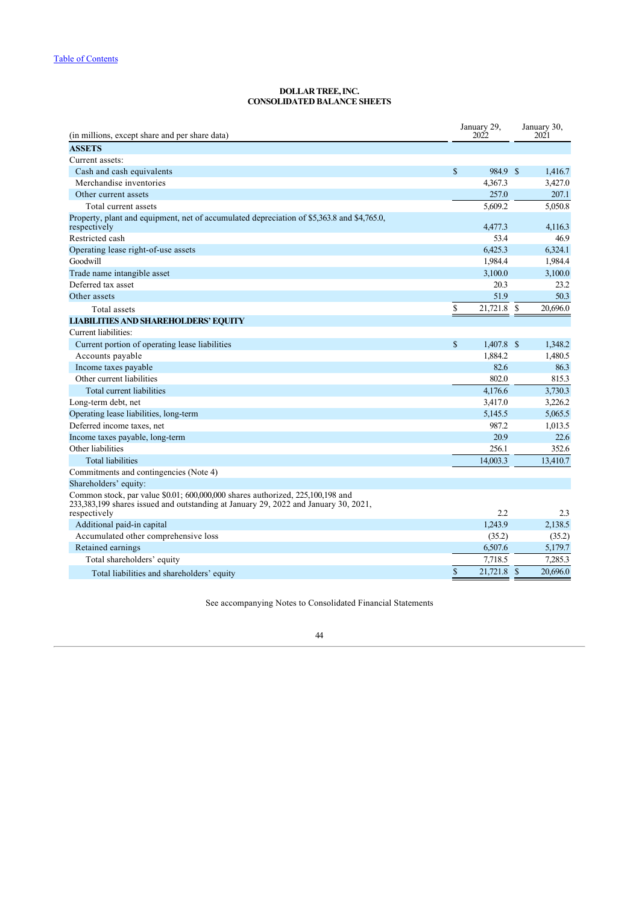### **DOLLAR TREE, INC. CONSOLIDATED BALANCE SHEETS**

| <b>ASSETS</b>                                                                                                                                                                                  |          |
|------------------------------------------------------------------------------------------------------------------------------------------------------------------------------------------------|----------|
|                                                                                                                                                                                                |          |
| Current assets:                                                                                                                                                                                |          |
| <sup>\$</sup><br>984.9 \$<br>Cash and cash equivalents                                                                                                                                         | 1,416.7  |
| Merchandise inventories<br>4,367.3                                                                                                                                                             | 3,427.0  |
| Other current assets<br>257.0                                                                                                                                                                  | 207.1    |
| Total current assets<br>5,609.2                                                                                                                                                                | 5,050.8  |
| Property, plant and equipment, net of accumulated depreciation of \$5,363.8 and \$4,765.0,<br>4,477.3<br>respectively                                                                          | 4,116.3  |
| Restricted cash<br>53.4                                                                                                                                                                        | 46.9     |
| Operating lease right-of-use assets<br>6.425.3                                                                                                                                                 | 6.324.1  |
| Goodwill<br>1,984.4                                                                                                                                                                            | 1,984.4  |
| 3,100.0<br>Trade name intangible asset                                                                                                                                                         | 3,100.0  |
| Deferred tax asset<br>20.3                                                                                                                                                                     | 23.2     |
| Other assets<br>51.9                                                                                                                                                                           | 50.3     |
| \$<br>21,721.8<br>-\$<br>Total assets                                                                                                                                                          | 20,696.0 |
| <b>LIABILITIES AND SHAREHOLDERS' EQUITY</b>                                                                                                                                                    |          |
| Current liabilities:                                                                                                                                                                           |          |
| $\mathbf S$<br>$1.407.8$ \$<br>Current portion of operating lease liabilities                                                                                                                  | 1.348.2  |
| Accounts payable<br>1,884.2                                                                                                                                                                    | 1,480.5  |
| 82.6<br>Income taxes payable                                                                                                                                                                   | 86.3     |
| Other current liabilities<br>802.0                                                                                                                                                             | 815.3    |
| Total current liabilities<br>4,176.6                                                                                                                                                           | 3,730.3  |
| Long-term debt, net<br>3,417.0                                                                                                                                                                 | 3,226.2  |
| Operating lease liabilities, long-term<br>5,145.5                                                                                                                                              | 5,065.5  |
| Deferred income taxes, net<br>987.2                                                                                                                                                            | 1.013.5  |
| 20.9<br>Income taxes payable, long-term                                                                                                                                                        | 22.6     |
| Other liabilities<br>256.1                                                                                                                                                                     | 352.6    |
| <b>Total liabilities</b><br>14,003.3                                                                                                                                                           | 13,410.7 |
| Commitments and contingencies (Note 4)                                                                                                                                                         |          |
| Shareholders' equity:                                                                                                                                                                          |          |
| Common stock, par value \$0.01; 600,000,000 shares authorized, 225,100,198 and<br>233, 383, 199 shares issued and outstanding at January 29, 2022 and January 30, 2021,<br>2.2<br>respectively | 2.3      |
| Additional paid-in capital<br>1.243.9                                                                                                                                                          | 2,138.5  |
| Accumulated other comprehensive loss<br>(35.2)                                                                                                                                                 | (35.2)   |
| Retained earnings<br>6,507.6                                                                                                                                                                   | 5,179.7  |
| 7,718.5<br>Total shareholders' equity                                                                                                                                                          | 7,285.3  |
| $\mathbf S$<br>21.721.8 \$<br>Total liabilities and shareholders' equity                                                                                                                       | 20.696.0 |

<span id="page-44-0"></span>See accompanying Notes to Consolidated Financial Statements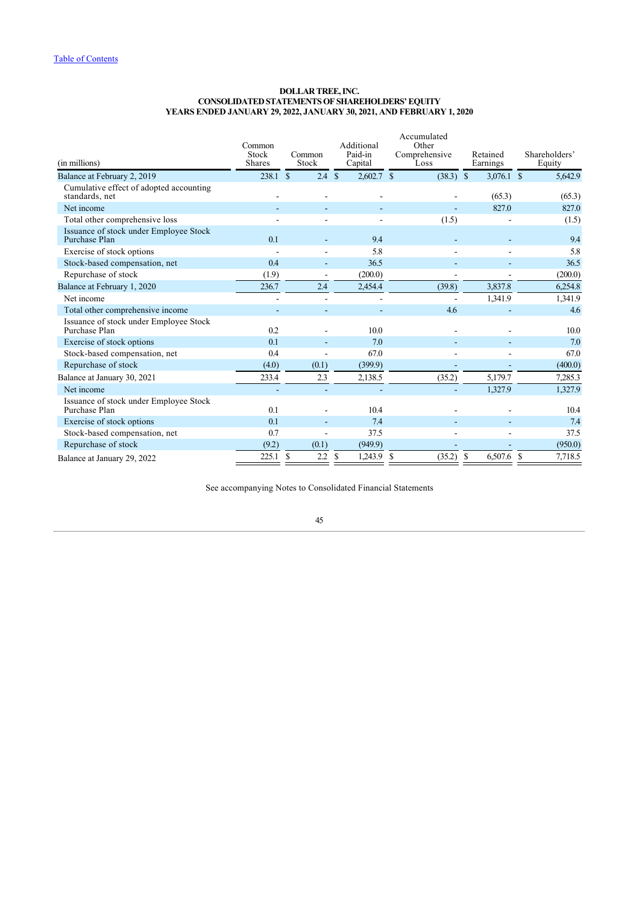### **DOLLAR TREE, INC. CONSOLIDATED STATEMENTS OF SHAREHOLDERS' EQUITY YEARS ENDED JANUARY 29, 2022, JANUARY 30, 2021, AND FEBRUARY 1, 2020**

| (in millions)                                             | Common<br>Stock<br><b>Shares</b> | Common<br>Stock   | Additional<br>Paid-in<br>Capital | Accumulated<br>Other<br>Comprehensive<br>Loss | Retained<br>Earnings | Shareholders'<br>Equity  |
|-----------------------------------------------------------|----------------------------------|-------------------|----------------------------------|-----------------------------------------------|----------------------|--------------------------|
| Balance at February 2, 2019                               | 238.1 S                          | $2.4 \text{ } $s$ | $2,602.7$ \$                     | $(38.3)$ \$                                   | $3,076.1$ \$         | 5,642.9                  |
| Cumulative effect of adopted accounting<br>standards, net |                                  |                   |                                  |                                               | (65.3)               | (65.3)                   |
| Net income                                                |                                  |                   |                                  |                                               | 827.0                | 827.0                    |
| Total other comprehensive loss                            |                                  |                   |                                  | (1.5)                                         |                      | (1.5)                    |
| Issuance of stock under Employee Stock<br>Purchase Plan   | 0.1                              |                   | 9.4                              |                                               |                      | 9.4                      |
| Exercise of stock options                                 |                                  |                   | 5.8                              |                                               |                      | 5.8                      |
| Stock-based compensation, net                             | 0.4                              |                   | 36.5                             |                                               |                      | 36.5                     |
| Repurchase of stock                                       | (1.9)                            |                   | (200.0)                          |                                               |                      | (200.0)                  |
| Balance at February 1, 2020                               | 236.7                            | 2.4               | 2,454.4                          | (39.8)                                        | 3,837.8              | 6,254.8                  |
| Net income                                                |                                  |                   |                                  |                                               | 1,341.9              | 1,341.9                  |
| Total other comprehensive income                          |                                  |                   |                                  | 4.6                                           |                      | 4.6                      |
| Issuance of stock under Employee Stock<br>Purchase Plan   | 0.2                              |                   | 10.0                             |                                               |                      | 10.0                     |
| Exercise of stock options                                 | 0.1                              |                   | 7.0                              |                                               |                      | 7.0                      |
| Stock-based compensation, net                             | 0.4                              |                   | 67.0                             |                                               |                      | 67.0                     |
| Repurchase of stock                                       | (4.0)                            | (0.1)             | (399.9)                          |                                               |                      | (400.0)                  |
| Balance at January 30, 2021                               | 233.4                            | 2.3               | 2,138.5                          | (35.2)                                        | 5,179.7              | 7,285.3                  |
| Net income                                                |                                  |                   |                                  |                                               | 1,327.9              | 1,327.9                  |
| Issuance of stock under Employee Stock<br>Purchase Plan   | 0.1                              |                   | 10.4                             |                                               |                      | 10.4                     |
| Exercise of stock options                                 | 0.1                              |                   | 7.4                              |                                               |                      | 7.4                      |
| Stock-based compensation, net                             | 0.7                              |                   | 37.5                             |                                               |                      | 37.5                     |
| Repurchase of stock                                       | (9.2)                            | (0.1)             | (949.9)                          |                                               |                      | (950.0)                  |
| Balance at January 29, 2022                               | 225.1                            | S<br>2.2          | <sup>\$</sup><br>$1,243.9$ \$    | (35.2)                                        | -S<br>6,507.6        | <sup>\$</sup><br>7,718.5 |

<span id="page-45-0"></span>See accompanying Notes to Consolidated Financial Statements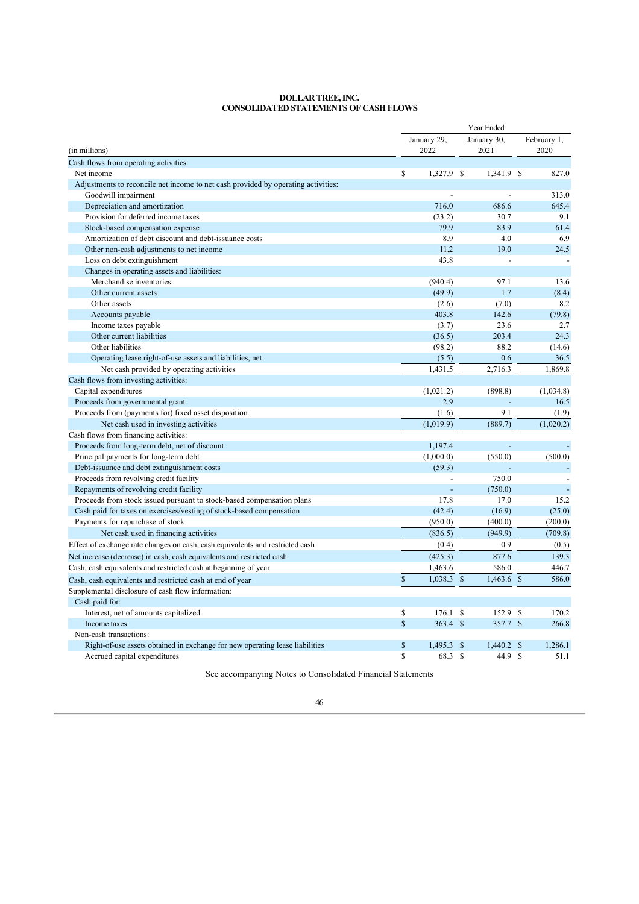#### **DOLLAR TREE, INC. CONSOLIDATED STATEMENTS OF CASH FLOWS**

|                                                                                   | Year Ended  |                     |                         |         |                        |  |  |
|-----------------------------------------------------------------------------------|-------------|---------------------|-------------------------|---------|------------------------|--|--|
| (in millions)                                                                     |             | January 29,<br>2022 | January 30,<br>2021     |         | February 1,<br>2020    |  |  |
| Cash flows from operating activities:                                             |             |                     |                         |         |                        |  |  |
| Net income                                                                        | $\mathbf S$ | 1,327.9 \$          | 1,341.9 \$              |         | 827.0                  |  |  |
| Adjustments to reconcile net income to net cash provided by operating activities: |             |                     |                         |         |                        |  |  |
| Goodwill impairment                                                               |             |                     |                         |         | 313.0                  |  |  |
| Depreciation and amortization                                                     |             | 716.0               | 686.6                   |         | 645.4                  |  |  |
| Provision for deferred income taxes                                               |             | (23.2)              |                         | 30.7    | 9.1                    |  |  |
| Stock-based compensation expense                                                  |             | 79.9                |                         | 83.9    | 61.4                   |  |  |
| Amortization of debt discount and debt-issuance costs                             |             | 8.9                 |                         | 4.0     | 6.9                    |  |  |
| Other non-cash adjustments to net income                                          |             | 11.2                |                         | 19.0    | 24.5                   |  |  |
| Loss on debt extinguishment                                                       |             | 43.8                |                         |         |                        |  |  |
| Changes in operating assets and liabilities:                                      |             |                     |                         |         |                        |  |  |
| Merchandise inventories                                                           |             | (940.4)             |                         | 97.1    | 13.6                   |  |  |
| Other current assets                                                              |             | (49.9)              |                         | 1.7     | (8.4)                  |  |  |
| Other assets                                                                      |             | (2.6)               |                         | (7.0)   | 8.2                    |  |  |
| Accounts payable                                                                  |             | 403.8               | 142.6                   |         | (79.8)                 |  |  |
| Income taxes payable                                                              |             | (3.7)               |                         | 23.6    | 2.7                    |  |  |
| Other current liabilities                                                         |             | (36.5)              | 203.4                   |         | 24.3                   |  |  |
| Other liabilities                                                                 |             | (98.2)              |                         | 88.2    | (14.6)                 |  |  |
| Operating lease right-of-use assets and liabilities, net                          |             | (5.5)               |                         | 0.6     | 36.5                   |  |  |
| Net cash provided by operating activities                                         |             | 1,431.5             | 2,716.3                 |         | 1,869.8                |  |  |
| Cash flows from investing activities:                                             |             |                     |                         |         |                        |  |  |
| Capital expenditures                                                              |             | (1,021.2)           | (898.8)                 |         | (1,034.8)              |  |  |
| Proceeds from governmental grant                                                  |             | 2.9                 |                         |         | 16.5                   |  |  |
| Proceeds from (payments for) fixed asset disposition                              |             | (1.6)               |                         | 9.1     | (1.9)                  |  |  |
| Net cash used in investing activities                                             |             | (1,019.9)           | (889.7)                 |         | (1,020.2)              |  |  |
| Cash flows from financing activities:                                             |             |                     |                         |         |                        |  |  |
| Proceeds from long-term debt, net of discount                                     |             | 1.197.4             |                         |         |                        |  |  |
| Principal payments for long-term debt                                             |             | (1,000.0)           | (550.0)                 |         | (500.0)                |  |  |
| Debt-issuance and debt extinguishment costs                                       |             | (59.3)              |                         |         |                        |  |  |
| Proceeds from revolving credit facility                                           |             |                     | 750.0                   |         |                        |  |  |
| Repayments of revolving credit facility                                           |             |                     | (750.0)                 |         |                        |  |  |
| Proceeds from stock issued pursuant to stock-based compensation plans             |             | 17.8                |                         | 17.0    | 15.2                   |  |  |
| Cash paid for taxes on exercises/vesting of stock-based compensation              |             | (42.4)              | (16.9)                  |         | (25.0)                 |  |  |
| Payments for repurchase of stock                                                  |             | (950.0)             | (400.0)                 |         | (200.0)                |  |  |
| Net cash used in financing activities                                             |             | (836.5)             | (949.9)                 |         | (709.8)                |  |  |
| Effect of exchange rate changes on cash, cash equivalents and restricted cash     |             | (0.4)               |                         | 0.9     | (0.5)                  |  |  |
| Net increase (decrease) in cash, cash equivalents and restricted cash             |             | (425.3)             | 877.6                   |         | 139.3                  |  |  |
| Cash, cash equivalents and restricted cash at beginning of year                   |             | 1,463.6             | 586.0                   |         | 446.7                  |  |  |
| Cash, cash equivalents and restricted cash at end of year                         | $\mathbf S$ | 1,038.3             | $\mathbf{s}$<br>1,463.6 |         | $\mathcal{S}$<br>586.0 |  |  |
| Supplemental disclosure of cash flow information:                                 |             |                     |                         |         |                        |  |  |
| Cash paid for:                                                                    |             |                     |                         |         |                        |  |  |
| Interest, net of amounts capitalized                                              | \$          | 176.1 S             | 152.9                   |         | <sup>\$</sup><br>170.2 |  |  |
| Income taxes                                                                      | $\mathbf S$ | $363.4$ \$          |                         | 357.7   | $\mathcal{S}$<br>266.8 |  |  |
| Non-cash transactions:                                                            |             |                     |                         |         |                        |  |  |
| Right-of-use assets obtained in exchange for new operating lease liabilities      | \$          | 1,495.3             | \$<br>1,440.2           |         | 1,286.1<br>\$          |  |  |
| Accrued capital expenditures                                                      | S           | 68.3 \$             |                         | 44.9 \$ | 51.1                   |  |  |

<span id="page-46-0"></span>See accompanying Notes to Consolidated Financial Statements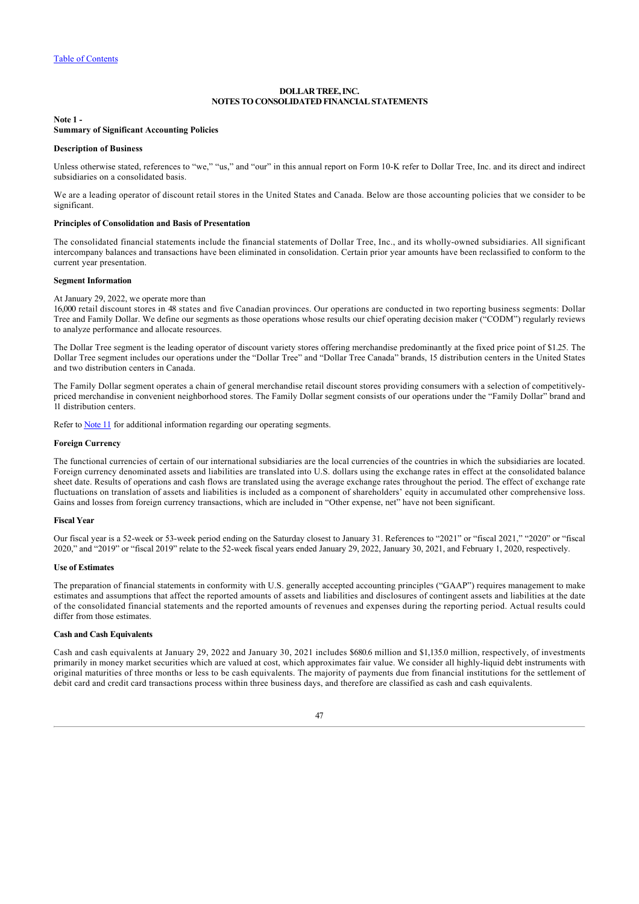## **DOLLAR TREE, INC. NOTES TO CONSOLIDATED FINANCIAL STATEMENTS**

#### <span id="page-47-0"></span>**Note 1 - Summary of Significant Accounting Policies**

#### **Description of Business**

Unless otherwise stated, references to "we," "us," and "our" in this annual report on Form 10-K refer to Dollar Tree, Inc. and its direct and indirect subsidiaries on a consolidated basis.

We are a leading operator of discount retail stores in the United States and Canada. Below are those accounting policies that we consider to be significant.

### **Principles of Consolidation and Basis of Presentation**

The consolidated financial statements include the financial statements of Dollar Tree, Inc., and its wholly-owned subsidiaries. All significant intercompany balances and transactions have been eliminated in consolidation. Certain prior year amounts have been reclassified to conform to the current year presentation.

### **Segment Information**

At January 29, 2022, we operate more than

16,000 retail discount stores in 48 states and five Canadian provinces. Our operations are conducted in two reporting business segments: Dollar Tree and Family Dollar. We define our segments as those operations whose results our chief operating decision maker ("CODM") regularly reviews to analyze performance and allocate resources.

The Dollar Tree segment is the leading operator of discount variety stores offering merchandise predominantly at the fixed price point of \$1.25. The Dollar Tree segment includes our operations under the "Dollar Tree" and "Dollar Tree Canada" brands, 15 distribution centers in the United States and two distribution centers in Canada.

The Family Dollar segment operates a chain of general merchandise retail discount stores providing consumers with a selection of competitivelypriced merchandise in convenient neighborhood stores. The Family Dollar segment consists of our operations under the "Family Dollar" brand and 11 distribution centers.

Refer to [Note 11](#page-64-0) for additional information regarding our operating segments.

### **Foreign Currency**

The functional currencies of certain of our international subsidiaries are the local currencies of the countries in which the subsidiaries are located. Foreign currency denominated assets and liabilities are translated into U.S. dollars using the exchange rates in effect at the consolidated balance sheet date. Results of operations and cash flows are translated using the average exchange rates throughout the period. The effect of exchange rate fluctuations on translation of assets and liabilities is included as a component of shareholders' equity in accumulated other comprehensive loss. Gains and losses from foreign currency transactions, which are included in "Other expense, net" have not been significant.

#### **Fiscal Year**

Our fiscal year is a 52-week or 53-week period ending on the Saturday closest to January 31. References to "2021" or "fiscal 2021," "2020" or "fiscal 2020," and "2019" or "fiscal 2019" relate to the 52-week fiscal years ended January 29, 2022, January 30, 2021, and February 1, 2020, respectively.

#### **Use of Estimates**

The preparation of financial statements in conformity with U.S. generally accepted accounting principles ("GAAP") requires management to make estimates and assumptions that affect the reported amounts of assets and liabilities and disclosures of contingent assets and liabilities at the date of the consolidated financial statements and the reported amounts of revenues and expenses during the reporting period. Actual results could differ from those estimates.

#### **Cash and Cash Equivalents**

Cash and cash equivalents at January 29, 2022 and January 30, 2021 includes \$680.6 million and \$1,135.0 million, respectively, of investments primarily in money market securities which are valued at cost, which approximates fair value. We consider all highly-liquid debt instruments with original maturities of three months or less to be cash equivalents. The majority of payments due from financial institutions for the settlement of debit card and credit card transactions process within three business days, and therefore are classified as cash and cash equivalents.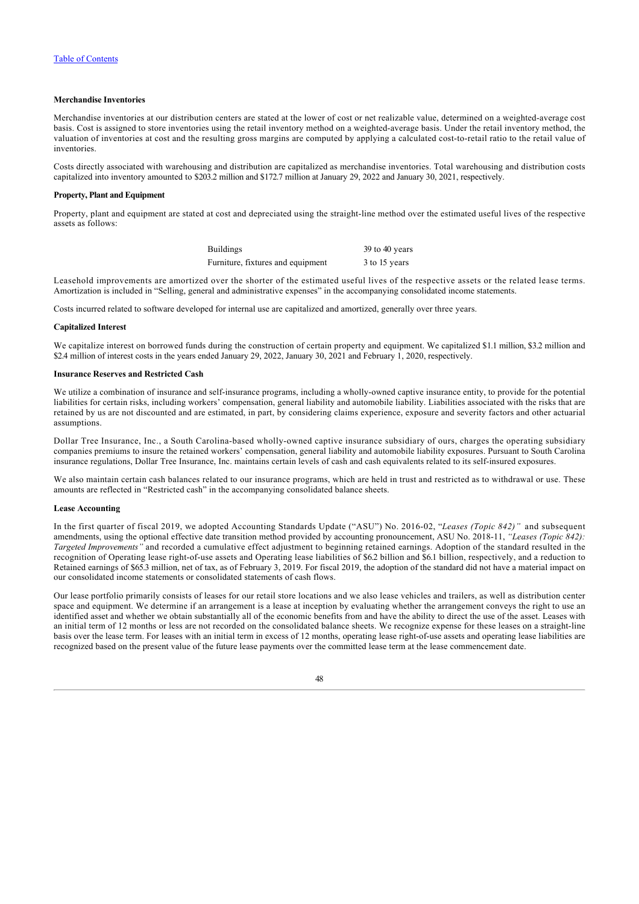## **Merchandise Inventories**

Merchandise inventories at our distribution centers are stated at the lower of cost or net realizable value, determined on a weighted-average cost basis. Cost is assigned to store inventories using the retail inventory method on a weighted-average basis. Under the retail inventory method, the valuation of inventories at cost and the resulting gross margins are computed by applying a calculated cost-to-retail ratio to the retail value of inventories.

Costs directly associated with warehousing and distribution are capitalized as merchandise inventories. Total warehousing and distribution costs capitalized into inventory amounted to \$203.2 million and \$172.7 million at January 29, 2022 and January 30, 2021, respectively.

### **Property, Plant and Equipment**

Property, plant and equipment are stated at cost and depreciated using the straight-line method over the estimated useful lives of the respective assets as follows:

| <b>Buildings</b>                  | 39 to 40 years |
|-----------------------------------|----------------|
| Furniture, fixtures and equipment | 3 to 15 years  |

Leasehold improvements are amortized over the shorter of the estimated useful lives of the respective assets or the related lease terms. Amortization is included in "Selling, general and administrative expenses" in the accompanying consolidated income statements.

Costs incurred related to software developed for internal use are capitalized and amortized, generally over three years.

#### **Capitalized Interest**

We capitalize interest on borrowed funds during the construction of certain property and equipment. We capitalized \$1.1 million, \$3.2 million and \$2.4 million of interest costs in the years ended January 29, 2022, January 30, 2021 and February 1, 2020, respectively.

## **Insurance Reserves and Restricted Cash**

We utilize a combination of insurance and self-insurance programs, including a wholly-owned captive insurance entity, to provide for the potential liabilities for certain risks, including workers' compensation, general liability and automobile liability. Liabilities associated with the risks that are retained by us are not discounted and are estimated, in part, by considering claims experience, exposure and severity factors and other actuarial assumptions.

Dollar Tree Insurance, Inc., a South Carolina-based wholly-owned captive insurance subsidiary of ours, charges the operating subsidiary companies premiums to insure the retained workers' compensation, general liability and automobile liability exposures. Pursuant to South Carolina insurance regulations, Dollar Tree Insurance, Inc. maintains certain levels of cash and cash equivalents related to its self-insured exposures.

We also maintain certain cash balances related to our insurance programs, which are held in trust and restricted as to withdrawal or use. These amounts are reflected in "Restricted cash" in the accompanying consolidated balance sheets.

#### **Lease Accounting**

In the first quarter of fiscal 2019, we adopted Accounting Standards Update ("ASU") No. 2016-02, "*Leases (Topic 842)"* and subsequent amendments, using the optional effective date transition method provided by accounting pronouncement, ASU No. 2018-11, *"Leases (Topic 842): Targeted Improvements"* and recorded a cumulative effect adjustment to beginning retained earnings. Adoption of the standard resulted in the recognition of Operating lease right-of-use assets and Operating lease liabilities of \$6.2 billion and \$6.1 billion, respectively, and a reduction to Retained earnings of \$65.3 million, net of tax, as of February 3, 2019. For fiscal 2019, the adoption of the standard did not have a material impact on our consolidated income statements or consolidated statements of cash flows.

Our lease portfolio primarily consists of leases for our retail store locations and we also lease vehicles and trailers, as well as distribution center space and equipment. We determine if an arrangement is a lease at inception by evaluating whether the arrangement conveys the right to use an identified asset and whether we obtain substantially all of the economic benefits from and have the ability to direct the use of the asset. Leases with an initial term of 12 months or less are not recorded on the consolidated balance sheets. We recognize expense for these leases on a straight-line basis over the lease term. For leases with an initial term in excess of 12 months, operating lease right-of-use assets and operating lease liabilities are recognized based on the present value of the future lease payments over the committed lease term at the lease commencement date.

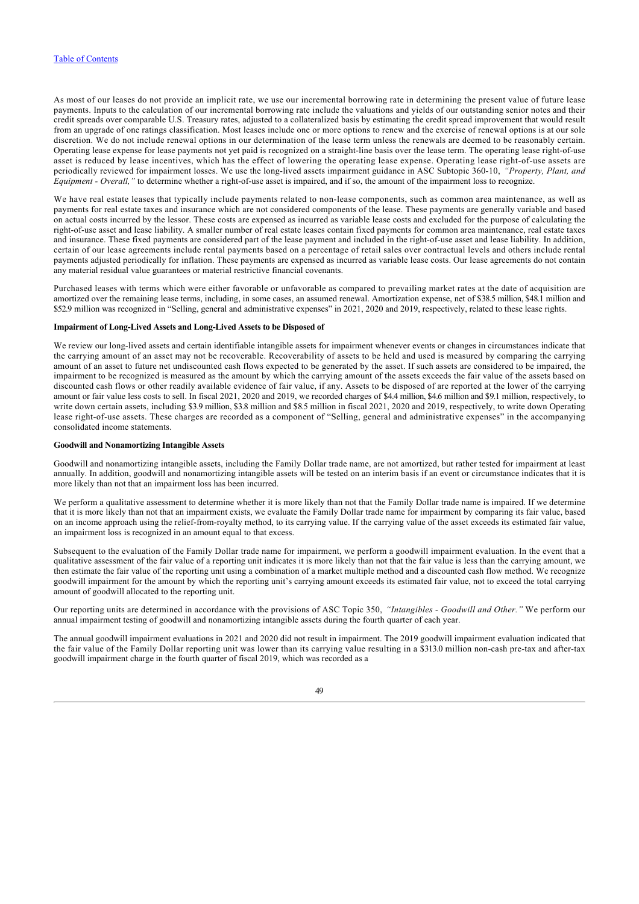As most of our leases do not provide an implicit rate, we use our incremental borrowing rate in determining the present value of future lease payments. Inputs to the calculation of our incremental borrowing rate include the valuations and yields of our outstanding senior notes and their credit spreads over comparable U.S. Treasury rates, adjusted to a collateralized basis by estimating the credit spread improvement that would result from an upgrade of one ratings classification. Most leases include one or more options to renew and the exercise of renewal options is at our sole discretion. We do not include renewal options in our determination of the lease term unless the renewals are deemed to be reasonably certain. Operating lease expense for lease payments not yet paid is recognized on a straight-line basis over the lease term. The operating lease right-of-use asset is reduced by lease incentives, which has the effect of lowering the operating lease expense. Operating lease right-of-use assets are periodically reviewed for impairment losses. We use the long-lived assets impairment guidance in ASC Subtopic 360-10, *"Property, Plant, and Equipment - Overall,"* to determine whether a right-of-use asset is impaired, and if so, the amount of the impairment loss to recognize.

We have real estate leases that typically include payments related to non-lease components, such as common area maintenance, as well as payments for real estate taxes and insurance which are not considered components of the lease. These payments are generally variable and based on actual costs incurred by the lessor. These costs are expensed as incurred as variable lease costs and excluded for the purpose of calculating the right-of-use asset and lease liability. A smaller number of real estate leases contain fixed payments for common area maintenance, real estate taxes and insurance. These fixed payments are considered part of the lease payment and included in the right-of-use asset and lease liability. In addition, certain of our lease agreements include rental payments based on a percentage of retail sales over contractual levels and others include rental payments adjusted periodically for inflation. These payments are expensed as incurred as variable lease costs. Our lease agreements do not contain any material residual value guarantees or material restrictive financial covenants.

Purchased leases with terms which were either favorable or unfavorable as compared to prevailing market rates at the date of acquisition are amortized over the remaining lease terms, including, in some cases, an assumed renewal. Amortization expense, net of \$38.5 million, \$48.1 million and \$52.9 million was recognized in "Selling, general and administrative expenses" in 2021, 2020 and 2019, respectively, related to these lease rights.

### **Impairment of Long-Lived Assets and Long-Lived Assets to be Disposed of**

We review our long-lived assets and certain identifiable intangible assets for impairment whenever events or changes in circumstances indicate that the carrying amount of an asset may not be recoverable. Recoverability of assets to be held and used is measured by comparing the carrying amount of an asset to future net undiscounted cash flows expected to be generated by the asset. If such assets are considered to be impaired, the impairment to be recognized is measured as the amount by which the carrying amount of the assets exceeds the fair value of the assets based on discounted cash flows or other readily available evidence of fair value, if any. Assets to be disposed of are reported at the lower of the carrying amount or fair value less costs to sell. In fiscal 2021, 2020 and 2019, we recorded charges of \$4.4 million, \$4.6 million and \$9.1 million, respectively, to write down certain assets, including \$3.9 million, \$3.8 million and \$8.5 million in fiscal 2021, 2020 and 2019, respectively, to write down Operating lease right-of-use assets. These charges are recorded as a component of "Selling, general and administrative expenses" in the accompanying consolidated income statements.

### **Goodwill and Nonamortizing Intangible Assets**

Goodwill and nonamortizing intangible assets, including the Family Dollar trade name, are not amortized, but rather tested for impairment at least annually. In addition, goodwill and nonamortizing intangible assets will be tested on an interim basis if an event or circumstance indicates that it is more likely than not that an impairment loss has been incurred.

We perform a qualitative assessment to determine whether it is more likely than not that the Family Dollar trade name is impaired. If we determine that it is more likely than not that an impairment exists, we evaluate the Family Dollar trade name for impairment by comparing its fair value, based on an income approach using the relief-from-royalty method, to its carrying value. If the carrying value of the asset exceeds its estimated fair value, an impairment loss is recognized in an amount equal to that excess.

Subsequent to the evaluation of the Family Dollar trade name for impairment, we perform a goodwill impairment evaluation. In the event that a qualitative assessment of the fair value of a reporting unit indicates it is more likely than not that the fair value is less than the carrying amount, we then estimate the fair value of the reporting unit using a combination of a market multiple method and a discounted cash flow method. We recognize goodwill impairment for the amount by which the reporting unit's carrying amount exceeds its estimated fair value, not to exceed the total carrying amount of goodwill allocated to the reporting unit.

Our reporting units are determined in accordance with the provisions of ASC Topic 350, *"Intangibles - Goodwill and Other."* We perform our annual impairment testing of goodwill and nonamortizing intangible assets during the fourth quarter of each year.

The annual goodwill impairment evaluations in 2021 and 2020 did not result in impairment. The 2019 goodwill impairment evaluation indicated that the fair value of the Family Dollar reporting unit was lower than its carrying value resulting in a \$313.0 million non-cash pre-tax and after-tax goodwill impairment charge in the fourth quarter of fiscal 2019, which was recorded as a

## $\overline{49}$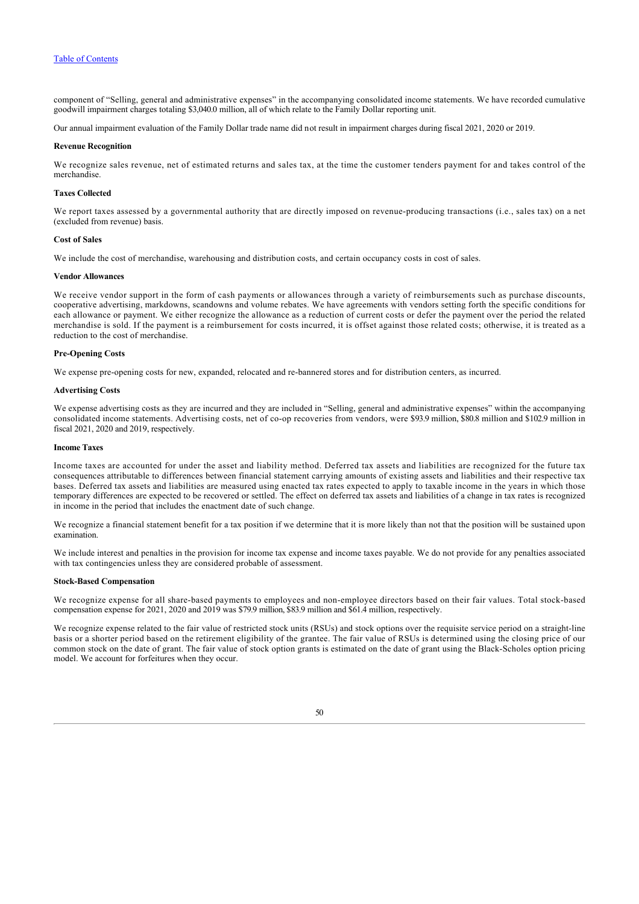component of "Selling, general and administrative expenses" in the accompanying consolidated income statements. We have recorded cumulative goodwill impairment charges totaling \$3,040.0 million, all of which relate to the Family Dollar reporting unit.

Our annual impairment evaluation of the Family Dollar trade name did not result in impairment charges during fiscal 2021, 2020 or 2019.

### **Revenue Recognition**

We recognize sales revenue, net of estimated returns and sales tax, at the time the customer tenders payment for and takes control of the merchandise.

## **Taxes Collected**

We report taxes assessed by a governmental authority that are directly imposed on revenue-producing transactions (i.e., sales tax) on a net (excluded from revenue) basis.

### **Cost of Sales**

We include the cost of merchandise, warehousing and distribution costs, and certain occupancy costs in cost of sales.

#### **Vendor Allowances**

We receive vendor support in the form of cash payments or allowances through a variety of reimbursements such as purchase discounts, cooperative advertising, markdowns, scandowns and volume rebates. We have agreements with vendors setting forth the specific conditions for each allowance or payment. We either recognize the allowance as a reduction of current costs or defer the payment over the period the related merchandise is sold. If the payment is a reimbursement for costs incurred, it is offset against those related costs; otherwise, it is treated as a reduction to the cost of merchandise.

## **Pre-Opening Costs**

We expense pre-opening costs for new, expanded, relocated and re-bannered stores and for distribution centers, as incurred.

#### **Advertising Costs**

We expense advertising costs as they are incurred and they are included in "Selling, general and administrative expenses" within the accompanying consolidated income statements. Advertising costs, net of co-op recoveries from vendors, were \$93.9 million, \$80.8 million and \$102.9 million in fiscal 2021, 2020 and 2019, respectively.

### **Income Taxes**

Income taxes are accounted for under the asset and liability method. Deferred tax assets and liabilities are recognized for the future tax consequences attributable to differences between financial statement carrying amounts of existing assets and liabilities and their respective tax bases. Deferred tax assets and liabilities are measured using enacted tax rates expected to apply to taxable income in the years in which those temporary differences are expected to be recovered or settled. The effect on deferred tax assets and liabilities of a change in tax rates is recognized in income in the period that includes the enactment date of such change.

We recognize a financial statement benefit for a tax position if we determine that it is more likely than not that the position will be sustained upon examination.

We include interest and penalties in the provision for income tax expense and income taxes payable. We do not provide for any penalties associated with tax contingencies unless they are considered probable of assessment.

## **Stock-Based Compensation**

We recognize expense for all share-based payments to employees and non-employee directors based on their fair values. Total stock-based compensation expense for 2021, 2020 and 2019 was \$79.9 million, \$83.9 million and \$61.4 million, respectively.

We recognize expense related to the fair value of restricted stock units (RSUs) and stock options over the requisite service period on a straight-line basis or a shorter period based on the retirement eligibility of the grantee. The fair value of RSUs is determined using the closing price of our common stock on the date of grant. The fair value of stock option grants is estimated on the date of grant using the Black-Scholes option pricing model. We account for forfeitures when they occur.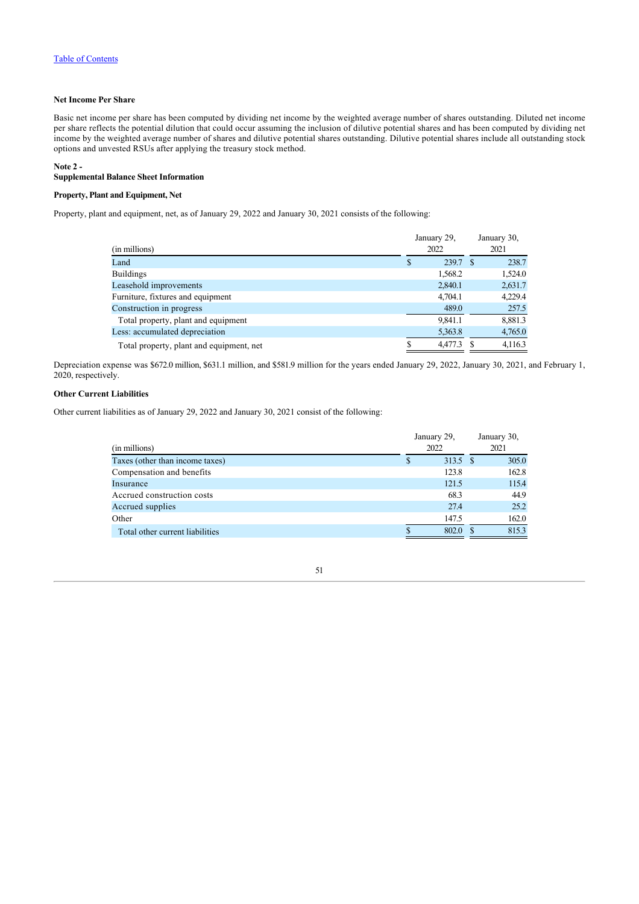## **Net Income Per Share**

Basic net income per share has been computed by dividing net income by the weighted average number of shares outstanding. Diluted net income per share reflects the potential dilution that could occur assuming the inclusion of dilutive potential shares and has been computed by dividing net income by the weighted average number of shares and dilutive potential shares outstanding. Dilutive potential shares include all outstanding stock options and unvested RSUs after applying the treasury stock method.

### <span id="page-51-0"></span>**Note 2 -**

## **Supplemental Balance Sheet Information**

## **Property, Plant and Equipment, Net**

Property, plant and equipment, net, as of January 29, 2022 and January 30, 2021 consists of the following:

|   |         |             | January 30, |
|---|---------|-------------|-------------|
|   | 2022    |             | 2021        |
| S | 239.7   |             | 238.7       |
|   | 1,568.2 |             | 1,524.0     |
|   | 2,840.1 |             | 2,631.7     |
|   | 4,704.1 |             | 4,229.4     |
|   | 489.0   |             | 257.5       |
|   | 9.841.1 |             | 8,881.3     |
|   | 5,363.8 |             | 4,765.0     |
|   | 4,477.3 |             | 4,116.3     |
|   |         | January 29, | - S         |

Depreciation expense was \$672.0 million, \$631.1 million, and \$581.9 million for the years ended January 29, 2022, January 30, 2021, and February 1, 2020, respectively.

## **Other Current Liabilities**

Other current liabilities as of January 29, 2022 and January 30, 2021 consist of the following:

<span id="page-51-1"></span>

| (in millions)                   |   | January 29,<br>2022 | January 30,<br>2021 |       |  |
|---------------------------------|---|---------------------|---------------------|-------|--|
| Taxes (other than income taxes) | S | 313.5 \$            |                     | 305.0 |  |
| Compensation and benefits       |   | 123.8               |                     | 162.8 |  |
| Insurance                       |   | 121.5               |                     | 115.4 |  |
| Accrued construction costs      |   | 68.3                |                     | 44.9  |  |
| Accrued supplies                |   | 27.4                |                     | 25.2  |  |
| Other                           |   | 147.5               |                     | 162.0 |  |
| Total other current liabilities |   | 802.0               |                     | 815.3 |  |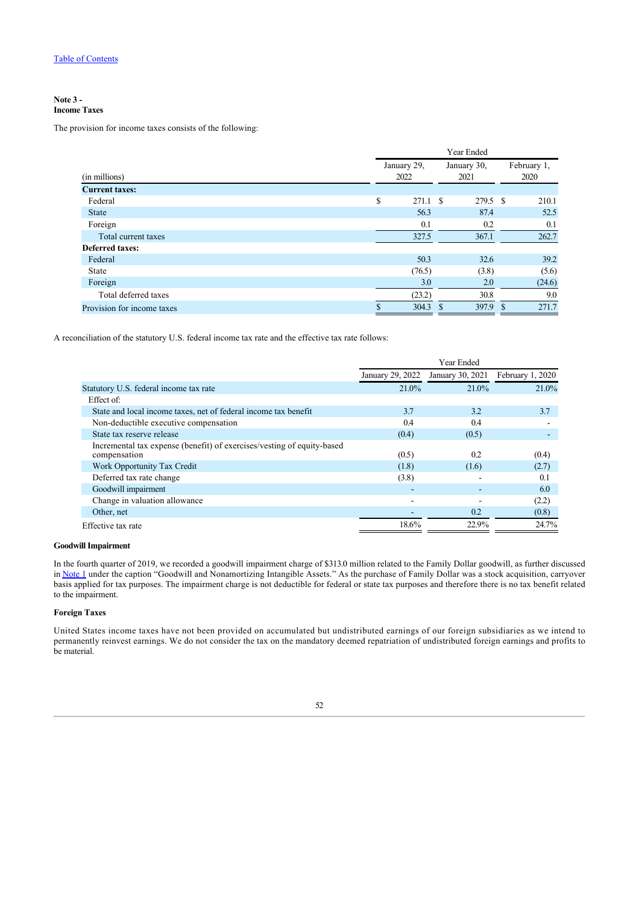### **Note 3 - Income Taxes**

The provision for income taxes consists of the following:

| Year Ended                 |                     |          |                     |              |                     |
|----------------------------|---------------------|----------|---------------------|--------------|---------------------|
| (in millions)              | January 29,<br>2022 |          | January 30,<br>2021 |              | February 1,<br>2020 |
| <b>Current taxes:</b>      |                     |          |                     |              |                     |
| Federal                    | S                   | 271.1 \$ | 279.5 \$            |              | 210.1               |
| <b>State</b>               |                     | 56.3     | 87.4                |              | 52.5                |
| Foreign                    |                     | 0.1      | 0.2                 |              | 0.1                 |
| Total current taxes        |                     | 327.5    | 367.1               |              | 262.7               |
| <b>Deferred taxes:</b>     |                     |          |                     |              |                     |
| Federal                    |                     | 50.3     | 32.6                |              | 39.2                |
| State                      |                     | (76.5)   | (3.8)               |              | (5.6)               |
| Foreign                    |                     | 3.0      | 2.0                 |              | (24.6)              |
| Total deferred taxes       |                     | (23.2)   | 30.8                |              | 9.0                 |
| Provision for income taxes |                     | 304.3    | 397.9<br>-S         | <sup>S</sup> | 271.7               |

A reconciliation of the statutory U.S. federal income tax rate and the effective tax rate follows:

|                                                                                        | Year Ended       |                  |                  |  |  |  |
|----------------------------------------------------------------------------------------|------------------|------------------|------------------|--|--|--|
|                                                                                        | January 29, 2022 | January 30, 2021 | February 1, 2020 |  |  |  |
| Statutory U.S. federal income tax rate                                                 | 21.0%            | 21.0%            | 21.0%            |  |  |  |
| Effect of:                                                                             |                  |                  |                  |  |  |  |
| State and local income taxes, net of federal income tax benefit                        | 3.7              | 3.2              | 3.7              |  |  |  |
| Non-deductible executive compensation                                                  | 0.4              | 0.4              |                  |  |  |  |
| State tax reserve release                                                              | (0.4)            | (0.5)            |                  |  |  |  |
| Incremental tax expense (benefit) of exercises/vesting of equity-based<br>compensation | (0.5)            | 0.2              | (0.4)            |  |  |  |
| Work Opportunity Tax Credit                                                            | (1.8)            | (1.6)            | (2.7)            |  |  |  |
| Deferred tax rate change                                                               | (3.8)            |                  | 0.1              |  |  |  |
| Goodwill impairment                                                                    |                  |                  | 6.0              |  |  |  |
| Change in valuation allowance                                                          |                  |                  | (2.2)            |  |  |  |
| Other, net                                                                             |                  | 0.2              | (0.8)            |  |  |  |
| Effective tax rate                                                                     | 18.6%            | 22.9%            | 24.7%            |  |  |  |

## **Goodwill Impairment**

In the fourth quarter of 2019, we recorded a goodwill impairment charge of \$313.0 million related to the Family Dollar goodwill, as further discussed in [Note 1](#page-47-0) under the caption "Goodwill and Nonamortizing Intangible Assets." As the purchase of Family Dollar was a stock acquisition, carryover basis applied for tax purposes. The impairment charge is not deductible for federal or state tax purposes and therefore there is no tax benefit related to the impairment.

## **Foreign Taxes**

United States income taxes have not been provided on accumulated but undistributed earnings of our foreign subsidiaries as we intend to permanently reinvest earnings. We do not consider the tax on the mandatory deemed repatriation of undistributed foreign earnings and profits to be material.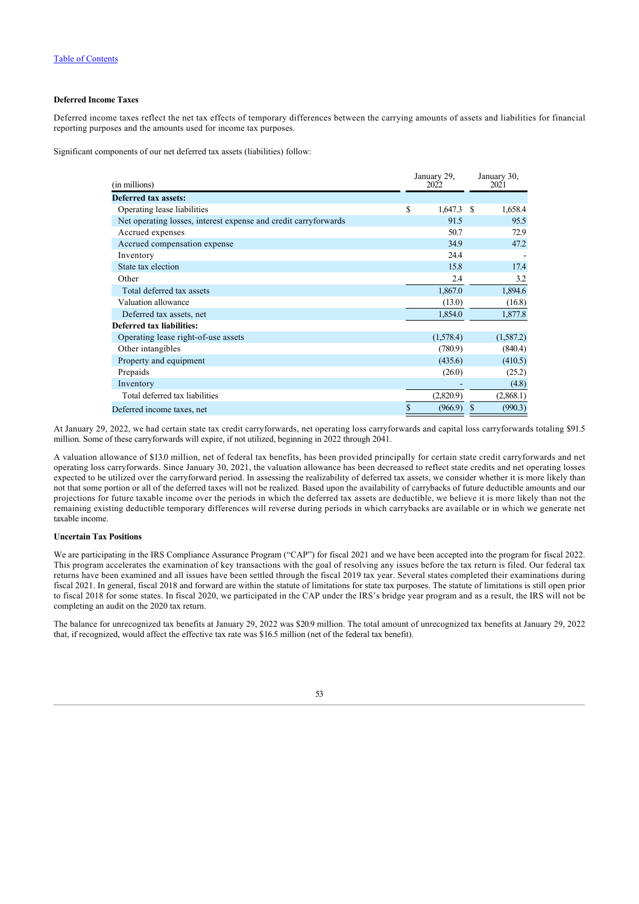## **Deferred Income Taxes**

Deferred income taxes reflect the net tax effects of temporary differences between the carrying amounts of assets and liabilities for financial reporting purposes and the amounts used for income tax purposes.

Significant components of our net deferred tax assets (liabilities) follow:

| (in millions)                                                   | January 29,<br>2022 |   | January 30,<br>2021 |
|-----------------------------------------------------------------|---------------------|---|---------------------|
| <b>Deferred tax assets:</b>                                     |                     |   |                     |
| Operating lease liabilities                                     | \$<br>$1,647.3$ \$  |   | 1,658.4             |
| Net operating losses, interest expense and credit carryforwards | 91.5                |   | 95.5                |
| Accrued expenses                                                | 50.7                |   | 72.9                |
| Accrued compensation expense                                    | 34.9                |   | 47.2                |
| Inventory                                                       | 24.4                |   |                     |
| State tax election                                              | 15.8                |   | 17.4                |
| Other                                                           | 2.4                 |   | 3.2                 |
| Total deferred tax assets                                       | 1,867.0             |   | 1,894.6             |
| Valuation allowance                                             | (13.0)              |   | (16.8)              |
| Deferred tax assets, net                                        | 1,854.0             |   | 1,877.8             |
| Deferred tax liabilities:                                       |                     |   |                     |
| Operating lease right-of-use assets                             | (1,578.4)           |   | (1,587.2)           |
| Other intangibles                                               | (780.9)             |   | (840.4)             |
| Property and equipment                                          | (435.6)             |   | (410.5)             |
| Prepaids                                                        | (26.0)              |   | (25.2)              |
| Inventory                                                       |                     |   | (4.8)               |
| Total deferred tax liabilities                                  | (2,820.9)           |   | (2,868.1)           |
| Deferred income taxes, net                                      | \$<br>(966.9)       | S | (990.3)             |

At January 29, 2022, we had certain state tax credit carryforwards, net operating loss carryforwards and capital loss carryforwards totaling \$91.5 million. Some of these carryforwards will expire, if not utilized, beginning in 2022 through 2041.

A valuation allowance of \$13.0 million, net of federal tax benefits, has been provided principally for certain state credit carryforwards and net operating loss carryforwards. Since January 30, 2021, the valuation allowance has been decreased to reflect state credits and net operating losses expected to be utilized over the carryforward period. In assessing the realizability of deferred tax assets, we consider whether it is more likely than not that some portion or all of the deferred taxes will not be realized. Based upon the availability of carrybacks of future deductible amounts and our projections for future taxable income over the periods in which the deferred tax assets are deductible, we believe it is more likely than not the remaining existing deductible temporary differences will reverse during periods in which carrybacks are available or in which we generate net taxable income.

## **Uncertain Tax Positions**

We are participating in the IRS Compliance Assurance Program ("CAP") for fiscal 2021 and we have been accepted into the program for fiscal 2022. This program accelerates the examination of key transactions with the goal of resolving any issues before the tax return is filed. Our federal tax returns have been examined and all issues have been settled through the fiscal 2019 tax year. Several states completed their examinations during fiscal 2021. In general, fiscal 2018 and forward are within the statute of limitations for state tax purposes. The statute of limitations is still open prior to fiscal 2018 for some states. In fiscal 2020, we participated in the CAP under the IRS's bridge year program and as a result, the IRS will not be completing an audit on the 2020 tax return.

The balance for unrecognized tax benefits at January 29, 2022 was \$20.9 million. The total amount of unrecognized tax benefits at January 29, 2022 that, if recognized, would affect the effective tax rate was \$16.5 million (net of the federal tax benefit).

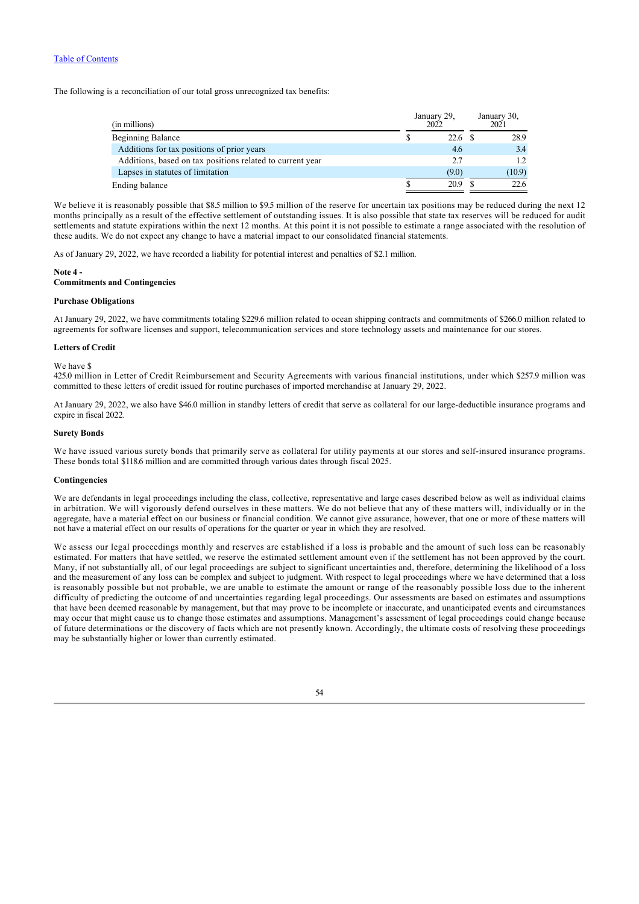The following is a reconciliation of our total gross unrecognized tax benefits:

| (in millions)                                             | January 29,<br>2022 |       |  |        |  |  |  |  | January 30,<br>2021 |
|-----------------------------------------------------------|---------------------|-------|--|--------|--|--|--|--|---------------------|
| <b>Beginning Balance</b>                                  |                     | 22.6  |  | 28.9   |  |  |  |  |                     |
| Additions for tax positions of prior years                |                     | 4.6   |  | 3.4    |  |  |  |  |                     |
| Additions, based on tax positions related to current year |                     | 2.7   |  | 1.2    |  |  |  |  |                     |
| Lapses in statutes of limitation                          |                     | (9.0) |  | (10.9) |  |  |  |  |                     |
| Ending balance                                            |                     | 20.9  |  | 22.6   |  |  |  |  |                     |

We believe it is reasonably possible that \$8.5 million to \$9.5 million of the reserve for uncertain tax positions may be reduced during the next 12 months principally as a result of the effective settlement of outstanding issues. It is also possible that state tax reserves will be reduced for audit settlements and statute expirations within the next 12 months. At this point it is not possible to estimate a range associated with the resolution of these audits. We do not expect any change to have a material impact to our consolidated financial statements.

As of January 29, 2022, we have recorded a liability for potential interest and penalties of \$2.1 million.

#### <span id="page-54-0"></span>**Note 4 -**

### **Commitments and Contingencies**

## **Purchase Obligations**

At January 29, 2022, we have commitments totaling \$229.6 million related to ocean shipping contracts and commitments of \$266.0 million related to agreements for software licenses and support, telecommunication services and store technology assets and maintenance for our stores.

## **Letters of Credit**

#### We have \$

425.0 million in Letter of Credit Reimbursement and Security Agreements with various financial institutions, under which \$257.9 million was committed to these letters of credit issued for routine purchases of imported merchandise at January 29, 2022.

At January 29, 2022, we also have \$46.0 million in standby letters of credit that serve as collateral for our large-deductible insurance programs and expire in fiscal 2022.

## **Surety Bonds**

We have issued various surety bonds that primarily serve as collateral for utility payments at our stores and self-insured insurance programs. These bonds total \$118.6 million and are committed through various dates through fiscal 2025.

#### **Contingencies**

We are defendants in legal proceedings including the class, collective, representative and large cases described below as well as individual claims in arbitration. We will vigorously defend ourselves in these matters. We do not believe that any of these matters will, individually or in the aggregate, have a material effect on our business or financial condition. We cannot give assurance, however, that one or more of these matters will not have a material effect on our results of operations for the quarter or year in which they are resolved.

We assess our legal proceedings monthly and reserves are established if a loss is probable and the amount of such loss can be reasonably estimated. For matters that have settled, we reserve the estimated settlement amount even if the settlement has not been approved by the court. Many, if not substantially all, of our legal proceedings are subject to significant uncertainties and, therefore, determining the likelihood of a loss and the measurement of any loss can be complex and subject to judgment. With respect to legal proceedings where we have determined that a loss is reasonably possible but not probable, we are unable to estimate the amount or range of the reasonably possible loss due to the inherent difficulty of predicting the outcome of and uncertainties regarding legal proceedings. Our assessments are based on estimates and assumptions that have been deemed reasonable by management, but that may prove to be incomplete or inaccurate, and unanticipated events and circumstances may occur that might cause us to change those estimates and assumptions. Management's assessment of legal proceedings could change because of future determinations or the discovery of facts which are not presently known. Accordingly, the ultimate costs of resolving these proceedings may be substantially higher or lower than currently estimated.

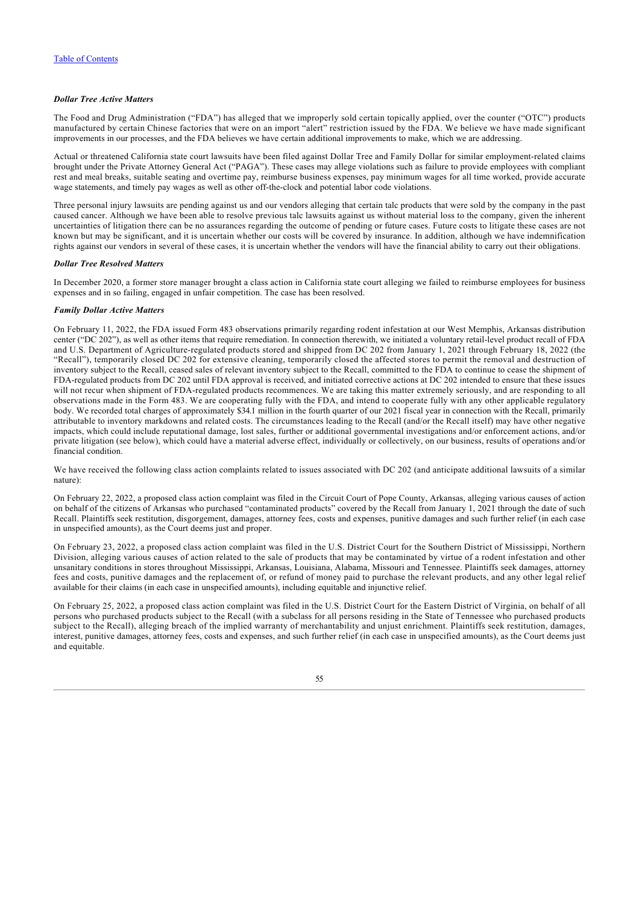## *Dollar Tree Active Matters*

The Food and Drug Administration ("FDA") has alleged that we improperly sold certain topically applied, over the counter ("OTC") products manufactured by certain Chinese factories that were on an import "alert" restriction issued by the FDA. We believe we have made significant improvements in our processes, and the FDA believes we have certain additional improvements to make, which we are addressing.

Actual or threatened California state court lawsuits have been filed against Dollar Tree and Family Dollar for similar employment-related claims brought under the Private Attorney General Act ("PAGA"). These cases may allege violations such as failure to provide employees with compliant rest and meal breaks, suitable seating and overtime pay, reimburse business expenses, pay minimum wages for all time worked, provide accurate wage statements, and timely pay wages as well as other off-the-clock and potential labor code violations.

Three personal injury lawsuits are pending against us and our vendors alleging that certain talc products that were sold by the company in the past caused cancer. Although we have been able to resolve previous talc lawsuits against us without material loss to the company, given the inherent uncertainties of litigation there can be no assurances regarding the outcome of pending or future cases. Future costs to litigate these cases are not known but may be significant, and it is uncertain whether our costs will be covered by insurance. In addition, although we have indemnification rights against our vendors in several of these cases, it is uncertain whether the vendors will have the financial ability to carry out their obligations.

### *Dollar Tree Resolved Matters*

In December 2020, a former store manager brought a class action in California state court alleging we failed to reimburse employees for business expenses and in so failing, engaged in unfair competition. The case has been resolved.

## *Family Dollar Active Matters*

On February 11, 2022, the FDA issued Form 483 observations primarily regarding rodent infestation at our West Memphis, Arkansas distribution center ("DC 202"), as well as other items that require remediation. In connection therewith, we initiated a voluntary retail-level product recall of FDA and U.S. Department of Agriculture-regulated products stored and shipped from DC 202 from January 1, 2021 through February 18, 2022 (the "Recall"), temporarily closed DC 202 for extensive cleaning, temporarily closed the affected stores to permit the removal and destruction of inventory subject to the Recall, ceased sales of relevant inventory subject to the Recall, committed to the FDA to continue to cease the shipment of FDA-regulated products from DC 202 until FDA approval is received, and initiated corrective actions at DC 202 intended to ensure that these issues will not recur when shipment of FDA-regulated products recommences. We are taking this matter extremely seriously, and are responding to all observations made in the Form 483. We are cooperating fully with the FDA, and intend to cooperate fully with any other applicable regulatory body. We recorded total charges of approximately \$34.1 million in the fourth quarter of our 2021 fiscal year in connection with the Recall, primarily attributable to inventory markdowns and related costs. The circumstances leading to the Recall (and/or the Recall itself) may have other negative impacts, which could include reputational damage, lost sales, further or additional governmental investigations and/or enforcement actions, and/or private litigation (see below), which could have a material adverse effect, individually or collectively, on our business, results of operations and/or financial condition.

We have received the following class action complaints related to issues associated with DC 202 (and anticipate additional lawsuits of a similar nature):

On February 22, 2022, a proposed class action complaint was filed in the Circuit Court of Pope County, Arkansas, alleging various causes of action on behalf of the citizens of Arkansas who purchased "contaminated products" covered by the Recall from January 1, 2021 through the date of such Recall. Plaintiffs seek restitution, disgorgement, damages, attorney fees, costs and expenses, punitive damages and such further relief (in each case in unspecified amounts), as the Court deems just and proper.

On February 23, 2022, a proposed class action complaint was filed in the U.S. District Court for the Southern District of Mississippi, Northern Division, alleging various causes of action related to the sale of products that may be contaminated by virtue of a rodent infestation and other unsanitary conditions in stores throughout Mississippi, Arkansas, Louisiana, Alabama, Missouri and Tennessee. Plaintiffs seek damages, attorney fees and costs, punitive damages and the replacement of, or refund of money paid to purchase the relevant products, and any other legal relief available for their claims (in each case in unspecified amounts), including equitable and injunctive relief.

On February 25, 2022, a proposed class action complaint was filed in the U.S. District Court for the Eastern District of Virginia, on behalf of all persons who purchased products subject to the Recall (with a subclass for all persons residing in the State of Tennessee who purchased products subject to the Recall), alleging breach of the implied warranty of merchantability and unjust enrichment. Plaintiffs seek restitution, damages, interest, punitive damages, attorney fees, costs and expenses, and such further relief (in each case in unspecified amounts), as the Court deems just and equitable.

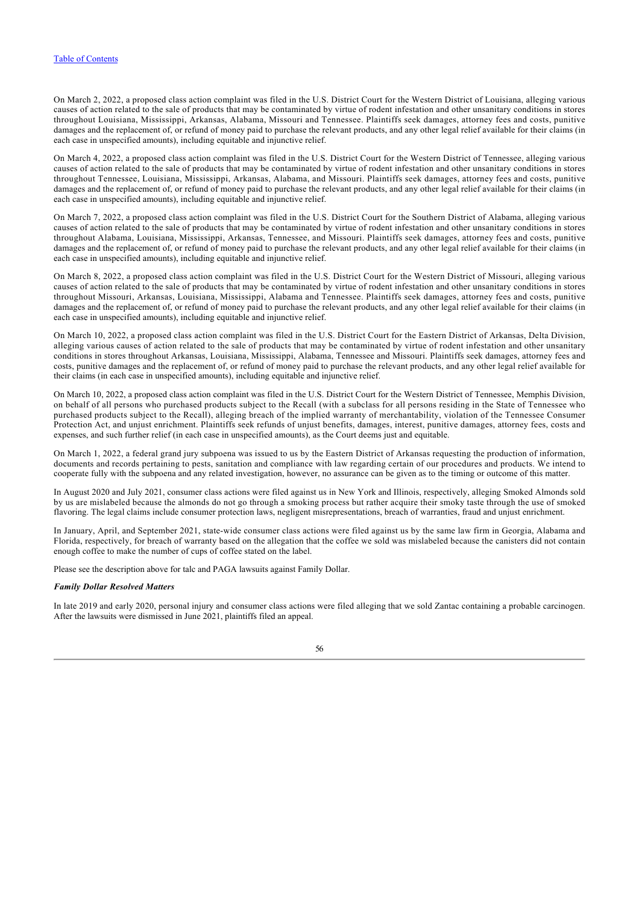On March 2, 2022, a proposed class action complaint was filed in the U.S. District Court for the Western District of Louisiana, alleging various causes of action related to the sale of products that may be contaminated by virtue of rodent infestation and other unsanitary conditions in stores throughout Louisiana, Mississippi, Arkansas, Alabama, Missouri and Tennessee. Plaintiffs seek damages, attorney fees and costs, punitive damages and the replacement of, or refund of money paid to purchase the relevant products, and any other legal relief available for their claims (in each case in unspecified amounts), including equitable and injunctive relief.

On March 4, 2022, a proposed class action complaint was filed in the U.S. District Court for the Western District of Tennessee, alleging various causes of action related to the sale of products that may be contaminated by virtue of rodent infestation and other unsanitary conditions in stores throughout Tennessee, Louisiana, Mississippi, Arkansas, Alabama, and Missouri. Plaintiffs seek damages, attorney fees and costs, punitive damages and the replacement of, or refund of money paid to purchase the relevant products, and any other legal relief available for their claims (in each case in unspecified amounts), including equitable and injunctive relief.

On March 7, 2022, a proposed class action complaint was filed in the U.S. District Court for the Southern District of Alabama, alleging various causes of action related to the sale of products that may be contaminated by virtue of rodent infestation and other unsanitary conditions in stores throughout Alabama, Louisiana, Mississippi, Arkansas, Tennessee, and Missouri. Plaintiffs seek damages, attorney fees and costs, punitive damages and the replacement of, or refund of money paid to purchase the relevant products, and any other legal relief available for their claims (in each case in unspecified amounts), including equitable and injunctive relief.

On March 8, 2022, a proposed class action complaint was filed in the U.S. District Court for the Western District of Missouri, alleging various causes of action related to the sale of products that may be contaminated by virtue of rodent infestation and other unsanitary conditions in stores throughout Missouri, Arkansas, Louisiana, Mississippi, Alabama and Tennessee. Plaintiffs seek damages, attorney fees and costs, punitive damages and the replacement of, or refund of money paid to purchase the relevant products, and any other legal relief available for their claims (in each case in unspecified amounts), including equitable and injunctive relief.

On March 10, 2022, a proposed class action complaint was filed in the U.S. District Court for the Eastern District of Arkansas, Delta Division, alleging various causes of action related to the sale of products that may be contaminated by virtue of rodent infestation and other unsanitary conditions in stores throughout Arkansas, Louisiana, Mississippi, Alabama, Tennessee and Missouri. Plaintiffs seek damages, attorney fees and costs, punitive damages and the replacement of, or refund of money paid to purchase the relevant products, and any other legal relief available for their claims (in each case in unspecified amounts), including equitable and injunctive relief.

On March 10, 2022, a proposed class action complaint was filed in the U.S. District Court for the Western District of Tennessee, Memphis Division, on behalf of all persons who purchased products subject to the Recall (with a subclass for all persons residing in the State of Tennessee who purchased products subject to the Recall), alleging breach of the implied warranty of merchantability, violation of the Tennessee Consumer Protection Act, and unjust enrichment. Plaintiffs seek refunds of unjust benefits, damages, interest, punitive damages, attorney fees, costs and expenses, and such further relief (in each case in unspecified amounts), as the Court deems just and equitable.

On March 1, 2022, a federal grand jury subpoena was issued to us by the Eastern District of Arkansas requesting the production of information, documents and records pertaining to pests, sanitation and compliance with law regarding certain of our procedures and products. We intend to cooperate fully with the subpoena and any related investigation, however, no assurance can be given as to the timing or outcome of this matter.

In August 2020 and July 2021, consumer class actions were filed against us in New York and Illinois, respectively, alleging Smoked Almonds sold by us are mislabeled because the almonds do not go through a smoking process but rather acquire their smoky taste through the use of smoked flavoring. The legal claims include consumer protection laws, negligent misrepresentations, breach of warranties, fraud and unjust enrichment.

In January, April, and September 2021, state-wide consumer class actions were filed against us by the same law firm in Georgia, Alabama and Florida, respectively, for breach of warranty based on the allegation that the coffee we sold was mislabeled because the canisters did not contain enough coffee to make the number of cups of coffee stated on the label.

Please see the description above for talc and PAGA lawsuits against Family Dollar.

### *Family Dollar Resolved Matters*

<span id="page-56-0"></span>In late 2019 and early 2020, personal injury and consumer class actions were filed alleging that we sold Zantac containing a probable carcinogen. After the lawsuits were dismissed in June 2021, plaintiffs filed an appeal.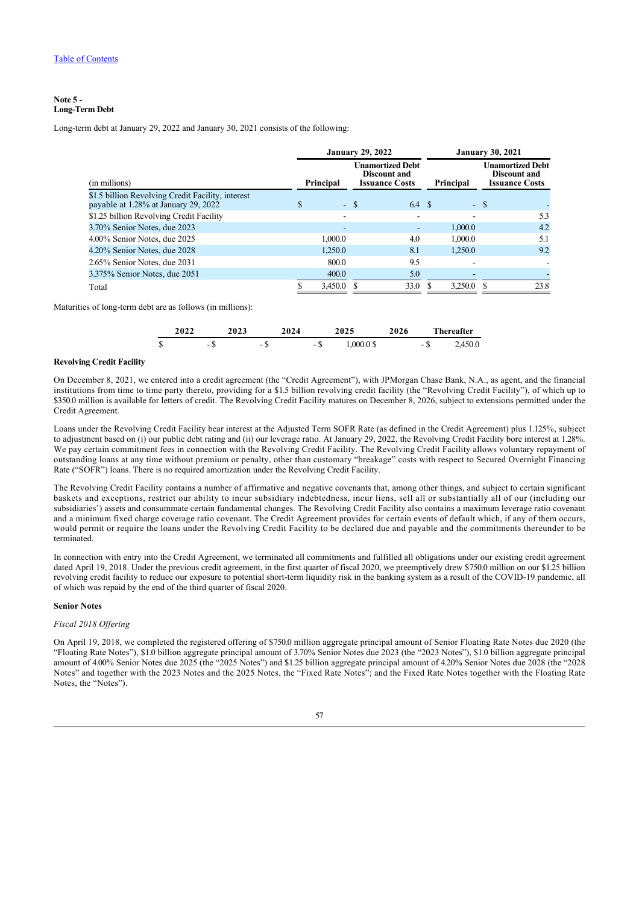## **Note 5 - Long-Term Debt**

Long-term debt at January 29, 2022 and January 30, 2021 consists of the following:

|                                                                                           | <b>January 29, 2022</b> |        |                                                                         |                          |        | <b>January 30, 2021</b>                                                 |
|-------------------------------------------------------------------------------------------|-------------------------|--------|-------------------------------------------------------------------------|--------------------------|--------|-------------------------------------------------------------------------|
| (in millions)                                                                             | Principal               |        | <b>Unamortized Debt</b><br><b>Discount and</b><br><b>Issuance Costs</b> | Principal                |        | <b>Unamortized Debt</b><br><b>Discount and</b><br><b>Issuance Costs</b> |
| \$1.5 billion Revolving Credit Facility, interest<br>payable at 1.28% at January 29, 2022 | \$                      | $-$ \$ | 6.4 \$                                                                  |                          | $-$ \$ |                                                                         |
| \$1.25 billion Revolving Credit Facility                                                  | -                       |        |                                                                         |                          |        | 5.3                                                                     |
| 3.70% Senior Notes, due 2023                                                              | -                       |        | ٠                                                                       | 1,000.0                  |        | 4.2                                                                     |
| 4.00% Senior Notes, due 2025                                                              | 1,000.0                 |        | 4.0                                                                     | 1,000.0                  |        | 5.1                                                                     |
| 4.20% Senior Notes, due 2028                                                              | 1.250.0                 |        | 8.1                                                                     | 1,250.0                  |        | 9.2                                                                     |
| 2.65% Senior Notes, due 2031                                                              | 800.0                   |        | 9.5                                                                     |                          |        |                                                                         |
| 3.375% Senior Notes, due 2051                                                             | 400.0                   |        | 5.0                                                                     | $\overline{\phantom{a}}$ |        |                                                                         |
| Total                                                                                     | 3.450.0                 |        | 33.0                                                                    | 3.250.0                  |        | 23.8                                                                    |

Maturities of long-term debt are as follows (in millions):

|   | 2022 |   | 2023 | 2024 |   | 2025         |  |   | <b>Thereafter</b> |
|---|------|---|------|------|---|--------------|--|---|-------------------|
| J |      | - | -    |      | ۰ | $0.00000$ \$ |  | ъ | 2,450.0           |

### **Revolving Credit Facility**

On December 8, 2021, we entered into a credit agreement (the "Credit Agreement"), with JPMorgan Chase Bank, N.A., as agent, and the financial institutions from time to time party thereto, providing for a \$1.5 billion revolving credit facility (the "Revolving Credit Facility"), of which up to \$350.0 million is available for letters of credit. The Revolving Credit Facility matures on December 8, 2026, subject to extensions permitted under the Credit Agreement.

Loans under the Revolving Credit Facility bear interest at the Adjusted Term SOFR Rate (as defined in the Credit Agreement) plus 1.125%, subject to adjustment based on (i) our public debt rating and (ii) our leverage ratio. At January 29, 2022, the Revolving Credit Facility bore interest at 1.28%. We pay certain commitment fees in connection with the Revolving Credit Facility. The Revolving Credit Facility allows voluntary repayment of outstanding loans at any time without premium or penalty, other than customary "breakage" costs with respect to Secured Overnight Financing Rate ("SOFR") loans. There is no required amortization under the Revolving Credit Facility.

The Revolving Credit Facility contains a number of affirmative and negative covenants that, among other things, and subject to certain significant baskets and exceptions, restrict our ability to incur subsidiary indebtedness, incur liens, sell all or substantially all of our (including our subsidiaries') assets and consummate certain fundamental changes. The Revolving Credit Facility also contains a maximum leverage ratio covenant and a minimum fixed charge coverage ratio covenant. The Credit Agreement provides for certain events of default which, if any of them occurs, would permit or require the loans under the Revolving Credit Facility to be declared due and payable and the commitments thereunder to be terminated.

In connection with entry into the Credit Agreement, we terminated all commitments and fulfilled all obligations under our existing credit agreement dated April 19, 2018. Under the previous credit agreement, in the first quarter of fiscal 2020, we preemptively drew \$750.0 million on our \$1.25 billion revolving credit facility to reduce our exposure to potential short-term liquidity risk in the banking system as a result of the COVID-19 pandemic, all of which was repaid by the end of the third quarter of fiscal 2020.

## **Senior Notes**

## *Fiscal 2018 Offering*

On April 19, 2018, we completed the registered offering of \$750.0 million aggregate principal amount of Senior Floating Rate Notes due 2020 (the "Floating Rate Notes"), \$1.0 billion aggregate principal amount of 3.70% Senior Notes due 2023 (the "2023 Notes"), \$1.0 billion aggregate principal amount of 4.00% Senior Notes due 2025 (the "2025 Notes") and \$1.25 billion aggregate principal amount of 4.20% Senior Notes due 2028 (the "2028 Notes" and together with the 2023 Notes and the 2025 Notes, the "Fixed Rate Notes"; and the Fixed Rate Notes together with the Floating Rate Notes, the "Notes").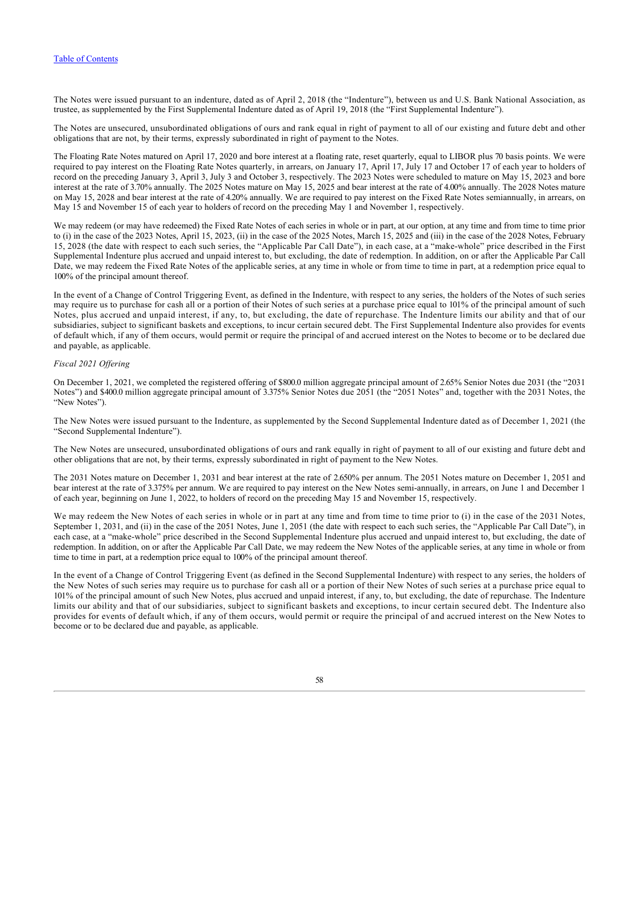The Notes were issued pursuant to an indenture, dated as of April 2, 2018 (the "Indenture"), between us and U.S. Bank National Association, as trustee, as supplemented by the First Supplemental Indenture dated as of April 19, 2018 (the "First Supplemental Indenture").

The Notes are unsecured, unsubordinated obligations of ours and rank equal in right of payment to all of our existing and future debt and other obligations that are not, by their terms, expressly subordinated in right of payment to the Notes.

The Floating Rate Notes matured on April 17, 2020 and bore interest at a floating rate, reset quarterly, equal to LIBOR plus 70 basis points. We were required to pay interest on the Floating Rate Notes quarterly, in arrears, on January 17, April 17, July 17 and October 17 of each year to holders of record on the preceding January 3, April 3, July 3 and October 3, respectively. The 2023 Notes were scheduled to mature on May 15, 2023 and bore interest at the rate of 3.70% annually. The 2025 Notes mature on May 15, 2025 and bear interest at the rate of 4.00% annually. The 2028 Notes mature on May 15, 2028 and bear interest at the rate of 4.20% annually. We are required to pay interest on the Fixed Rate Notes semiannually, in arrears, on May 15 and November 15 of each year to holders of record on the preceding May 1 and November 1, respectively.

We may redeem (or may have redeemed) the Fixed Rate Notes of each series in whole or in part, at our option, at any time and from time to time prior to (i) in the case of the 2023 Notes, April 15, 2023, (ii) in the case of the 2025 Notes, March 15, 2025 and (iii) in the case of the 2028 Notes, February 15, 2028 (the date with respect to each such series, the "Applicable Par Call Date"), in each case, at a "make-whole" price described in the First Supplemental Indenture plus accrued and unpaid interest to, but excluding, the date of redemption. In addition, on or after the Applicable Par Call Date, we may redeem the Fixed Rate Notes of the applicable series, at any time in whole or from time to time in part, at a redemption price equal to 100% of the principal amount thereof.

In the event of a Change of Control Triggering Event, as defined in the Indenture, with respect to any series, the holders of the Notes of such series may require us to purchase for cash all or a portion of their Notes of such series at a purchase price equal to 101% of the principal amount of such Notes, plus accrued and unpaid interest, if any, to, but excluding, the date of repurchase. The Indenture limits our ability and that of our subsidiaries, subject to significant baskets and exceptions, to incur certain secured debt. The First Supplemental Indenture also provides for events of default which, if any of them occurs, would permit or require the principal of and accrued interest on the Notes to become or to be declared due and payable, as applicable.

### *Fiscal 2021 Offering*

On December 1, 2021, we completed the registered offering of \$800.0 million aggregate principal amount of 2.65% Senior Notes due 2031 (the "2031 Notes") and \$400.0 million aggregate principal amount of 3.375% Senior Notes due 2051 (the "2051 Notes" and, together with the 2031 Notes, the "New Notes").

The New Notes were issued pursuant to the Indenture, as supplemented by the Second Supplemental Indenture dated as of December 1, 2021 (the "Second Supplemental Indenture").

The New Notes are unsecured, unsubordinated obligations of ours and rank equally in right of payment to all of our existing and future debt and other obligations that are not, by their terms, expressly subordinated in right of payment to the New Notes.

The 2031 Notes mature on December 1, 2031 and bear interest at the rate of 2.650% per annum. The 2051 Notes mature on December 1, 2051 and bear interest at the rate of 3.375% per annum. We are required to pay interest on the New Notes semi-annually, in arrears, on June 1 and December 1 of each year, beginning on June 1, 2022, to holders of record on the preceding May 15 and November 15, respectively.

We may redeem the New Notes of each series in whole or in part at any time and from time to time prior to (i) in the case of the 2031 Notes, September 1, 2031, and (ii) in the case of the 2051 Notes, June 1, 2051 (the date with respect to each such series, the "Applicable Par Call Date"), in each case, at a "make-whole" price described in the Second Supplemental Indenture plus accrued and unpaid interest to, but excluding, the date of redemption. In addition, on or after the Applicable Par Call Date, we may redeem the New Notes of the applicable series, at any time in whole or from time to time in part, at a redemption price equal to 100% of the principal amount thereof.

In the event of a Change of Control Triggering Event (as defined in the Second Supplemental Indenture) with respect to any series, the holders of the New Notes of such series may require us to purchase for cash all or a portion of their New Notes of such series at a purchase price equal to 101% of the principal amount of such New Notes, plus accrued and unpaid interest, if any, to, but excluding, the date of repurchase. The Indenture limits our ability and that of our subsidiaries, subject to significant baskets and exceptions, to incur certain secured debt. The Indenture also provides for events of default which, if any of them occurs, would permit or require the principal of and accrued interest on the New Notes to become or to be declared due and payable, as applicable.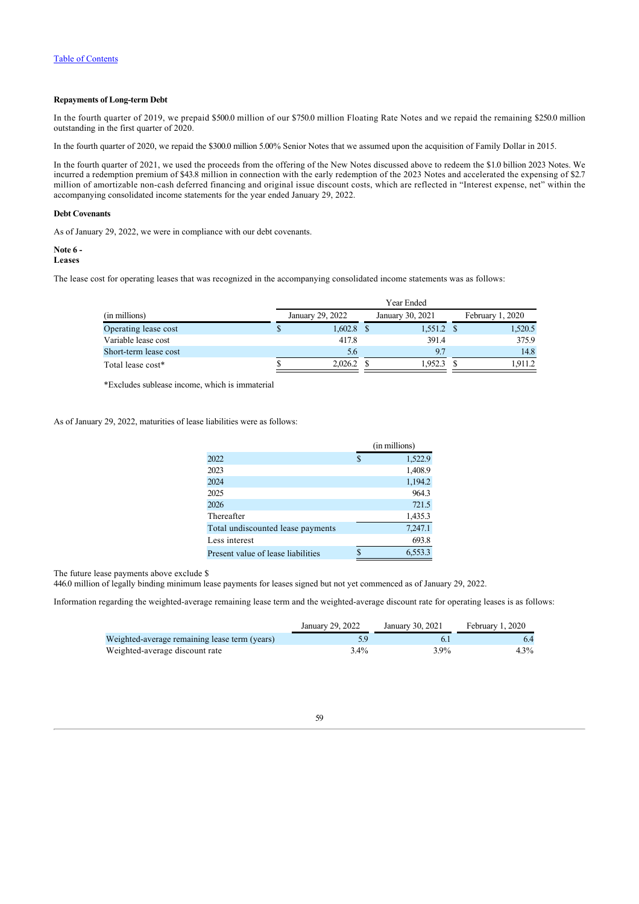## **Repayments of Long-term Debt**

In the fourth quarter of 2019, we prepaid \$500.0 million of our \$750.0 million Floating Rate Notes and we repaid the remaining \$250.0 million outstanding in the first quarter of 2020.

In the fourth quarter of 2020, we repaid the \$300.0 million 5.00% Senior Notes that we assumed upon the acquisition of Family Dollar in 2015.

In the fourth quarter of 2021, we used the proceeds from the offering of the New Notes discussed above to redeem the \$1.0 billion 2023 Notes. We incurred a redemption premium of \$43.8 million in connection with the early redemption of the 2023 Notes and accelerated the expensing of \$2.7 million of amortizable non-cash deferred financing and original issue discount costs, which are reflected in "Interest expense, net" within the accompanying consolidated income statements for the year ended January 29, 2022.

### **Debt Covenants**

As of January 29, 2022, we were in compliance with our debt covenants.

### <span id="page-59-0"></span>**Note 6 -**

**Leases**

The lease cost for operating leases that was recognized in the accompanying consolidated income statements was as follows:

|                       | Year Ended |                  |  |                  |  |                  |  |  |  |  |
|-----------------------|------------|------------------|--|------------------|--|------------------|--|--|--|--|
| (in millions)         |            | January 29, 2022 |  | January 30, 2021 |  | February 1, 2020 |  |  |  |  |
| Operating lease cost  | P          | 1,602.8          |  | $1,551.2$ \$     |  | 1,520.5          |  |  |  |  |
| Variable lease cost   |            | 417.8            |  | 391.4            |  | 375.9            |  |  |  |  |
| Short-term lease cost |            | 5.6              |  | 9.7              |  | 14.8             |  |  |  |  |
| Total lease cost*     |            | 2,026.2          |  | 1,952.3          |  | 1.911.2          |  |  |  |  |

\*Excludes sublease income, which is immaterial

As of January 29, 2022, maturities of lease liabilities were as follows:

|                                    | (in millions) |
|------------------------------------|---------------|
| 2022                               | \$<br>1,522.9 |
| 2023                               | 1,408.9       |
| 2024                               | 1,194.2       |
| 2025                               | 964.3         |
| 2026                               | 721.5         |
| Thereafter                         | 1,435.3       |
| Total undiscounted lease payments  | 7,247.1       |
| Less interest                      | 693.8         |
| Present value of lease liabilities | 6,553.3       |

The future lease payments above exclude \$

446.0 million of legally binding minimum lease payments for leases signed but not yet commenced as of January 29, 2022.

Information regarding the weighted-average remaining lease term and the weighted-average discount rate for operating leases is as follows:

|                                               | January 29, 2022 | January 30, 2021 | February 1, 2020 |
|-----------------------------------------------|------------------|------------------|------------------|
| Weighted-average remaining lease term (years) |                  |                  |                  |
| Weighted-average discount rate                | 3.4%             | $3.9\%$          | 4.3%             |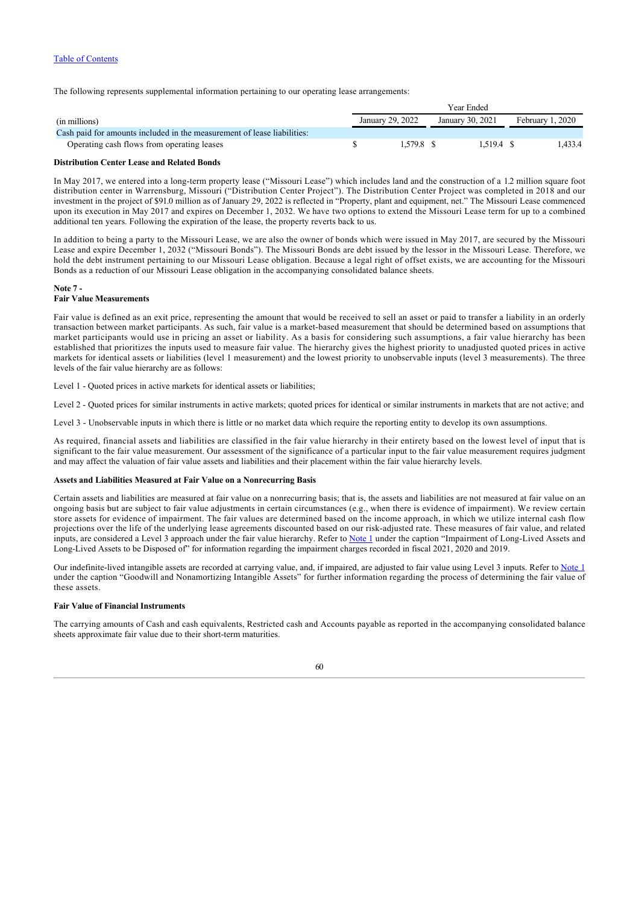The following represents supplemental information pertaining to our operating lease arrangements:

|                                                                         | Year Ended       |                  |                  |  |  |  |
|-------------------------------------------------------------------------|------------------|------------------|------------------|--|--|--|
| (in millions)                                                           | January 29, 2022 | January 30, 2021 | February 1, 2020 |  |  |  |
| Cash paid for amounts included in the measurement of lease liabilities: |                  |                  |                  |  |  |  |
| Operating cash flows from operating leases                              | 1.579.8 \$       | 1.519.4 \$       | .433.4           |  |  |  |

#### **Distribution Center Lease and Related Bonds**

In May 2017, we entered into a long-term property lease ("Missouri Lease") which includes land and the construction of a 1.2 million square foot distribution center in Warrensburg, Missouri ("Distribution Center Project"). The Distribution Center Project was completed in 2018 and our investment in the project of \$91.0 million as of January 29, 2022 is reflected in "Property, plant and equipment, net." The Missouri Lease commenced upon its execution in May 2017 and expires on December 1, 2032. We have two options to extend the Missouri Lease term for up to a combined additional ten years. Following the expiration of the lease, the property reverts back to us.

In addition to being a party to the Missouri Lease, we are also the owner of bonds which were issued in May 2017, are secured by the Missouri Lease and expire December 1, 2032 ("Missouri Bonds"). The Missouri Bonds are debt issued by the lessor in the Missouri Lease. Therefore, we hold the debt instrument pertaining to our Missouri Lease obligation. Because a legal right of offset exists, we are accounting for the Missouri Bonds as a reduction of our Missouri Lease obligation in the accompanying consolidated balance sheets.

#### <span id="page-60-0"></span>**Note 7 - Fair Value Measurements**

Fair value is defined as an exit price, representing the amount that would be received to sell an asset or paid to transfer a liability in an orderly transaction between market participants. As such, fair value is a market-based measurement that should be determined based on assumptions that market participants would use in pricing an asset or liability. As a basis for considering such assumptions, a fair value hierarchy has been established that prioritizes the inputs used to measure fair value. The hierarchy gives the highest priority to unadjusted quoted prices in active markets for identical assets or liabilities (level 1 measurement) and the lowest priority to unobservable inputs (level 3 measurements). The three levels of the fair value hierarchy are as follows:

Level 1 - Quoted prices in active markets for identical assets or liabilities;

Level 2 - Quoted prices for similar instruments in active markets; quoted prices for identical or similar instruments in markets that are not active; and

Level 3 - Unobservable inputs in which there is little or no market data which require the reporting entity to develop its own assumptions.

As required, financial assets and liabilities are classified in the fair value hierarchy in their entirety based on the lowest level of input that is significant to the fair value measurement. Our assessment of the significance of a particular input to the fair value measurement requires judgment and may affect the valuation of fair value assets and liabilities and their placement within the fair value hierarchy levels.

## **Assets and Liabilities Measured at Fair Value on a Nonrecurring Basis**

Certain assets and liabilities are measured at fair value on a nonrecurring basis; that is, the assets and liabilities are not measured at fair value on an ongoing basis but are subject to fair value adjustments in certain circumstances (e.g., when there is evidence of impairment). We review certain store assets for evidence of impairment. The fair values are determined based on the income approach, in which we utilize internal cash flow projections over the life of the underlying lease agreements discounted based on our risk-adjusted rate. These measures of fair value, and related inputs, are considered a Level 3 approach under the fair value hierarchy. Refer to [Note 1](#page-47-0) under the caption "Impairment of Long-Lived Assets and Long-Lived Assets to be Disposed of" for information regarding the impairment charges recorded in fiscal 2021, 2020 and 2019.

Our indefinite-lived intangible assets are recorded at carrying value, and, if impaired, are adjusted to fair value using Level 3 inputs. Refer to [Note 1](#page-47-0) under the caption "Goodwill and Nonamortizing Intangible Assets" for further information regarding the process of determining the fair value of these assets.

## **Fair Value of Financial Instruments**

The carrying amounts of Cash and cash equivalents, Restricted cash and Accounts payable as reported in the accompanying consolidated balance sheets approximate fair value due to their short-term maturities.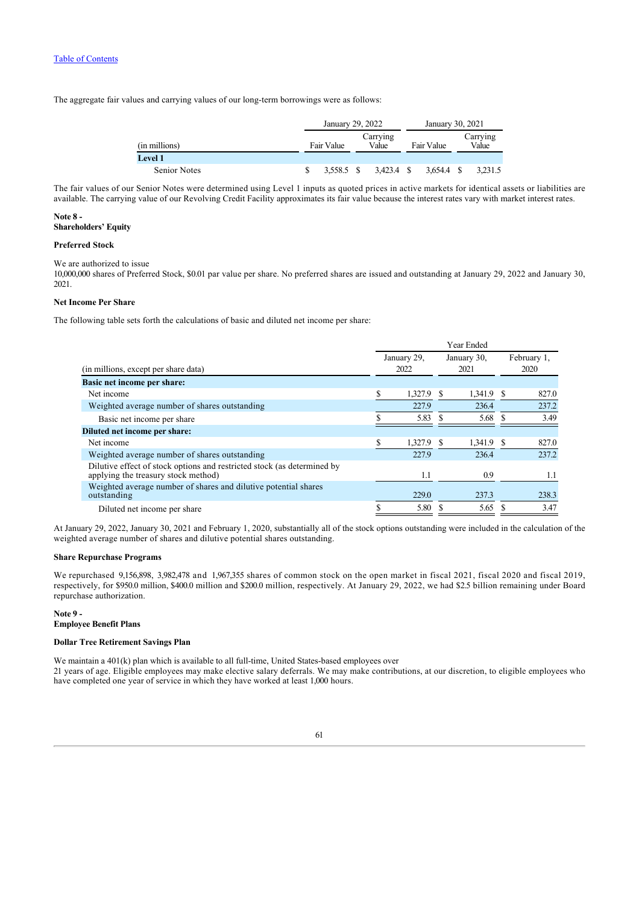The aggregate fair values and carrying values of our long-term borrowings were as follows:

|                     | January 29, 2022                |  |         | January 30, 2021 |            |                   |         |
|---------------------|---------------------------------|--|---------|------------------|------------|-------------------|---------|
| (in millions)       | Carrying<br>Fair Value<br>Value |  |         | Fair Value       |            | Carrying<br>Value |         |
| <b>Level 1</b>      |                                 |  |         |                  |            |                   |         |
| <b>Senior Notes</b> | 3.558.5 \$                      |  | 3.423.4 | - \$             | 3.654.4 \$ |                   | 3,231.5 |

The fair values of our Senior Notes were determined using Level 1 inputs as quoted prices in active markets for identical assets or liabilities are available. The carrying value of our Revolving Credit Facility approximates its fair value because the interest rates vary with market interest rates.

## <span id="page-61-0"></span>**Note 8 -**

## **Shareholders' Equity**

## **Preferred Stock**

We are authorized to issue

10,000,000 shares of Preferred Stock, \$0.01 par value per share. No preferred shares are issued and outstanding at January 29, 2022 and January 30, 2021.

## **Net Income Per Share**

The following table sets forth the calculations of basic and diluted net income per share:

|                                                                                                                | Year Ended |                     |   |                     |                     |       |
|----------------------------------------------------------------------------------------------------------------|------------|---------------------|---|---------------------|---------------------|-------|
| (in millions, except per share data)                                                                           |            | January 29,<br>2022 |   | January 30,<br>2021 | February 1,<br>2020 |       |
| <b>Basic net income per share:</b>                                                                             |            |                     |   |                     |                     |       |
| Net income                                                                                                     | S          | 1.327.9             |   | 1,341.9 \$          |                     | 827.0 |
| Weighted average number of shares outstanding                                                                  |            | 227.9               |   | 236.4               |                     | 237.2 |
| Basic net income per share                                                                                     |            | 5.83                |   | 5.68 \$             |                     | 3.49  |
| Diluted net income per share:                                                                                  |            |                     |   |                     |                     |       |
| Net income                                                                                                     | S          | 1,327.9             | S | 1,341.9             | S                   | 827.0 |
| Weighted average number of shares outstanding                                                                  |            | 227.9               |   | 236.4               |                     | 237.2 |
| Dilutive effect of stock options and restricted stock (as determined by<br>applying the treasury stock method) |            | 1.1                 |   | 0.9                 |                     | 1.1   |
| Weighted average number of shares and dilutive potential shares<br>outstanding                                 |            | 229.0               |   | 237.3               |                     | 238.3 |
| Diluted net income per share                                                                                   | S          | 5.80                |   | 5.65                |                     | 3.47  |

At January 29, 2022, January 30, 2021 and February 1, 2020, substantially all of the stock options outstanding were included in the calculation of the weighted average number of shares and dilutive potential shares outstanding.

## **Share Repurchase Programs**

We repurchased 9,156,898, 3,982,478 and 1,967,355 shares of common stock on the open market in fiscal 2021, fiscal 2020 and fiscal 2019, respectively, for \$950.0 million, \$400.0 million and \$200.0 million, respectively. At January 29, 2022, we had \$2.5 billion remaining under Board repurchase authorization.

# <span id="page-61-1"></span>**Note 9 -**

# **Employee Benefit Plans**

## **Dollar Tree Retirement Savings Plan**

We maintain a 401(k) plan which is available to all full-time. United States-based employees over 21 years of age. Eligible employees may make elective salary deferrals. We may make contributions, at our discretion, to eligible employees who have completed one year of service in which they have worked at least 1,000 hours.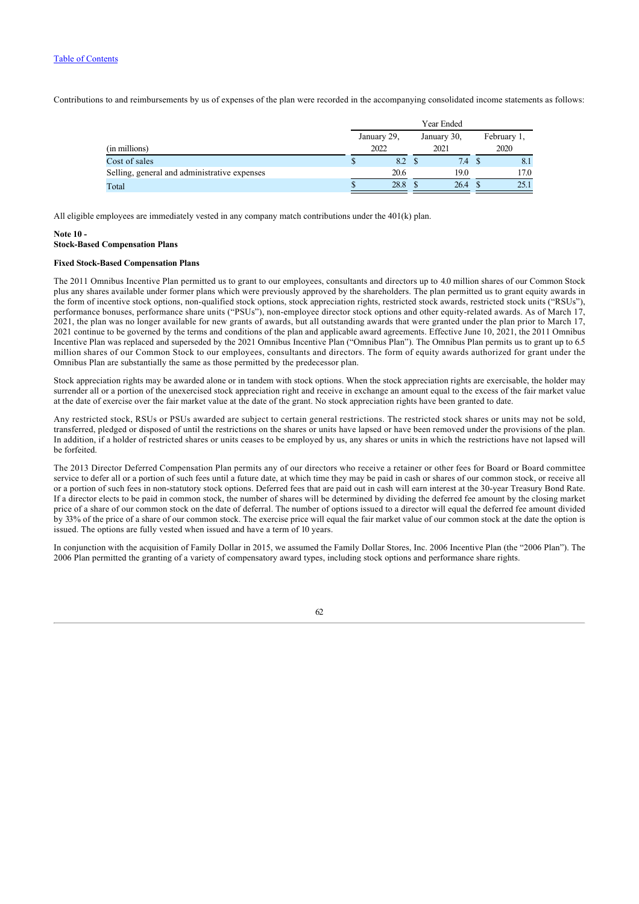Contributions to and reimbursements by us of expenses of the plan were recorded in the accompanying consolidated income statements as follows:

|                                              | Year Ended |             |  |             |  |             |      |  |
|----------------------------------------------|------------|-------------|--|-------------|--|-------------|------|--|
|                                              |            | January 29, |  | January 30, |  | February 1, |      |  |
| (in millions)                                |            | 2022        |  | 2021        |  |             | 2020 |  |
| Cost of sales                                |            | 8.2 \$      |  | 7.4         |  | 8.1         |      |  |
| Selling, general and administrative expenses |            | 20.6        |  | 19.0        |  | 17.0        |      |  |
| Total                                        |            | 28.8        |  | 26.4        |  | 25.1        |      |  |

All eligible employees are immediately vested in any company match contributions under the 401(k) plan.

## <span id="page-62-0"></span>**Note 10 - Stock-Based Compensation Plans**

## **Fixed Stock-Based Compensation Plans**

The 2011 Omnibus Incentive Plan permitted us to grant to our employees, consultants and directors up to 4.0 million shares of our Common Stock plus any shares available under former plans which were previously approved by the shareholders. The plan permitted us to grant equity awards in the form of incentive stock options, non-qualified stock options, stock appreciation rights, restricted stock awards, restricted stock units ("RSUs"), performance bonuses, performance share units ("PSUs"), non-employee director stock options and other equity-related awards. As of March 17, 2021, the plan was no longer available for new grants of awards, but all outstanding awards that were granted under the plan prior to March 17, 2021 continue to be governed by the terms and conditions of the plan and applicable award agreements. Effective June 10, 2021, the 2011 Omnibus Incentive Plan was replaced and superseded by the 2021 Omnibus Incentive Plan ("Omnibus Plan"). The Omnibus Plan permits us to grant up to 6.5 million shares of our Common Stock to our employees, consultants and directors. The form of equity awards authorized for grant under the Omnibus Plan are substantially the same as those permitted by the predecessor plan.

Stock appreciation rights may be awarded alone or in tandem with stock options. When the stock appreciation rights are exercisable, the holder may surrender all or a portion of the unexercised stock appreciation right and receive in exchange an amount equal to the excess of the fair market value at the date of exercise over the fair market value at the date of the grant. No stock appreciation rights have been granted to date.

Any restricted stock, RSUs or PSUs awarded are subject to certain general restrictions. The restricted stock shares or units may not be sold, transferred, pledged or disposed of until the restrictions on the shares or units have lapsed or have been removed under the provisions of the plan. In addition, if a holder of restricted shares or units ceases to be employed by us, any shares or units in which the restrictions have not lapsed will be forfeited.

The 2013 Director Deferred Compensation Plan permits any of our directors who receive a retainer or other fees for Board or Board committee service to defer all or a portion of such fees until a future date, at which time they may be paid in cash or shares of our common stock, or receive all or a portion of such fees in non-statutory stock options. Deferred fees that are paid out in cash will earn interest at the 30-year Treasury Bond Rate. If a director elects to be paid in common stock, the number of shares will be determined by dividing the deferred fee amount by the closing market price of a share of our common stock on the date of deferral. The number of options issued to a director will equal the deferred fee amount divided by 33% of the price of a share of our common stock. The exercise price will equal the fair market value of our common stock at the date the option is issued. The options are fully vested when issued and have a term of 10 years.

In conjunction with the acquisition of Family Dollar in 2015, we assumed the Family Dollar Stores, Inc. 2006 Incentive Plan (the "2006 Plan"). The 2006 Plan permitted the granting of a variety of compensatory award types, including stock options and performance share rights.

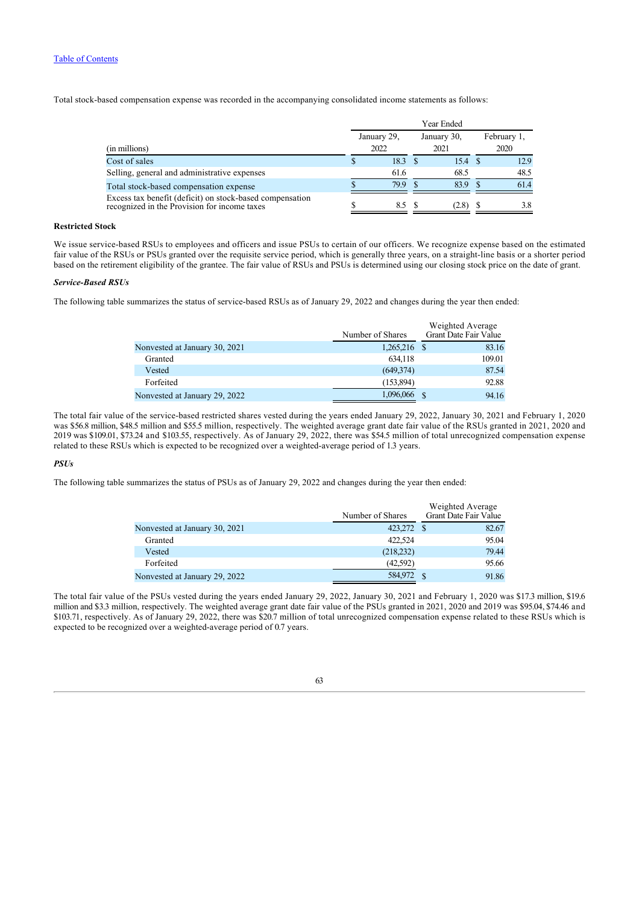Total stock-based compensation expense was recorded in the accompanying consolidated income statements as follows:

|                                                                                                          | Year Ended          |  |                     |  |                     |  |
|----------------------------------------------------------------------------------------------------------|---------------------|--|---------------------|--|---------------------|--|
| (in millions)                                                                                            | January 29,<br>2022 |  | January 30,<br>2021 |  | February 1,<br>2020 |  |
| Cost of sales                                                                                            | $18.3 \quad $$      |  | 15.4 \$             |  | 12.9                |  |
| Selling, general and administrative expenses                                                             | 61.6                |  | 68.5                |  | 48.5                |  |
| Total stock-based compensation expense                                                                   | 79.9                |  | 83.9                |  | 61.4                |  |
| Excess tax benefit (deficit) on stock-based compensation<br>recognized in the Provision for income taxes | 8.5 S               |  | (2.8)               |  | 3.8                 |  |

## **Restricted Stock**

We issue service-based RSUs to employees and officers and issue PSUs to certain of our officers. We recognize expense based on the estimated fair value of the RSUs or PSUs granted over the requisite service period, which is generally three years, on a straight-line basis or a shorter period based on the retirement eligibility of the grantee. The fair value of RSUs and PSUs is determined using our closing stock price on the date of grant.

## *Service-Based RSUs*

The following table summarizes the status of service-based RSUs as of January 29, 2022 and changes during the year then ended:

|                               | Number of Shares | Weighted Average<br>Grant Date Fair Value |
|-------------------------------|------------------|-------------------------------------------|
| Nonvested at January 30, 2021 | $1,265,216$ \$   | 83.16                                     |
| Granted                       | 634.118          | 109.01                                    |
| Vested                        | (649,374)        | 87.54                                     |
| Forfeited                     | (153,894)        | 92.88                                     |
| Nonvested at January 29, 2022 | 1,096,066        | 94.16                                     |

The total fair value of the service-based restricted shares vested during the years ended January 29, 2022, January 30, 2021 and February 1, 2020 was \$56.8 million, \$48.5 million and \$55.5 million, respectively. The weighted average grant date fair value of the RSUs granted in 2021, 2020 and 2019 was \$109.01, \$73.24 and \$103.55, respectively. As of January 29, 2022, there was \$54.5 million of total unrecognized compensation expense related to these RSUs which is expected to be recognized over a weighted-average period of 1.3 years.

## *PSUs*

The following table summarizes the status of PSUs as of January 29, 2022 and changes during the year then ended:

|                               | Number of Shares | Weighted Average<br>Grant Date Fair Value |       |
|-------------------------------|------------------|-------------------------------------------|-------|
| Nonvested at January 30, 2021 | 423,272 \$       |                                           | 82.67 |
| Granted                       | 422,524          |                                           | 95.04 |
| Vested                        | (218, 232)       |                                           | 79.44 |
| Forfeited                     | (42,592)         |                                           | 95.66 |
| Nonvested at January 29, 2022 | 584,972          |                                           | 91.86 |

The total fair value of the PSUs vested during the years ended January 29, 2022, January 30, 2021 and February 1, 2020 was \$17.3 million, \$19.6 million and \$3.3 million, respectively. The weighted average grant date fair value of the PSUs granted in 2021, 2020 and 2019 was \$95.04, \$74.46 and \$103.71, respectively. As of January 29, 2022, there was \$20.7 million of total unrecognized compensation expense related to these RSUs which is expected to be recognized over a weighted-average period of 0.7 years.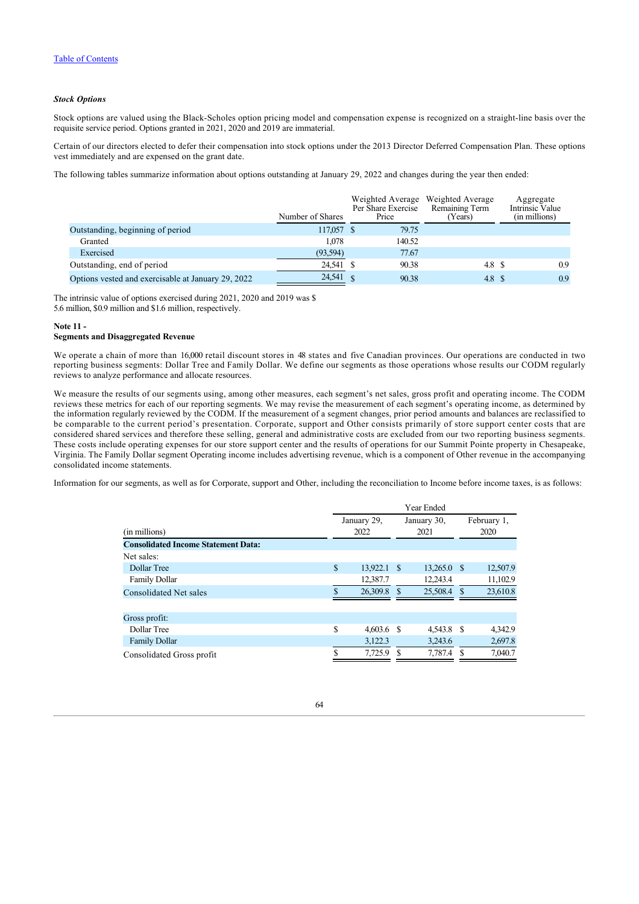## *Stock Options*

Stock options are valued using the Black-Scholes option pricing model and compensation expense is recognized on a straight-line basis over the requisite service period. Options granted in 2021, 2020 and 2019 are immaterial.

Certain of our directors elected to defer their compensation into stock options under the 2013 Director Deferred Compensation Plan. These options vest immediately and are expensed on the grant date.

The following tables summarize information about options outstanding at January 29, 2022 and changes during the year then ended:

|                                                    | Number of Shares | Per Share Exercise<br>Price | Weighted Average Weighted Average<br>Remaining Term<br>Years) | Aggregate<br>Intrinsic Value<br>(in millions) |
|----------------------------------------------------|------------------|-----------------------------|---------------------------------------------------------------|-----------------------------------------------|
| Outstanding, beginning of period                   | 117,057 \$       | 79.75                       |                                                               |                                               |
| Granted                                            | 1.078            | 140.52                      |                                                               |                                               |
| Exercised                                          | (93, 594)        | 77.67                       |                                                               |                                               |
| Outstanding, end of period                         | 24,541 \$        | 90.38                       | 4.8 S                                                         | 0.9                                           |
| Options vested and exercisable at January 29, 2022 | 24,541 \$        | 90.38                       | 4.8 S                                                         | 0.9                                           |

The intrinsic value of options exercised during 2021, 2020 and 2019 was \$ 5.6 million, \$0.9 million and \$1.6 million, respectively.

## <span id="page-64-0"></span>**Note 11 -**

## **Segments and Disaggregated Revenue**

We operate a chain of more than 16,000 retail discount stores in 48 states and five Canadian provinces. Our operations are conducted in two reporting business segments: Dollar Tree and Family Dollar. We define our segments as those operations whose results our CODM regularly reviews to analyze performance and allocate resources.

We measure the results of our segments using, among other measures, each segment's net sales, gross profit and operating income. The CODM reviews these metrics for each of our reporting segments. We may revise the measurement of each segment's operating income, as determined by the information regularly reviewed by the CODM. If the measurement of a segment changes, prior period amounts and balances are reclassified to be comparable to the current period's presentation. Corporate, support and Other consists primarily of store support center costs that are considered shared services and therefore these selling, general and administrative costs are excluded from our two reporting business segments. These costs include operating expenses for our store support center and the results of operations for our Summit Pointe property in Chesapeake, Virginia. The Family Dollar segment Operating income includes advertising revenue, which is a component of Other revenue in the accompanying consolidated income statements.

Information for our segments, as well as for Corporate, support and Other, including the reconciliation to Income before income taxes, is as follows:

|                                                             |    | Year Ended          |          |                     |                     |          |  |  |  |  |  |
|-------------------------------------------------------------|----|---------------------|----------|---------------------|---------------------|----------|--|--|--|--|--|
| (in millions)<br><b>Consolidated Income Statement Data:</b> |    | January 29,<br>2022 |          | January 30,<br>2021 | February 1,<br>2020 |          |  |  |  |  |  |
|                                                             |    |                     |          |                     |                     |          |  |  |  |  |  |
| Net sales:                                                  |    |                     |          |                     |                     |          |  |  |  |  |  |
| Dollar Tree                                                 | \$ | 13,922.1            | $\sim$ S | $13,265.0$ \$       |                     | 12,507.9 |  |  |  |  |  |
| <b>Family Dollar</b>                                        |    | 12,387.7            |          | 12,243.4            |                     | 11,102.9 |  |  |  |  |  |
| <b>Consolidated Net sales</b>                               | \$ | 26,309.8            | S        | 25,508.4 \$         |                     | 23,610.8 |  |  |  |  |  |
| Gross profit:                                               |    |                     |          |                     |                     |          |  |  |  |  |  |
| Dollar Tree                                                 | \$ | $4,603.6$ \$        |          | 4,543.8 \$          |                     | 4,342.9  |  |  |  |  |  |
| <b>Family Dollar</b>                                        |    | 3,122.3             |          | 3,243.6             |                     | 2,697.8  |  |  |  |  |  |
| Consolidated Gross profit                                   | S  | 7.725.9             | S        | 7.787.4             | -S                  | 7.040.7  |  |  |  |  |  |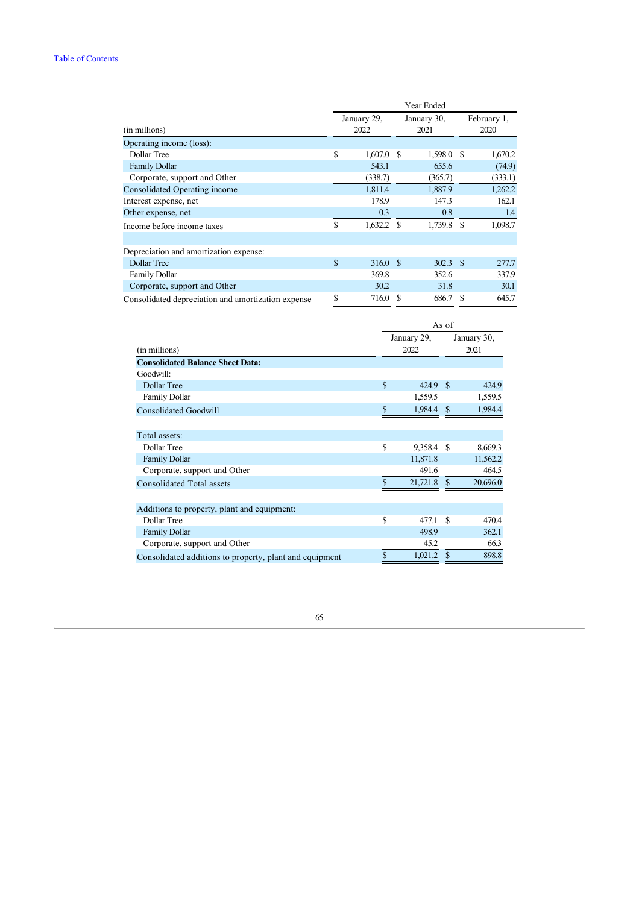|                                                    | Year Ended |                                            |   |            |                     |         |
|----------------------------------------------------|------------|--------------------------------------------|---|------------|---------------------|---------|
| (in millions)                                      |            | January 29,<br>January 30,<br>2022<br>2021 |   |            | February 1,<br>2020 |         |
| Operating income (loss):                           |            |                                            |   |            |                     |         |
| Dollar Tree                                        | S          | $1,607.0$ \$                               |   | 1,598.0 \$ |                     | 1,670.2 |
| <b>Family Dollar</b>                               |            | 543.1                                      |   | 655.6      |                     | (74.9)  |
| Corporate, support and Other                       |            | (338.7)                                    |   | (365.7)    |                     | (333.1) |
| Consolidated Operating income                      |            | 1,811.4                                    |   | 1,887.9    |                     | 1,262.2 |
| Interest expense, net                              |            | 178.9                                      |   | 147.3      |                     | 162.1   |
| Other expense, net                                 |            | 0.3                                        |   | 0.8        |                     | 1.4     |
| Income before income taxes                         | S          | 1,632.2                                    |   | 1,739.8    | S                   | 1,098.7 |
|                                                    |            |                                            |   |            |                     |         |
| Depreciation and amortization expense:             |            |                                            |   |            |                     |         |
| Dollar Tree                                        | \$         | 316.0 \$                                   |   | $302.3$ \$ |                     | 277.7   |
| <b>Family Dollar</b>                               |            | 369.8                                      |   | 352.6      |                     | 337.9   |
| Corporate, support and Other                       |            | 30.2                                       |   | 31.8       |                     | 30.1    |
| Consolidated depreciation and amortization expense | S          | 716.0                                      | S | 686.7      | S                   | 645.7   |

|                                                         | As of       |          |               |                     |
|---------------------------------------------------------|-------------|----------|---------------|---------------------|
|                                                         | January 29, |          |               | January 30,<br>2021 |
| (in millions)                                           |             | 2022     |               |                     |
| <b>Consolidated Balance Sheet Data:</b>                 |             |          |               |                     |
| Goodwill:                                               |             |          |               |                     |
| Dollar Tree                                             | \$          | 424.9    | -\$           | 424.9               |
| <b>Family Dollar</b>                                    |             | 1,559.5  |               | 1,559.5             |
| <b>Consolidated Goodwill</b>                            | \$          | 1,984.4  | <sup>\$</sup> | 1,984.4             |
|                                                         |             |          |               |                     |
| Total assets:                                           |             |          |               |                     |
| Dollar Tree                                             | \$          | 9,358.4  | <b>S</b>      | 8,669.3             |
| <b>Family Dollar</b>                                    |             | 11,871.8 |               | 11,562.2            |
| Corporate, support and Other                            |             | 491.6    |               | 464.5               |
| <b>Consolidated Total assets</b>                        | \$          | 21,721.8 | <sup>\$</sup> | 20,696.0            |
|                                                         |             |          |               |                     |
| Additions to property, plant and equipment:             |             |          |               |                     |
| Dollar Tree                                             | \$          | 477.1    | <sup>\$</sup> | 470.4               |
| <b>Family Dollar</b>                                    |             | 498.9    |               | 362.1               |
| Corporate, support and Other                            |             | 45.2     |               | 66.3                |
| Consolidated additions to property, plant and equipment | \$          | 1,021.2  | <b>S</b>      | 898.8               |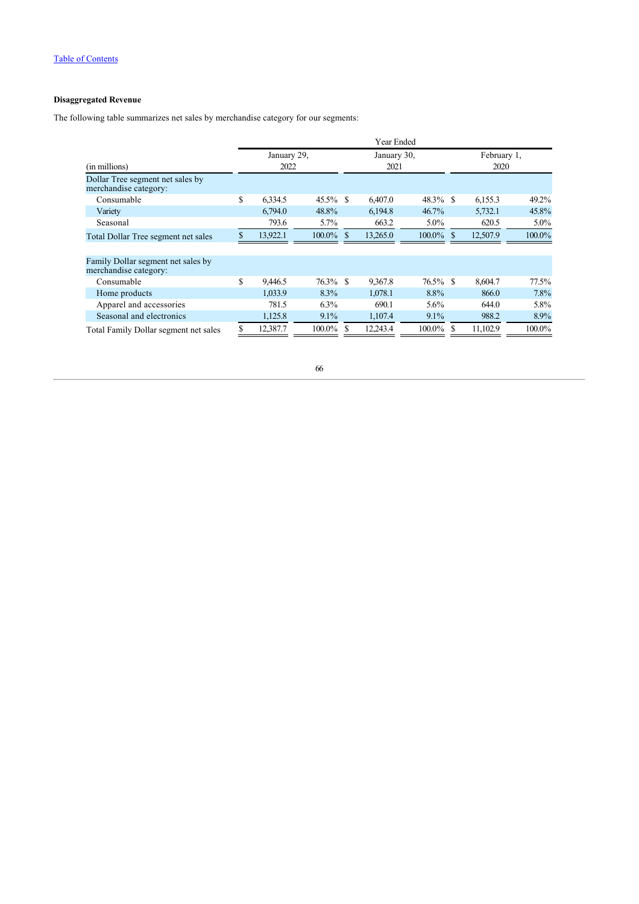# **Disaggregated Revenue**

The following table summarizes net sales by merchandise category for our segments:

|                                                             | Year Ended                 |          |              |             |          |              |  |          |         |  |
|-------------------------------------------------------------|----------------------------|----------|--------------|-------------|----------|--------------|--|----------|---------|--|
|                                                             | January 29,<br>January 30, |          |              | February 1, |          |              |  |          |         |  |
| (in millions)                                               |                            | 2022     |              |             | 2021     |              |  | 2020     |         |  |
| Dollar Tree segment net sales by<br>merchandise category:   |                            |          |              |             |          |              |  |          |         |  |
| Consumable                                                  | \$                         | 6.334.5  | 45.5% \$     |             | 6,407.0  | $48.3\%$ \$  |  | 6,155.3  | 49.2%   |  |
| Variety                                                     |                            | 6.794.0  | 48.8%        |             | 6,194.8  | $46.7\%$     |  | 5,732.1  | 45.8%   |  |
| Seasonal                                                    |                            | 793.6    | 5.7%         |             | 663.2    | $5.0\%$      |  | 620.5    | $5.0\%$ |  |
| Total Dollar Tree segment net sales                         |                            | 13,922.1 | $100.0\%$ \$ |             | 13,265.0 | $100.0\%$ \$ |  | 12,507.9 | 100.0%  |  |
|                                                             |                            |          |              |             |          |              |  |          |         |  |
| Family Dollar segment net sales by<br>merchandise category: |                            |          |              |             |          |              |  |          |         |  |
| Consumable                                                  | \$                         | 9.446.5  | 76.3% \$     |             | 9.367.8  | 76.5% \$     |  | 8,604.7  | 77.5%   |  |
| Home products                                               |                            | 1,033.9  | 8.3%         |             | 1,078.1  | 8.8%         |  | 866.0    | 7.8%    |  |
| Apparel and accessories                                     |                            | 781.5    | $6.3\%$      |             | 690.1    | $5.6\%$      |  | 644.0    | 5.8%    |  |
| Seasonal and electronics                                    |                            | 1,125.8  | $9.1\%$      |             | 1,107.4  | $9.1\%$      |  | 988.2    | 8.9%    |  |
| Total Family Dollar segment net sales                       |                            | 12,387.7 | $100.0\%$ \$ |             | 12,243.4 | 100.0%       |  | 11,102.9 | 100.0%  |  |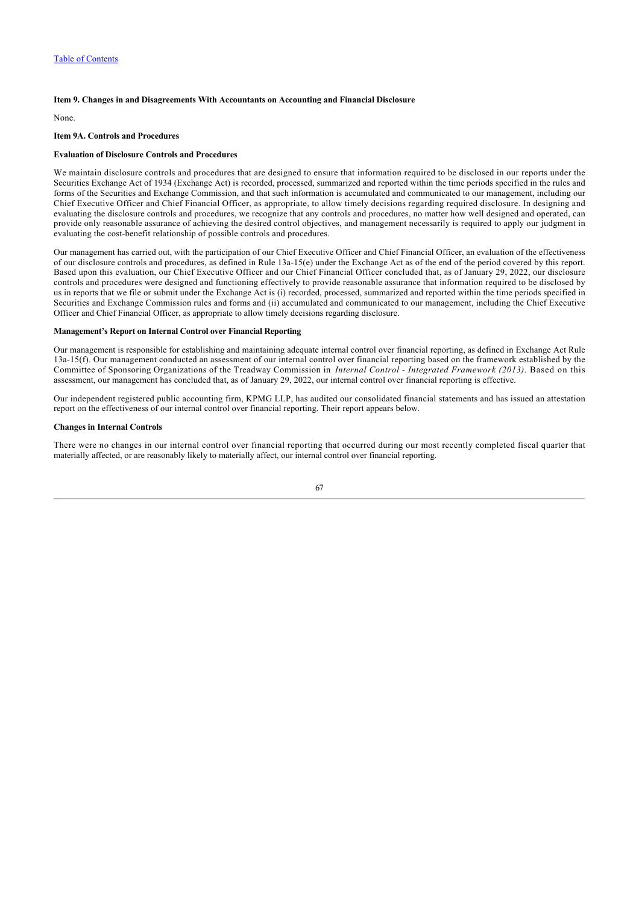## **Item 9. Changes in and Disagreements With Accountants on Accounting and Financial Disclosure**

None.

## **Item 9A. Controls and Procedures**

## **Evaluation of Disclosure Controls and Procedures**

We maintain disclosure controls and procedures that are designed to ensure that information required to be disclosed in our reports under the Securities Exchange Act of 1934 (Exchange Act) is recorded, processed, summarized and reported within the time periods specified in the rules and forms of the Securities and Exchange Commission, and that such information is accumulated and communicated to our management, including our Chief Executive Officer and Chief Financial Officer, as appropriate, to allow timely decisions regarding required disclosure. In designing and evaluating the disclosure controls and procedures, we recognize that any controls and procedures, no matter how well designed and operated, can provide only reasonable assurance of achieving the desired control objectives, and management necessarily is required to apply our judgment in evaluating the cost-benefit relationship of possible controls and procedures.

Our management has carried out, with the participation of our Chief Executive Officer and Chief Financial Officer, an evaluation of the effectiveness of our disclosure controls and procedures, as defined in Rule 13a-15(e) under the Exchange Act as of the end of the period covered by this report. Based upon this evaluation, our Chief Executive Officer and our Chief Financial Officer concluded that, as of January 29, 2022, our disclosure controls and procedures were designed and functioning effectively to provide reasonable assurance that information required to be disclosed by us in reports that we file or submit under the Exchange Act is (i) recorded, processed, summarized and reported within the time periods specified in Securities and Exchange Commission rules and forms and (ii) accumulated and communicated to our management, including the Chief Executive Officer and Chief Financial Officer, as appropriate to allow timely decisions regarding disclosure.

### **Management's Report on Internal Control over Financial Reporting**

Our management is responsible for establishing and maintaining adequate internal control over financial reporting, as defined in Exchange Act Rule 13a-15(f). Our management conducted an assessment of our internal control over financial reporting based on the framework established by the Committee of Sponsoring Organizations of the Treadway Commission in *Internal Control - Integrated Framework (2013)*. Based on this assessment, our management has concluded that, as of January 29, 2022, our internal control over financial reporting is effective.

Our independent registered public accounting firm, KPMG LLP, has audited our consolidated financial statements and has issued an attestation report on the effectiveness of our internal control over financial reporting. Their report appears below.

## **Changes in Internal Controls**

There were no changes in our internal control over financial reporting that occurred during our most recently completed fiscal quarter that materially affected, or are reasonably likely to materially affect, our internal control over financial reporting.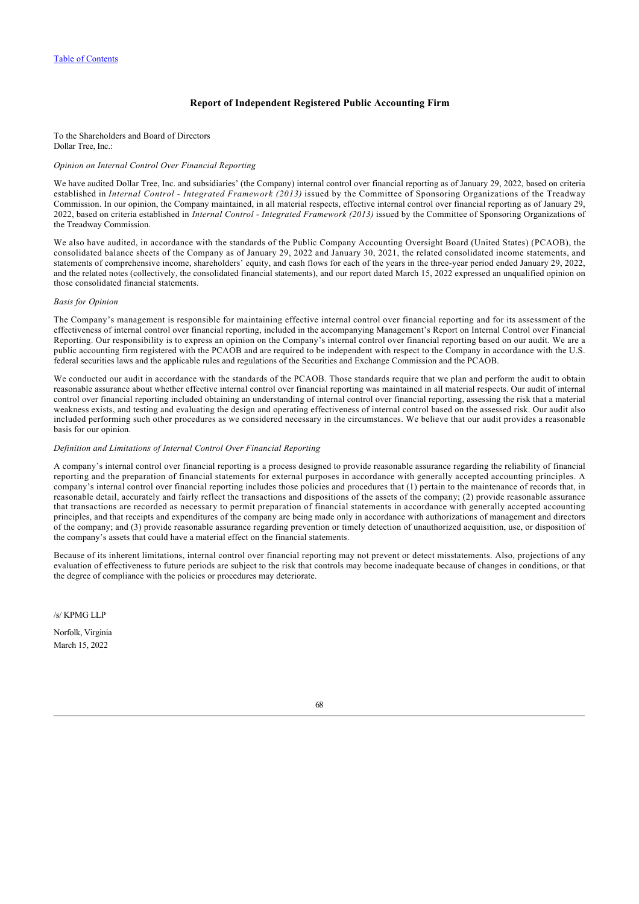## **Report of Independent Registered Public Accounting Firm**

To the Shareholders and Board of Directors Dollar Tree, Inc.:

### *Opinion on Internal Control Over Financial Reporting*

We have audited Dollar Tree, Inc. and subsidiaries' (the Company) internal control over financial reporting as of January 29, 2022, based on criteria established in *Internal Control - Integrated Framework (2013)* issued by the Committee of Sponsoring Organizations of the Treadway Commission. In our opinion, the Company maintained, in all material respects, effective internal control over financial reporting as of January 29, 2022, based on criteria established in *Internal Control - Integrated Framework (2013)* issued by the Committee of Sponsoring Organizations of the Treadway Commission.

We also have audited, in accordance with the standards of the Public Company Accounting Oversight Board (United States) (PCAOB), the consolidated balance sheets of the Company as of January 29, 2022 and January 30, 2021, the related consolidated income statements, and statements of comprehensive income, shareholders' equity, and cash flows for each of the years in the three‑year period ended January 29, 2022, and the related notes (collectively, the consolidated financial statements), and our report dated March 15, 2022 expressed an unqualified opinion on those consolidated financial statements.

## *Basis for Opinion*

The Company's management is responsible for maintaining effective internal control over financial reporting and for its assessment of the effectiveness of internal control over financial reporting, included in the accompanying Management's Report on Internal Control over Financial Reporting. Our responsibility is to express an opinion on the Company's internal control over financial reporting based on our audit. We are a public accounting firm registered with the PCAOB and are required to be independent with respect to the Company in accordance with the U.S. federal securities laws and the applicable rules and regulations of the Securities and Exchange Commission and the PCAOB.

We conducted our audit in accordance with the standards of the PCAOB. Those standards require that we plan and perform the audit to obtain reasonable assurance about whether effective internal control over financial reporting was maintained in all material respects. Our audit of internal control over financial reporting included obtaining an understanding of internal control over financial reporting, assessing the risk that a material weakness exists, and testing and evaluating the design and operating effectiveness of internal control based on the assessed risk. Our audit also included performing such other procedures as we considered necessary in the circumstances. We believe that our audit provides a reasonable basis for our opinion.

#### *Definition and Limitations of Internal Control Over Financial Reporting*

A company's internal control over financial reporting is a process designed to provide reasonable assurance regarding the reliability of financial reporting and the preparation of financial statements for external purposes in accordance with generally accepted accounting principles. A company's internal control over financial reporting includes those policies and procedures that (1) pertain to the maintenance of records that, in reasonable detail, accurately and fairly reflect the transactions and dispositions of the assets of the company; (2) provide reasonable assurance that transactions are recorded as necessary to permit preparation of financial statements in accordance with generally accepted accounting principles, and that receipts and expenditures of the company are being made only in accordance with authorizations of management and directors of the company; and (3) provide reasonable assurance regarding prevention or timely detection of unauthorized acquisition, use, or disposition of the company's assets that could have a material effect on the financial statements.

Because of its inherent limitations, internal control over financial reporting may not prevent or detect misstatements. Also, projections of any evaluation of effectiveness to future periods are subject to the risk that controls may become inadequate because of changes in conditions, or that the degree of compliance with the policies or procedures may deteriorate.

/s/ KPMG LLP

Norfolk, Virginia March 15, 2022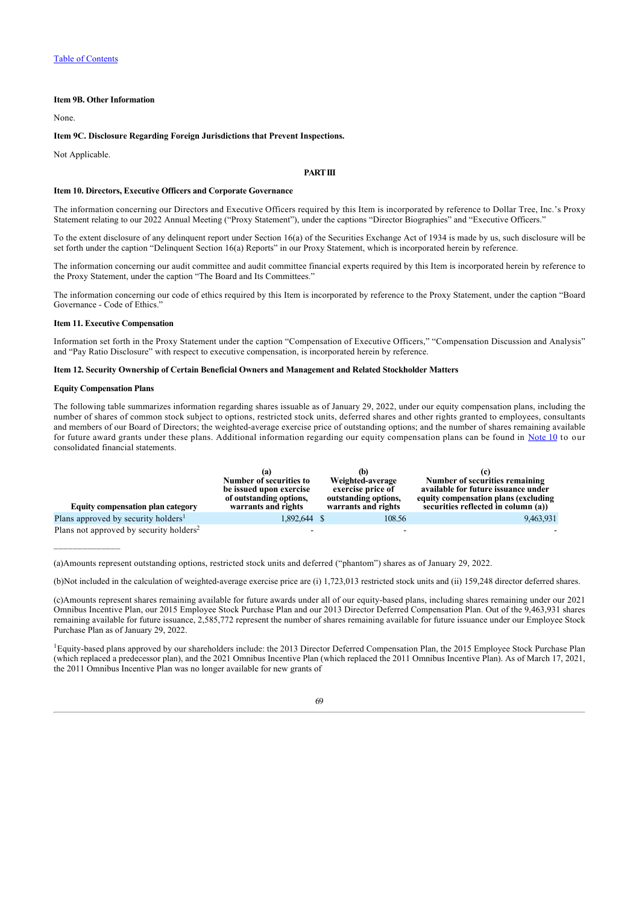## **Item 9B. Other Information**

None.

## **Item 9C. Disclosure Regarding Foreign Jurisdictions that Prevent Inspections.**

Not Applicable.

## **PART III**

### **Item 10. Directors, Executive Officers and Corporate Governance**

The information concerning our Directors and Executive Officers required by this Item is incorporated by reference to Dollar Tree, Inc.'s Proxy Statement relating to our 2022 Annual Meeting ("Proxy Statement"), under the captions "Director Biographies" and "Executive Officers."

To the extent disclosure of any delinquent report under Section 16(a) of the Securities Exchange Act of 1934 is made by us, such disclosure will be set forth under the caption "Delinquent Section 16(a) Reports" in our Proxy Statement, which is incorporated herein by reference.

The information concerning our audit committee and audit committee financial experts required by this Item is incorporated herein by reference to the Proxy Statement, under the caption "The Board and Its Committees."

The information concerning our code of ethics required by this Item is incorporated by reference to the Proxy Statement, under the caption "Board Governance - Code of Ethics."

## **Item 11. Executive Compensation**

Information set forth in the Proxy Statement under the caption "Compensation of Executive Officers," "Compensation Discussion and Analysis" and "Pay Ratio Disclosure" with respect to executive compensation, is incorporated herein by reference.

#### **Item 12. Security Ownership of Certain Beneficial Owners and Management and Related Stockholder Matters**

## **Equity Compensation Plans**

The following table summarizes information regarding shares issuable as of January 29, 2022, under our equity compensation plans, including the number of shares of common stock subject to options, restricted stock units, deferred shares and other rights granted to employees, consultants and members of our Board of Directors; the weighted-average exercise price of outstanding options; and the number of shares remaining available for future award grants under these plans. Additional information regarding our equity compensation plans can be found in [Note 10](#page-62-0) to our consolidated financial statements.

| <b>Equity compensation plan category</b>            | tа<br>Number of securities to<br>be issued upon exercise<br>of outstanding options,<br>warrants and rights | (b)<br>Weighted-average<br>exercise price of<br>outstanding options,<br>warrants and rights | Number of securities remaining<br>available for future issuance under<br>equity compensation plans (excluding<br>securities reflected in column (a)) |
|-----------------------------------------------------|------------------------------------------------------------------------------------------------------------|---------------------------------------------------------------------------------------------|------------------------------------------------------------------------------------------------------------------------------------------------------|
| Plans approved by security holders <sup>1</sup>     | 1,892,644 \$                                                                                               | 108.56                                                                                      | 9,463,931                                                                                                                                            |
| Plans not approved by security holders <sup>2</sup> |                                                                                                            |                                                                                             |                                                                                                                                                      |

<sup>(</sup>a)Amounts represent outstanding options, restricted stock units and deferred ("phantom") shares as of January 29, 2022.

<sup>1</sup>Equity-based plans approved by our shareholders include: the 2013 Director Deferred Compensation Plan, the 2015 Employee Stock Purchase Plan (which replaced a predecessor plan), and the 2021 Omnibus Incentive Plan (which replaced the 2011 Omnibus Incentive Plan). As of March 17, 2021, the 2011 Omnibus Incentive Plan was no longer available for new grants of

<sup>(</sup>b)Not included in the calculation of weighted-average exercise price are (i) 1,723,013 restricted stock units and (ii) 159,248 director deferred shares.

<sup>(</sup>c)Amounts represent shares remaining available for future awards under all of our equity-based plans, including shares remaining under our 2021 Omnibus Incentive Plan, our 2015 Employee Stock Purchase Plan and our 2013 Director Deferred Compensation Plan. Out of the 9,463,931 shares remaining available for future issuance, 2,585,772 represent the number of shares remaining available for future issuance under our Employee Stock Purchase Plan as of January 29, 2022.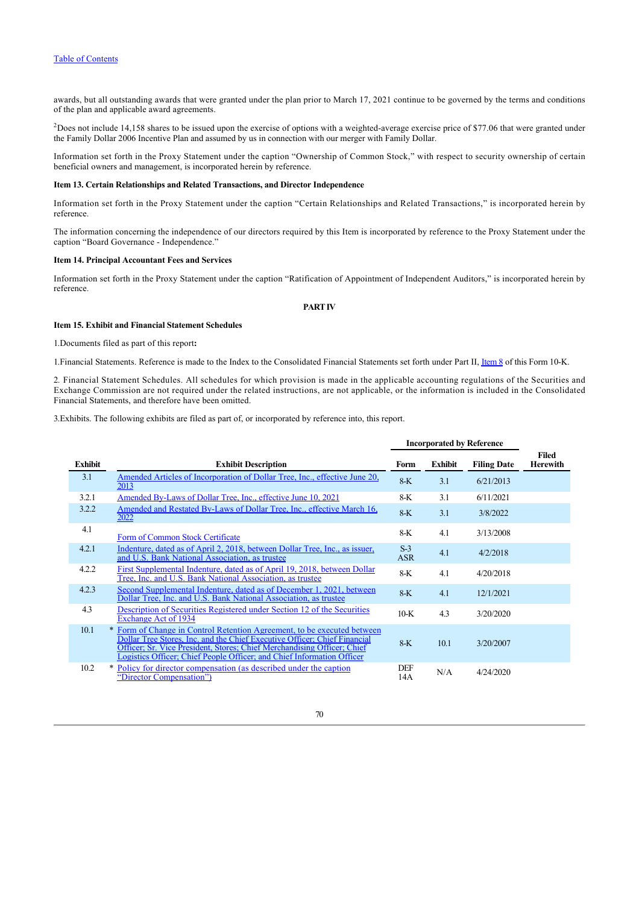awards, but all outstanding awards that were granted under the plan prior to March 17, 2021 continue to be governed by the terms and conditions of the plan and applicable award agreements.

 $P$ Does not include 14,158 shares to be issued upon the exercise of options with a weighted-average exercise price of \$77.06 that were granted under the Family Dollar 2006 Incentive Plan and assumed by us in connection with our merger with Family Dollar.

Information set forth in the Proxy Statement under the caption "Ownership of Common Stock," with respect to security ownership of certain beneficial owners and management, is incorporated herein by reference.

## **Item 13. Certain Relationships and Related Transactions, and Director Independence**

Information set forth in the Proxy Statement under the caption "Certain Relationships and Related Transactions," is incorporated herein by reference.

The information concerning the independence of our directors required by this Item is incorporated by reference to the Proxy Statement under the caption "Board Governance - Independence."

## **Item 14. Principal Accountant Fees and Services**

Information set forth in the Proxy Statement under the caption "Ratification of Appointment of Independent Auditors," is incorporated herein by reference.

## **PART IV**

## **Item 15. Exhibit and Financial Statement Schedules**

1.Documents filed as part of this report**:**

1.Financial Statements. Reference is made to the Index to the Consolidated Financial Statements set forth under Part II, [Item 8](#page-38-0) of this Form 10-K.

2. Financial Statement Schedules. All schedules for which provision is made in the applicable accounting regulations of the Securities and Exchange Commission are not required under the related instructions, are not applicable, or the information is included in the Consolidated Financial Statements, and therefore have been omitted.

3.Exhibits. The following exhibits are filed as part of, or incorporated by reference into, this report.

|                |                                                                                                                                                                                                                                                                                                           | <b>Incorporated by Reference</b> |                |                    |                          |
|----------------|-----------------------------------------------------------------------------------------------------------------------------------------------------------------------------------------------------------------------------------------------------------------------------------------------------------|----------------------------------|----------------|--------------------|--------------------------|
| <b>Exhibit</b> | <b>Exhibit Description</b>                                                                                                                                                                                                                                                                                | Form                             | <b>Exhibit</b> | <b>Filing Date</b> | Filed<br><b>Herewith</b> |
| 3.1            | Amended Articles of Incorporation of Dollar Tree, Inc., effective June 20,<br>2013                                                                                                                                                                                                                        | $8-K$                            | 3.1            | 6/21/2013          |                          |
| 3.2.1          | Amended By-Laws of Dollar Tree, Inc., effective June 10, 2021                                                                                                                                                                                                                                             | 8-K                              | 3.1            | 6/11/2021          |                          |
| 3.2.2          | Amended and Restated By-Laws of Dollar Tree, Inc., effective March 16,<br>2022                                                                                                                                                                                                                            | $8-K$                            | 3.1            | 3/8/2022           |                          |
| 4.1            | Form of Common Stock Certificate                                                                                                                                                                                                                                                                          | 8-K                              | 4.1            | 3/13/2008          |                          |
| 4.2.1          | Indenture, dated as of April 2, 2018, between Dollar Tree, Inc., as issuer,<br>and U.S. Bank National Association, as trustee                                                                                                                                                                             | $S-3$<br><b>ASR</b>              | 4.1            | 4/2/2018           |                          |
| 4.2.2          | First Supplemental Indenture, dated as of April 19, 2018, between Dollar<br>Tree, Inc. and U.S. Bank National Association, as trustee                                                                                                                                                                     | 8-K                              | 4.1            | 4/20/2018          |                          |
| 4.2.3          | Second Supplemental Indenture, dated as of December 1, 2021, between<br>Dollar Tree, Inc. and U.S. Bank National Association, as trustee                                                                                                                                                                  | $8-K$                            | 4.1            | 12/1/2021          |                          |
| 4.3            | Description of Securities Registered under Section 12 of the Securities<br><b>Exchange Act of 1934</b>                                                                                                                                                                                                    | $10-K$                           | 4.3            | 3/20/2020          |                          |
| 10.1           | * Form of Change in Control Retention Agreement, to be executed between<br>Dollar Tree Stores, Inc. and the Chief Executive Officer: Chief Financial<br>Officer; Sr. Vice President, Stores; Chief Merchandising Officer; Chief<br>Logistics Officer; Chief People Officer; and Chief Information Officer | $8-K$                            | 10.1           | 3/20/2007          |                          |
| 10.2           | * Policy for director compensation (as described under the caption<br>"Director Compensation")                                                                                                                                                                                                            | DEF<br>14A                       | N/A            | 4/24/2020          |                          |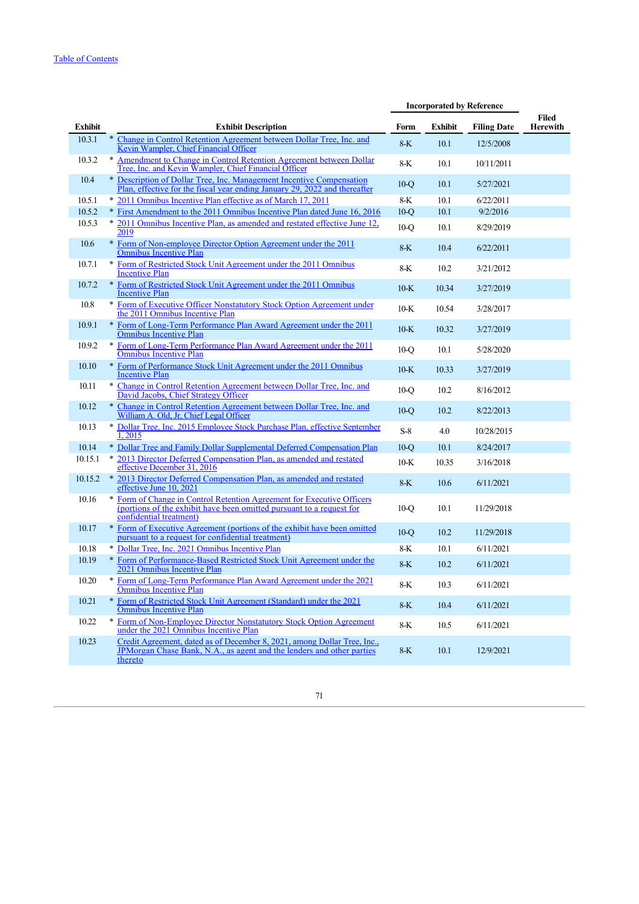|                |                                                                                                                                                                           | <b>Incorporated by Reference</b> |                |                    |                                 |
|----------------|---------------------------------------------------------------------------------------------------------------------------------------------------------------------------|----------------------------------|----------------|--------------------|---------------------------------|
| <b>Exhibit</b> | <b>Exhibit Description</b>                                                                                                                                                | Form                             | <b>Exhibit</b> | <b>Filing Date</b> | <b>Filed</b><br><b>Herewith</b> |
| 10.3.1         | Change in Control Retention Agreement between Dollar Tree, Inc. and<br>$\ast$<br>Kevin Wampler, Chief Financial Officer                                                   | $8-K$                            | 10.1           | 12/5/2008          |                                 |
| 10.3.2         | * Amendment to Change in Control Retention Agreement between Dollar<br>Tree, Inc. and Kevin Wampler, Chief Financial Officer                                              | $8-K$                            | 10.1           | 10/11/2011         |                                 |
| 10.4           | * Description of Dollar Tree, Inc. Management Incentive Compensation<br>Plan, effective for the fiscal year ending January 29, 2022 and thereafter                        | $10-°$                           | 10.1           | 5/27/2021          |                                 |
| 10.5.1         | * 2011 Omnibus Incentive Plan effective as of March 17, 2011                                                                                                              | 8-K                              | 10.1           | 6/22/2011          |                                 |
| 10.5.2         | * First Amendment to the 2011 Omnibus Incentive Plan dated June 16, 2016                                                                                                  | $10-°$                           | 10.1           | 9/2/2016           |                                 |
| 10.5.3         | * 2011 Omnibus Incentive Plan, as amended and restated effective June 12.<br>2019                                                                                         | $10-°$                           | 10.1           | 8/29/2019          |                                 |
| 10.6           | * Form of Non-employee Director Option Agreement under the 2011<br>Omnibus Incentive Plan                                                                                 | $8-K$                            | 10.4           | 6/22/2011          |                                 |
| 10.7.1         | * Form of Restricted Stock Unit Agreement under the 2011 Omnibus<br><b>Incentive Plan</b>                                                                                 | $8-K$                            | 10.2           | 3/21/2012          |                                 |
| 10.7.2         | * Form of Restricted Stock Unit Agreement under the 2011 Omnibus<br><b>Incentive Plan</b>                                                                                 | $10-K$                           | 10.34          | 3/27/2019          |                                 |
| 10.8           | * Form of Executive Officer Nonstatutory Stock Option Agreement under<br>the 2011 Omnibus Incentive Plan                                                                  | $10-K$                           | 10.54          | 3/28/2017          |                                 |
| 10.9.1         | * Form of Long-Term Performance Plan Award Agreement under the 2011<br><b>Omnibus Incentive Plan</b>                                                                      | $10-K$                           | 10.32          | 3/27/2019          |                                 |
| 10.9.2         | * Form of Long-Term Performance Plan Award Agreement under the 2011<br><b>Omnibus Incentive Plan</b>                                                                      | $10-°$                           | 10.1           | 5/28/2020          |                                 |
| 10.10          | * Form of Performance Stock Unit Agreement under the 2011 Omnibus<br><b>Incentive Plan</b>                                                                                | $10-K$                           | 10.33          | 3/27/2019          |                                 |
| 10.11          | * Change in Control Retention Agreement between Dollar Tree, Inc. and<br>David Jacobs, Chief Strategy Officer                                                             | $10-Q$                           | 10.2           | 8/16/2012          |                                 |
| 10.12          | * Change in Control Retention Agreement between Dollar Tree, Inc. and<br>William A. Old. Jr. Chief Legal Officer                                                          | $10-°$                           | 10.2           | 8/22/2013          |                                 |
| 10.13          | * Dollar Tree, Inc. 2015 Employee Stock Purchase Plan, effective September<br>1,2015                                                                                      | $S-8$                            | 4.0            | 10/28/2015         |                                 |
| 10.14          | * Dollar Tree and Family Dollar Supplemental Deferred Compensation Plan                                                                                                   | $10-°$                           | 10.1           | 8/24/2017          |                                 |
| 10.15.1        | * 2013 Director Deferred Compensation Plan, as amended and restated<br>effective December 31, 2016                                                                        | $10-K$                           | 10.35          | 3/16/2018          |                                 |
| 10.15.2        | * 2013 Director Deferred Compensation Plan, as amended and restated<br>effective June 10, 2021                                                                            | $8-K$                            | 10.6           | 6/11/2021          |                                 |
| 10.16          | * Form of Change in Control Retention Agreement for Executive Officers<br>(portions of the exhibit have been omitted pursuant to a request for<br>confidential treatment) | $10-°$                           | 10.1           | 11/29/2018         |                                 |
| 10.17          | * Form of Executive Agreement (portions of the exhibit have been omitted pursuant to a request for confidential treatment)                                                | $10-°$                           | 10.2           | 11/29/2018         |                                 |
| 10.18          | * Dollar Tree, Inc. 2021 Omnibus Incentive Plan                                                                                                                           | $8-K$                            | 10.1           | 6/11/2021          |                                 |
| 10.19          | * Form of Performance-Based Restricted Stock Unit Agreement under the<br>2021 Omnibus Incentive Plan                                                                      | $8-K$                            | 10.2           | 6/11/2021          |                                 |
| 10.20          | * Form of Long-Term Performance Plan Award Agreement under the 2021<br><b>Omnibus Incentive Plan</b>                                                                      | $8-K$                            | 10.3           | 6/11/2021          |                                 |
| 10.21          | * Form of Restricted Stock Unit Agreement (Standard) under the 2021<br><b>Omnibus Incentive Plan</b>                                                                      | $8-K$                            | 10.4           | 6/11/2021          |                                 |
| 10.22          | * Form of Non-Employee Director Nonstatutory Stock Option Agreement<br>under the 2021 Omnibus Incentive Plan                                                              | 8-K                              | 10.5           | 6/11/2021          |                                 |
| 10.23          | Credit Agreement, dated as of December 8, 2021, among Dollar Tree, Inc.,<br>JPMorgan Chase Bank, N.A., as agent and the lenders and other parties<br>thereto              | $8-K$                            | 10.1           | 12/9/2021          |                                 |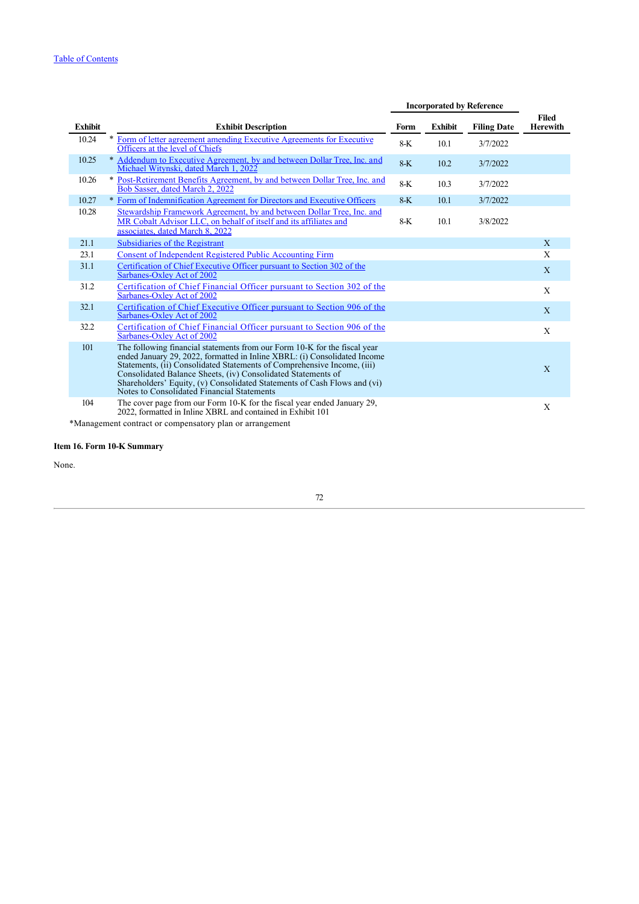|                                                               |                                                                                                                                                                                                                                                                                                                                                                                                                             | <b>Incorporated by Reference</b> |                |                    |                          |  |
|---------------------------------------------------------------|-----------------------------------------------------------------------------------------------------------------------------------------------------------------------------------------------------------------------------------------------------------------------------------------------------------------------------------------------------------------------------------------------------------------------------|----------------------------------|----------------|--------------------|--------------------------|--|
| <b>Exhibit</b>                                                | <b>Exhibit Description</b>                                                                                                                                                                                                                                                                                                                                                                                                  | Form                             | <b>Exhibit</b> | <b>Filing Date</b> | Filed<br><b>Herewith</b> |  |
| 10.24                                                         | *<br>Form of letter agreement amending Executive Agreements for Executive<br>Officers at the level of Chiefs                                                                                                                                                                                                                                                                                                                | $8-K$                            | 10.1           | 3/7/2022           |                          |  |
| 10.25                                                         | * Addendum to Executive Agreement, by and between Dollar Tree, Inc. and<br>Michael Witynski, dated March 1, 2022                                                                                                                                                                                                                                                                                                            | $8-K$                            | 10.2           | 3/7/2022           |                          |  |
| 10.26                                                         | * Post-Retirement Benefits Agreement, by and between Dollar Tree, Inc. and<br>Bob Sasser, dated March 2, 2022                                                                                                                                                                                                                                                                                                               | $8-K$                            | 10.3           | 3/7/2022           |                          |  |
| 10.27                                                         | * Form of Indemnification Agreement for Directors and Executive Officers                                                                                                                                                                                                                                                                                                                                                    | $8-K$                            | 10.1           | 3/7/2022           |                          |  |
| 10.28                                                         | Stewardship Framework Agreement, by and between Dollar Tree, Inc. and<br>MR Cobalt Advisor LLC, on behalf of itself and its affiliates and<br>associates, dated March 8, 2022                                                                                                                                                                                                                                               | $8-K$                            | 10.1           | 3/8/2022           |                          |  |
| 21.1                                                          | Subsidiaries of the Registrant                                                                                                                                                                                                                                                                                                                                                                                              |                                  |                |                    | $\mathbf{X}$             |  |
| 23.1                                                          | <b>Consent of Independent Registered Public Accounting Firm</b>                                                                                                                                                                                                                                                                                                                                                             |                                  |                |                    | X                        |  |
| 31.1                                                          | Certification of Chief Executive Officer pursuant to Section 302 of the<br>Sarbanes-Oxley Act of 2002                                                                                                                                                                                                                                                                                                                       |                                  |                |                    | $\mathbf{X}$             |  |
| 31.2                                                          | Certification of Chief Financial Officer pursuant to Section 302 of the<br>Sarbanes-Oxley Act of 2002                                                                                                                                                                                                                                                                                                                       |                                  |                |                    | X                        |  |
| 32.1                                                          | Certification of Chief Executive Officer pursuant to Section 906 of the<br>Sarbanes-Oxley Act of 2002                                                                                                                                                                                                                                                                                                                       |                                  |                |                    | $\mathbf{X}$             |  |
| 32.2                                                          | Certification of Chief Financial Officer pursuant to Section 906 of the<br>Sarbanes-Oxley Act of 2002                                                                                                                                                                                                                                                                                                                       |                                  |                |                    | $\mathbf{X}$             |  |
| 101                                                           | The following financial statements from our Form 10-K for the fiscal year<br>ended January 29, 2022, formatted in Inline XBRL: (i) Consolidated Income<br>Statements, (ii) Consolidated Statements of Comprehensive Income, (iii)<br>Consolidated Balance Sheets, (iv) Consolidated Statements of<br>Shareholders' Equity, (v) Consolidated Statements of Cash Flows and (vi)<br>Notes to Consolidated Financial Statements |                                  |                |                    | X                        |  |
| 104                                                           | The cover page from our Form 10-K for the fiscal year ended January 29,<br>2022, formatted in Inline XBRL and contained in Exhibit 101                                                                                                                                                                                                                                                                                      |                                  |                |                    | X                        |  |
| $*Monogomant$ contract or component $n!$ plan, or expressment |                                                                                                                                                                                                                                                                                                                                                                                                                             |                                  |                |                    |                          |  |

\*Management contract or compensatory plan or arrangement

## **Item 16. Form 10-K Summary**

None.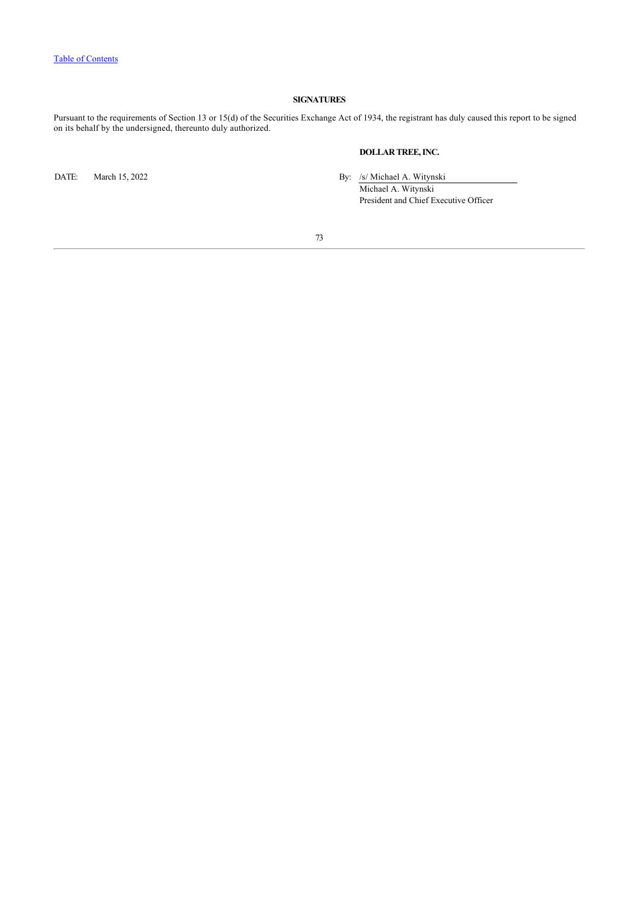## **SIGNATURES**

Pursuant to the requirements of Section 13 or 15(d) of the Securities Exchange Act of 1934, the registrant has duly caused this report to be signed on its behalf by the undersigned, thereunto duly authorized.

## **DOLLAR TREE, INC.**

DATE: March 15, 2022 By: /s/ Michael A. Witynski

Michael A. Witynski President and Chief Executive Officer